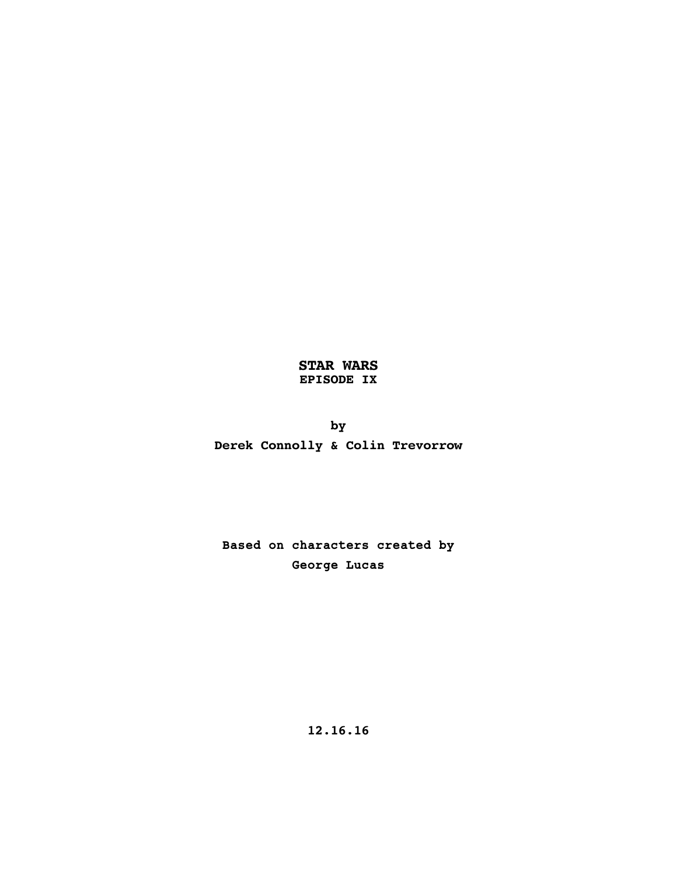## **STAR WARS EPISODE IX**

**by Derek Connolly & Colin Trevorrow**

**Based on characters created by George Lucas**

**12.16.16**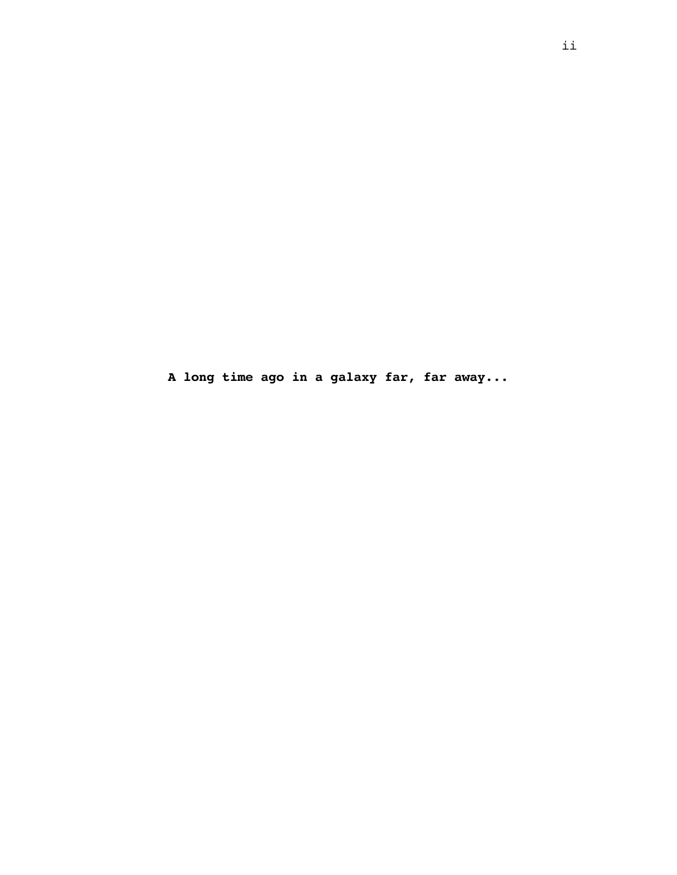**A long time ago in a galaxy far, far away...**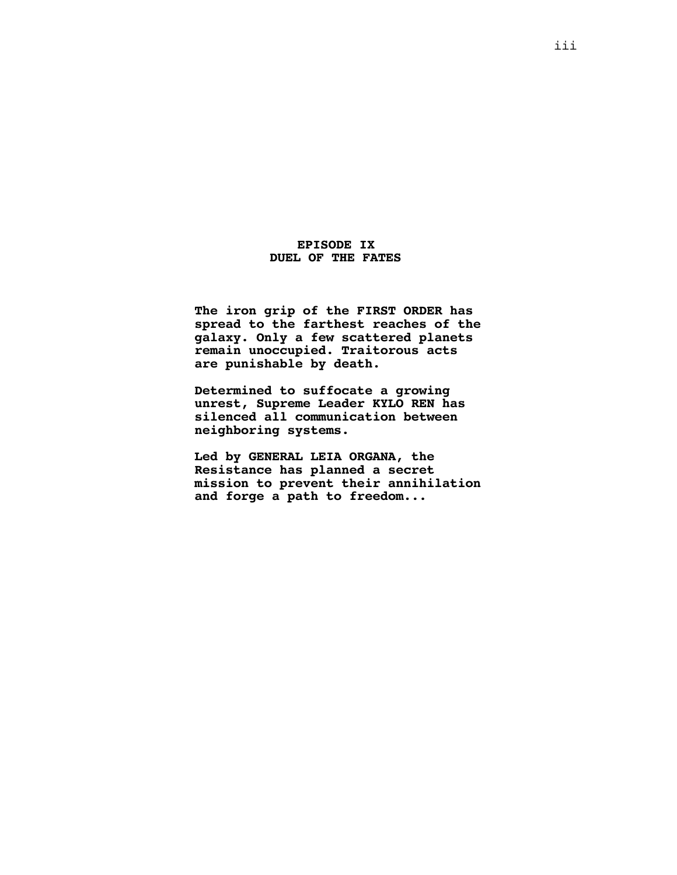### **EPISODE IX DUEL OF THE FATES**

**The iron grip of the FIRST ORDER has spread to the farthest reaches of the galaxy. Only a few scattered planets remain unoccupied. Traitorous acts are punishable by death.**

**Determined to suffocate a growing unrest, Supreme Leader KYLO REN has silenced all communication between neighboring systems.**

**Led by GENERAL LEIA ORGANA, the Resistance has planned a secret mission to prevent their annihilation and forge a path to freedom...**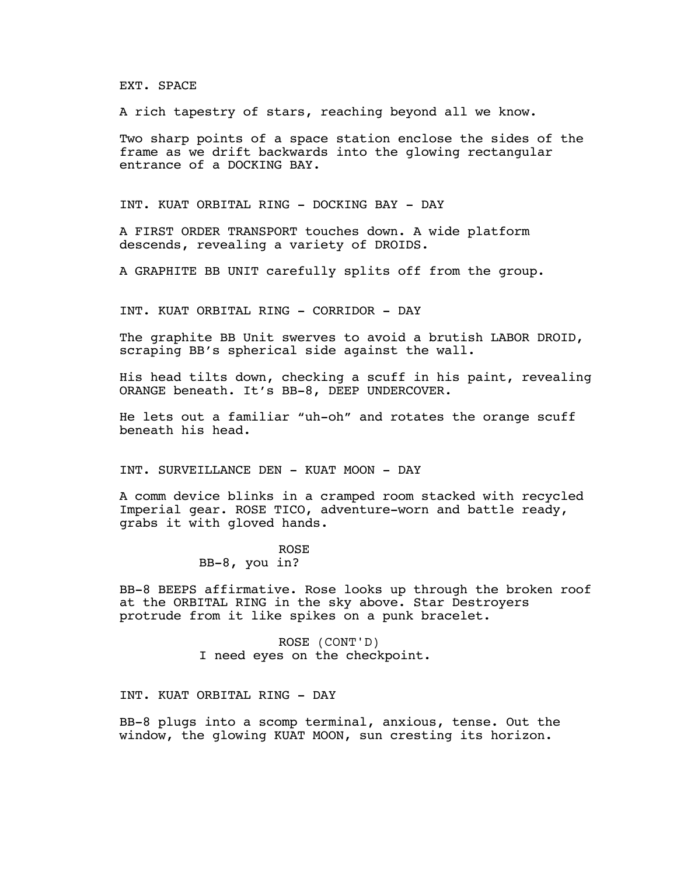EXT. SPACE

A rich tapestry of stars, reaching beyond all we know.

Two sharp points of a space station enclose the sides of the frame as we drift backwards into the glowing rectangular entrance of a DOCKING BAY.

INT. KUAT ORBITAL RING - DOCKING BAY - DAY

A FIRST ORDER TRANSPORT touches down. A wide platform descends, revealing a variety of DROIDS.

A GRAPHITE BB UNIT carefully splits off from the group.

INT. KUAT ORBITAL RING - CORRIDOR - DAY

The graphite BB Unit swerves to avoid a brutish LABOR DROID, scraping BB's spherical side against the wall.

His head tilts down, checking a scuff in his paint, revealing ORANGE beneath. It's BB-8, DEEP UNDERCOVER.

He lets out a familiar "uh-oh" and rotates the orange scuff beneath his head.

INT. SURVEILLANCE DEN - KUAT MOON - DAY

A comm device blinks in a cramped room stacked with recycled Imperial gear. ROSE TICO, adventure-worn and battle ready, grabs it with gloved hands.

#### ROSE

BB-8, you in?

BB-8 BEEPS affirmative. Rose looks up through the broken roof at the ORBITAL RING in the sky above. Star Destroyers protrude from it like spikes on a punk bracelet.

> ROSE (CONT'D) I need eyes on the checkpoint.

INT. KUAT ORBITAL RING - DAY

BB-8 plugs into a scomp terminal, anxious, tense. Out the window, the glowing KUAT MOON, sun cresting its horizon.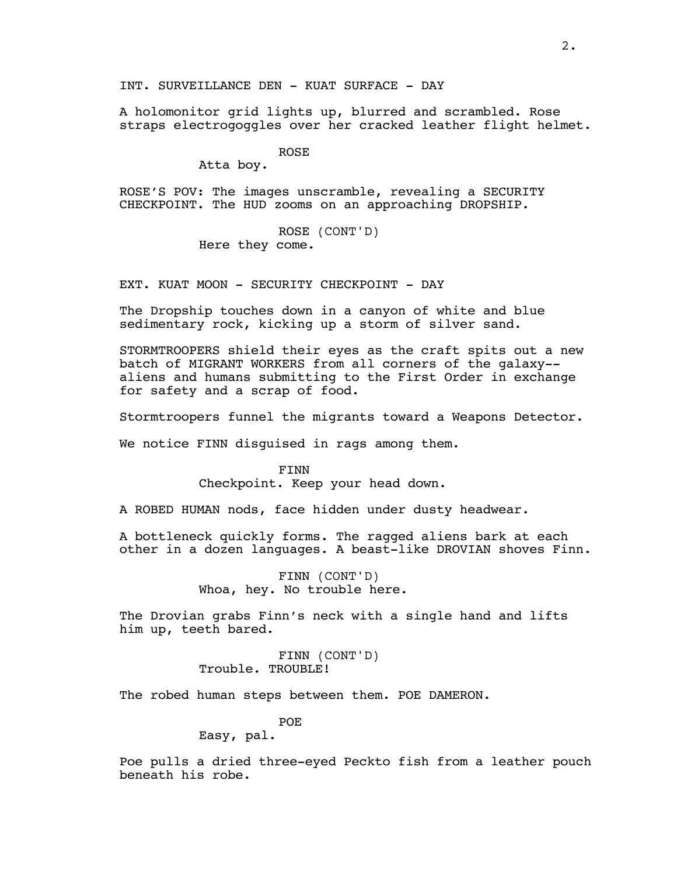A holomonitor grid lights up, blurred and scrambled. Rose straps electrogoggles over her cracked leather flight helmet.

ROSE

Atta boy.

ROSE'S POV: The images unscramble, revealing a SECURITY CHECKPOINT. The HUD zooms on an approaching DROPSHIP.

> ROSE (CONT'D) Here they come.

EXT. KUAT MOON - SECURITY CHECKPOINT - DAY

The Dropship touches down in a canyon of white and blue sedimentary rock, kicking up a storm of silver sand.

STORMTROOPERS shield their eyes as the craft spits out a new batch of MIGRANT WORKERS from all corners of the galaxy- aliens and humans submitting to the First Order in exchange for safety and a scrap of food.

Stormtroopers funnel the migrants toward a Weapons Detector.

We notice FINN disguised in rags among them.

FINN Checkpoint. Keep your head down.

A ROBED HUMAN nods, face hidden under dusty headwear.

A bottleneck quickly forms. The ragged aliens bark at each other in a dozen languages. A beast-like DROVIAN shoves Finn.

> FINN (CONT'D) Whoa, hey. No trouble here.

The Drovian grabs Finn's neck with a single hand and lifts him up, teeth bared.

> FINN (CONT'D) Trouble. TROUBLE!

The robed human steps between them. POE DAMERON.

POE

Easy, pal.

Poe pulls a dried three-eyed Peckto fish from a leather pouch beneath his robe.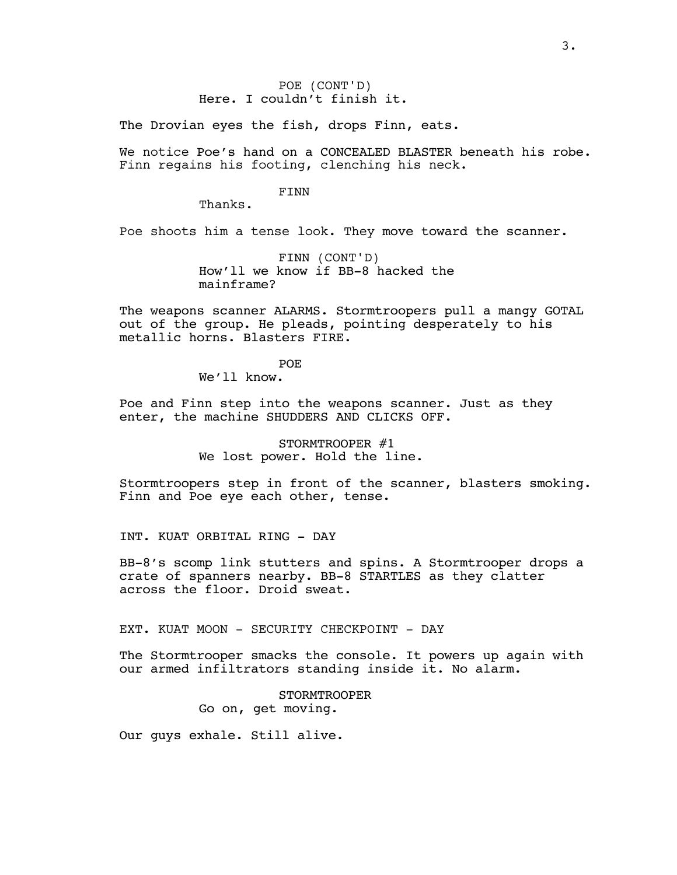POE (CONT'D) Here. I couldn't finish it.

The Drovian eyes the fish, drops Finn, eats.

We notice Poe's hand on a CONCEALED BLASTER beneath his robe. Finn regains his footing, clenching his neck.

#### FINN

Thanks.

Poe shoots him a tense look. They move toward the scanner.

FINN (CONT'D) How'll we know if BB-8 hacked the mainframe?

The weapons scanner ALARMS. Stormtroopers pull a mangy GOTAL out of the group. He pleads, pointing desperately to his metallic horns. Blasters FIRE.

> POE We'll know.

Poe and Finn step into the weapons scanner. Just as they

enter, the machine SHUDDERS AND CLICKS OFF.

STORMTROOPER #1

We lost power. Hold the line.

Stormtroopers step in front of the scanner, blasters smoking. Finn and Poe eye each other, tense.

INT. KUAT ORBITAL RING - DAY

BB-8's scomp link stutters and spins. A Stormtrooper drops a crate of spanners nearby. BB-8 STARTLES as they clatter across the floor. Droid sweat.

EXT. KUAT MOON - SECURITY CHECKPOINT - DAY

The Stormtrooper smacks the console. It powers up again with our armed infiltrators standing inside it. No alarm.

# STORMTROOPER

Go on, get moving.

Our guys exhale. Still alive.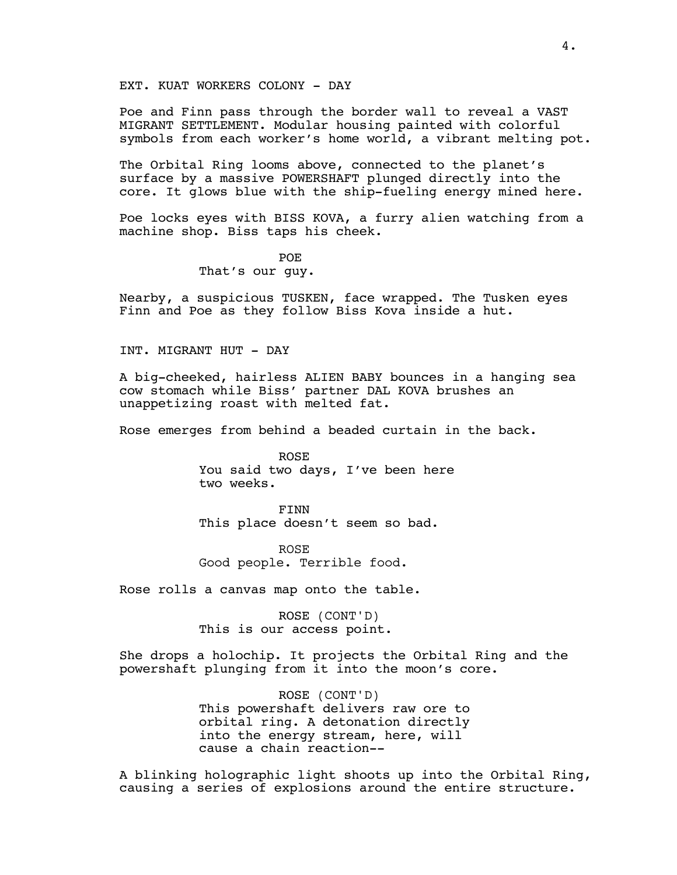EXT. KUAT WORKERS COLONY - DAY

Poe and Finn pass through the border wall to reveal a VAST MIGRANT SETTLEMENT. Modular housing painted with colorful symbols from each worker's home world, a vibrant melting pot.

The Orbital Ring looms above, connected to the planet's surface by a massive POWERSHAFT plunged directly into the core. It glows blue with the ship-fueling energy mined here.

Poe locks eyes with BISS KOVA, a furry alien watching from a machine shop. Biss taps his cheek.

> POE That's our guy.

Nearby, a suspicious TUSKEN, face wrapped. The Tusken eyes Finn and Poe as they follow Biss Kova inside a hut.

INT. MIGRANT HUT - DAY

A big-cheeked, hairless ALIEN BABY bounces in a hanging sea cow stomach while Biss' partner DAL KOVA brushes an unappetizing roast with melted fat.

Rose emerges from behind a beaded curtain in the back.

ROSE You said two days, I've been here two weeks.

FINN This place doesn't seem so bad.

ROSE Good people. Terrible food.

Rose rolls a canvas map onto the table.

ROSE (CONT'D) This is our access point.

She drops a holochip. It projects the Orbital Ring and the powershaft plunging from it into the moon's core.

> ROSE (CONT'D) This powershaft delivers raw ore to orbital ring. A detonation directly into the energy stream, here, will cause a chain reaction--

A blinking holographic light shoots up into the Orbital Ring, causing a series of explosions around the entire structure.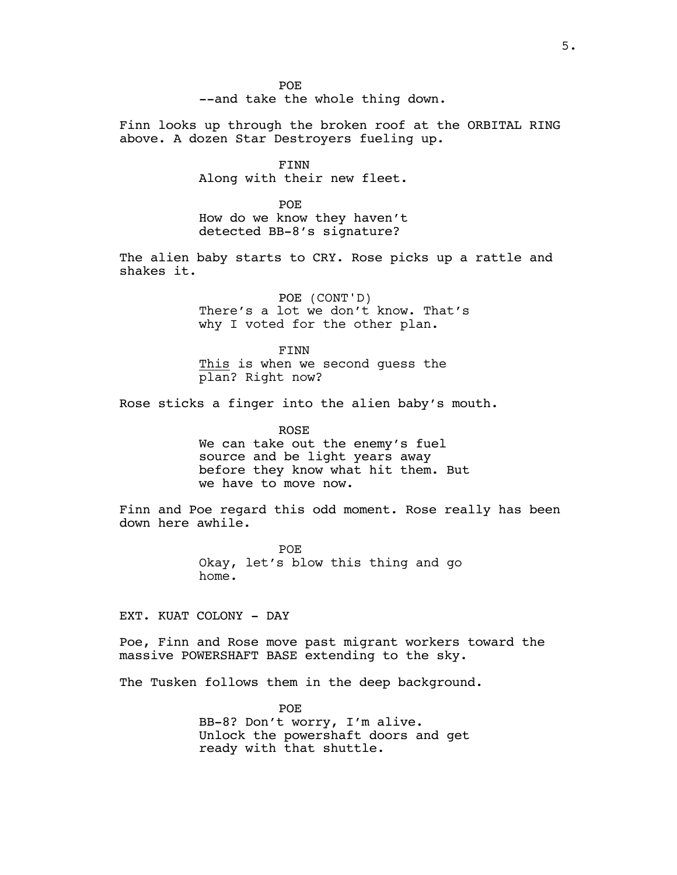POE --and take the whole thing down.

Finn looks up through the broken roof at the ORBITAL RING above. A dozen Star Destroyers fueling up.

> FINN Along with their new fleet.

> POE How do we know they haven't detected BB-8's signature?

The alien baby starts to CRY. Rose picks up a rattle and shakes it.

> POE (CONT'D) There's a lot we don't know. That's why I voted for the other plan.

FINN This is when we second guess the plan? Right now?

Rose sticks a finger into the alien baby's mouth.

ROSE We can take out the enemy's fuel source and be light years away before they know what hit them. But we have to move now.

Finn and Poe regard this odd moment. Rose really has been down here awhile.

> POE Okay, let's blow this thing and go home.

EXT. KUAT COLONY - DAY

Poe, Finn and Rose move past migrant workers toward the massive POWERSHAFT BASE extending to the sky.

The Tusken follows them in the deep background.

POE BB-8? Don't worry, I'm alive. Unlock the powershaft doors and get ready with that shuttle.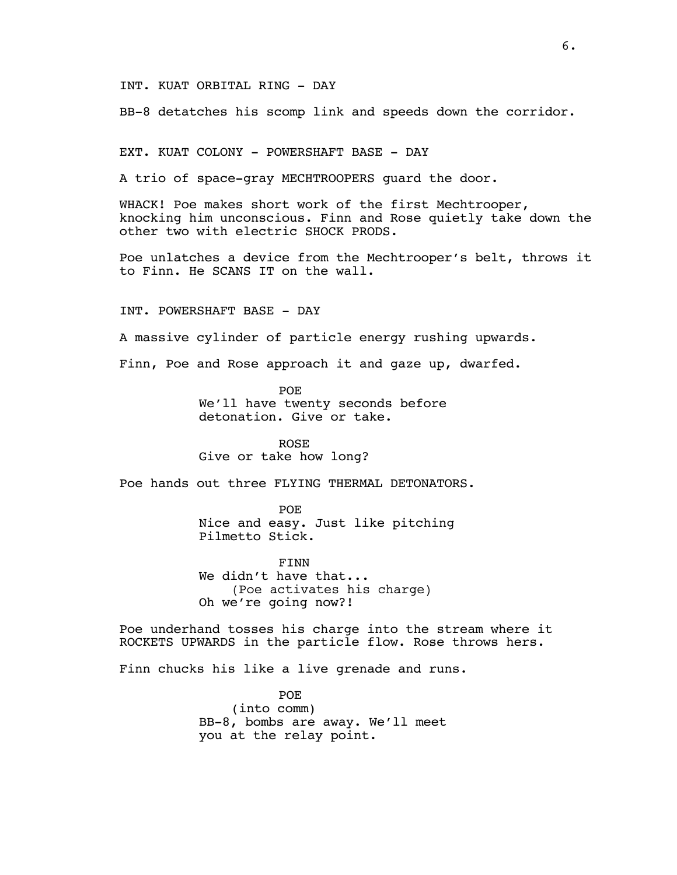INT. KUAT ORBITAL RING - DAY

BB-8 detatches his scomp link and speeds down the corridor.

EXT. KUAT COLONY - POWERSHAFT BASE - DAY

A trio of space-gray MECHTROOPERS guard the door.

WHACK! Poe makes short work of the first Mechtrooper, knocking him unconscious. Finn and Rose quietly take down the other two with electric SHOCK PRODS.

Poe unlatches a device from the Mechtrooper's belt, throws it to Finn. He SCANS IT on the wall.

INT. POWERSHAFT BASE - DAY

A massive cylinder of particle energy rushing upwards.

Finn, Poe and Rose approach it and gaze up, dwarfed.

POE We'll have twenty seconds before detonation. Give or take.

ROSE Give or take how long?

Poe hands out three FLYING THERMAL DETONATORS.

POE Nice and easy. Just like pitching Pilmetto Stick.

FINN We didn't have that... (Poe activates his charge) Oh we're going now?!

Poe underhand tosses his charge into the stream where it ROCKETS UPWARDS in the particle flow. Rose throws hers.

Finn chucks his like a live grenade and runs.

POE (into comm) BB-8, bombs are away. We'll meet you at the relay point.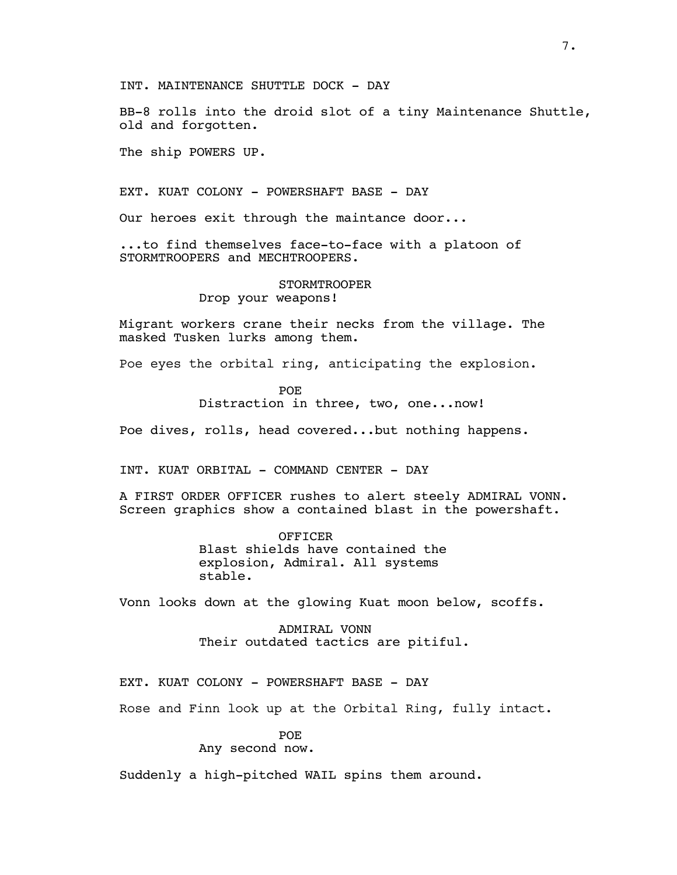INT. MAINTENANCE SHUTTLE DOCK - DAY

BB-8 rolls into the droid slot of a tiny Maintenance Shuttle, old and forgotten.

The ship POWERS UP.

EXT. KUAT COLONY - POWERSHAFT BASE - DAY

Our heroes exit through the maintance door...

...to find themselves face-to-face with a platoon of STORMTROOPERS and MECHTROOPERS.

#### STORMTROOPER

Drop your weapons!

Migrant workers crane their necks from the village. The masked Tusken lurks among them.

Poe eyes the orbital ring, anticipating the explosion.

POE

Distraction in three, two, one...now!

Poe dives, rolls, head covered...but nothing happens.

INT. KUAT ORBITAL - COMMAND CENTER - DAY

A FIRST ORDER OFFICER rushes to alert steely ADMIRAL VONN. Screen graphics show a contained blast in the powershaft.

> OFFICER Blast shields have contained the explosion, Admiral. All systems stable.

Vonn looks down at the glowing Kuat moon below, scoffs.

ADMIRAL VONN Their outdated tactics are pitiful.

EXT. KUAT COLONY - POWERSHAFT BASE - DAY

Rose and Finn look up at the Orbital Ring, fully intact.

## POE

Any second now.

Suddenly a high-pitched WAIL spins them around.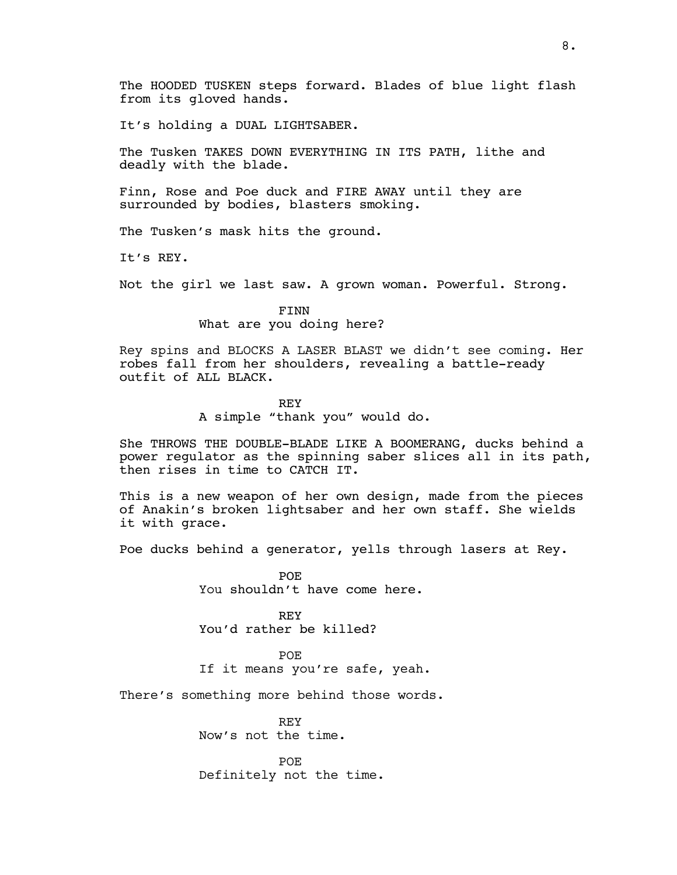The HOODED TUSKEN steps forward. Blades of blue light flash from its gloved hands.

It's holding a DUAL LIGHTSABER.

The Tusken TAKES DOWN EVERYTHING IN ITS PATH, lithe and deadly with the blade.

Finn, Rose and Poe duck and FIRE AWAY until they are surrounded by bodies, blasters smoking.

The Tusken's mask hits the ground.

It's REY.

Not the girl we last saw. A grown woman. Powerful. Strong.

FINN What are you doing here?

Rey spins and BLOCKS A LASER BLAST we didn't see coming. Her robes fall from her shoulders, revealing a battle-ready outfit of ALL BLACK.

> REY A simple "thank you" would do.

She THROWS THE DOUBLE-BLADE LIKE A BOOMERANG, ducks behind a power regulator as the spinning saber slices all in its path, then rises in time to CATCH IT.

This is a new weapon of her own design, made from the pieces of Anakin's broken lightsaber and her own staff. She wields it with grace.

Poe ducks behind a generator, yells through lasers at Rey.

**POE** You shouldn't have come here.

REY You'd rather be killed?

POE If it means you're safe, yeah.

There's something more behind those words.

REY Now's not the time.

POE Definitely not the time.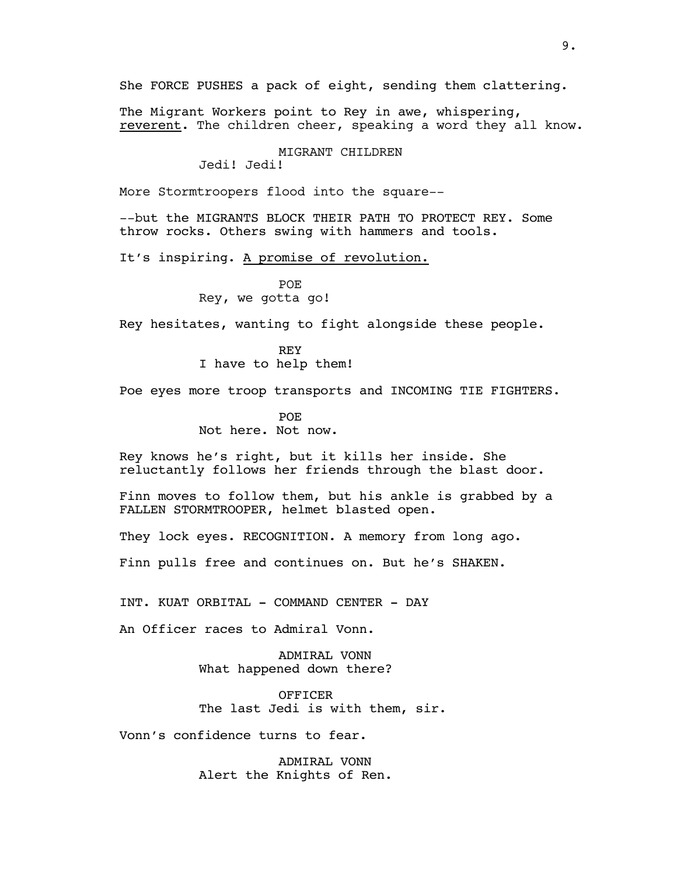She FORCE PUSHES a pack of eight, sending them clattering.

The Migrant Workers point to Rey in awe, whispering, reverent. The children cheer, speaking a word they all know.

#### MIGRANT CHILDREN

Jedi! Jedi!

More Stormtroopers flood into the square--

--but the MIGRANTS BLOCK THEIR PATH TO PROTECT REY. Some throw rocks. Others swing with hammers and tools.

It's inspiring. A promise of revolution.

POE Rey, we gotta go!

Rey hesitates, wanting to fight alongside these people.

REY I have to help them!

Poe eyes more troop transports and INCOMING TIE FIGHTERS.

POE Not here. Not now.

Rey knows he's right, but it kills her inside. She reluctantly follows her friends through the blast door.

Finn moves to follow them, but his ankle is grabbed by a FALLEN STORMTROOPER, helmet blasted open.

They lock eyes. RECOGNITION. A memory from long ago.

Finn pulls free and continues on. But he's SHAKEN.

INT. KUAT ORBITAL - COMMAND CENTER - DAY

An Officer races to Admiral Vonn.

ADMIRAL VONN What happened down there?

OFFICER The last Jedi is with them, sir.

Vonn's confidence turns to fear.

ADMIRAL VONN Alert the Knights of Ren.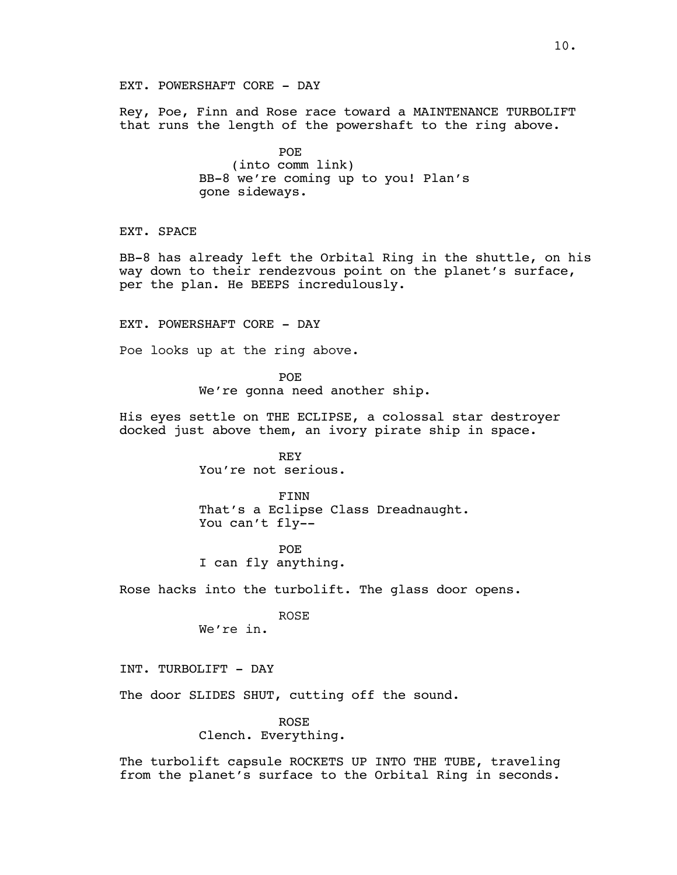EXT. POWERSHAFT CORE - DAY

Rey, Poe, Finn and Rose race toward a MAINTENANCE TURBOLIFT that runs the length of the powershaft to the ring above.

> POE (into comm link) BB-8 we're coming up to you! Plan's gone sideways.

EXT. SPACE

BB-8 has already left the Orbital Ring in the shuttle, on his way down to their rendezvous point on the planet's surface, per the plan. He BEEPS incredulously.

EXT. POWERSHAFT CORE - DAY

Poe looks up at the ring above.

POE We're gonna need another ship.

His eyes settle on THE ECLIPSE, a colossal star destroyer docked just above them, an ivory pirate ship in space.

> REY You're not serious.

FINN That's a Eclipse Class Dreadnaught. You can't fly--

POE I can fly anything.

Rose hacks into the turbolift. The glass door opens.

ROSE We're in.

INT. TURBOLIFT - DAY

The door SLIDES SHUT, cutting off the sound.

ROSE Clench. Everything.

The turbolift capsule ROCKETS UP INTO THE TUBE, traveling from the planet's surface to the Orbital Ring in seconds.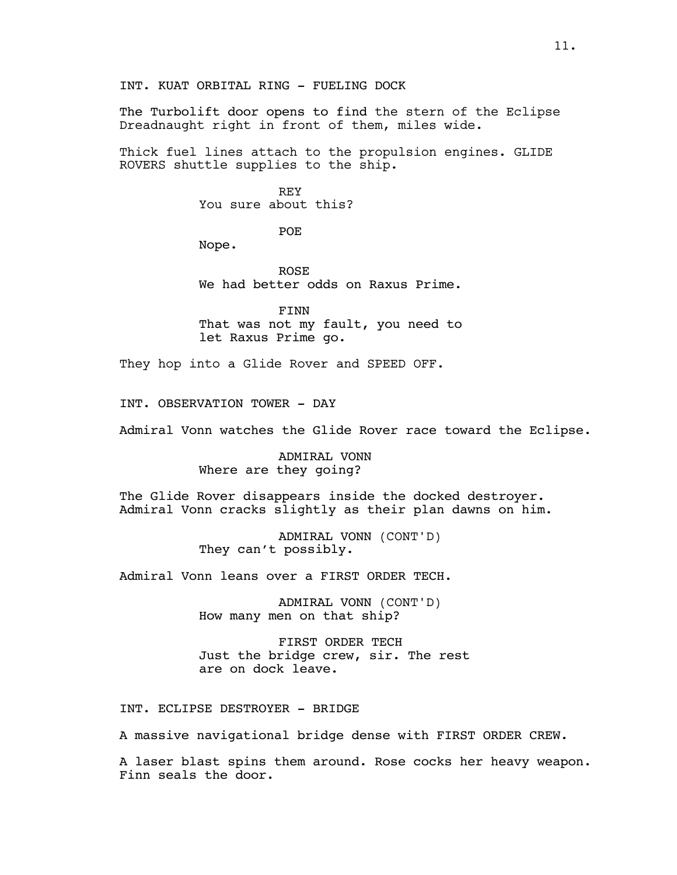The Turbolift door opens to find the stern of the Eclipse Dreadnaught right in front of them, miles wide.

Thick fuel lines attach to the propulsion engines. GLIDE ROVERS shuttle supplies to the ship.

> REY You sure about this?

> > POE

Nope.

ROSE We had better odds on Raxus Prime.

FINN That was not my fault, you need to let Raxus Prime go.

They hop into a Glide Rover and SPEED OFF.

INT. OBSERVATION TOWER - DAY

Admiral Vonn watches the Glide Rover race toward the Eclipse.

ADMIRAL VONN Where are they going?

The Glide Rover disappears inside the docked destroyer. Admiral Vonn cracks slightly as their plan dawns on him.

> ADMIRAL VONN (CONT'D) They can't possibly.

Admiral Vonn leans over a FIRST ORDER TECH.

ADMIRAL VONN (CONT'D) How many men on that ship?

FIRST ORDER TECH Just the bridge crew, sir. The rest are on dock leave.

INT. ECLIPSE DESTROYER - BRIDGE

A massive navigational bridge dense with FIRST ORDER CREW.

A laser blast spins them around. Rose cocks her heavy weapon. Finn seals the door.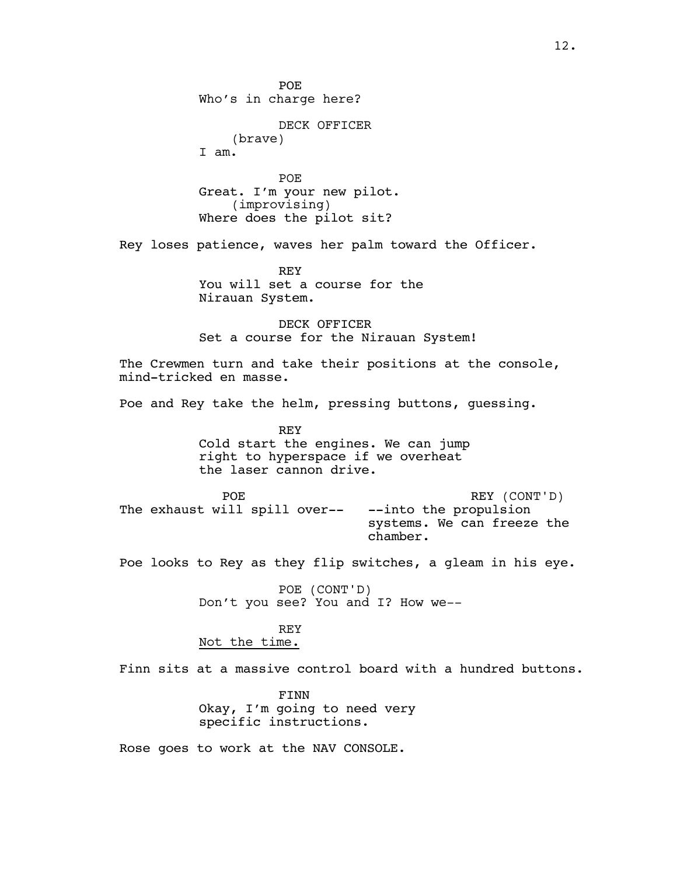POE Who's in charge here? DECK OFFICER (brave) I am. POE Great. I'm your new pilot. (improvising) Where does the pilot sit? Rey loses patience, waves her palm toward the Officer. REY You will set a course for the Nirauan System. DECK OFFICER Set a course for the Nirauan System! The Crewmen turn and take their positions at the console, mind-tricked en masse. Poe and Rey take the helm, pressing buttons, guessing. REY Cold start the engines. We can jump right to hyperspace if we overheat the laser cannon drive. POE The exhaust will spill over-- REY (CONT'D) --into the propulsion systems. We can freeze the chamber. Poe looks to Rey as they flip switches, a gleam in his eye. POE (CONT'D) Don't you see? You and I? How we-- REY Not the time. Finn sits at a massive control board with a hundred buttons. FINN Okay, I'm going to need very specific instructions. Rose goes to work at the NAV CONSOLE.

12.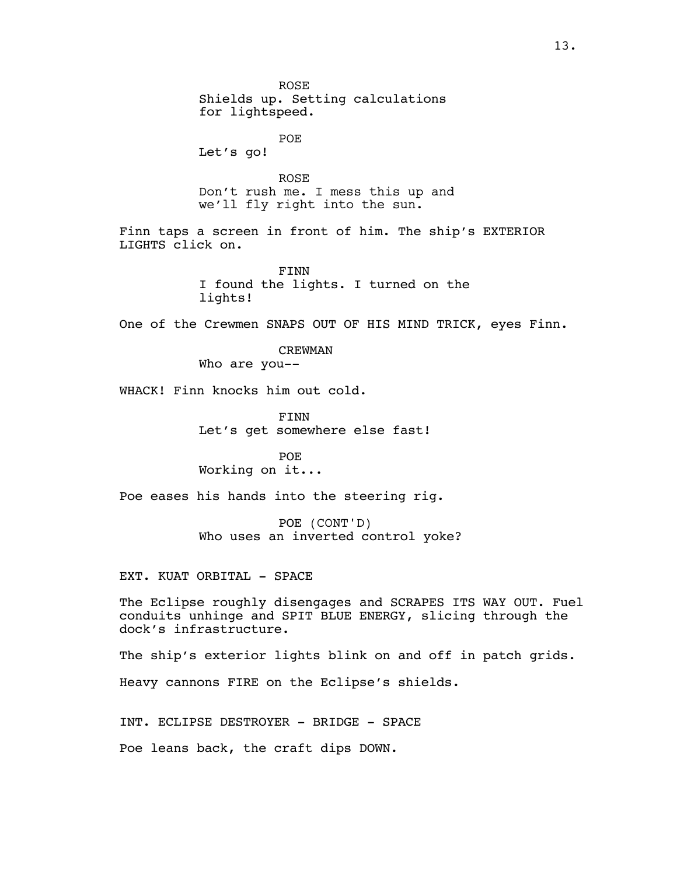ROSE Shields up. Setting calculations for lightspeed. POE Let's go! ROSE Don't rush me. I mess this up and we'll fly right into the sun. Finn taps a screen in front of him. The ship's EXTERIOR LIGHTS click on. FINN I found the lights. I turned on the lights! One of the Crewmen SNAPS OUT OF HIS MIND TRICK, eyes Finn. CREWMAN Who are you-- WHACK! Finn knocks him out cold. FINN Let's get somewhere else fast! POE Working on it... Poe eases his hands into the steering rig. POE (CONT'D) Who uses an inverted control yoke? EXT. KUAT ORBITAL - SPACE The Eclipse roughly disengages and SCRAPES ITS WAY OUT. Fuel conduits unhinge and SPIT BLUE ENERGY, slicing through the dock's infrastructure. The ship's exterior lights blink on and off in patch grids.

Heavy cannons FIRE on the Eclipse's shields.

INT. ECLIPSE DESTROYER - BRIDGE - SPACE

Poe leans back, the craft dips DOWN.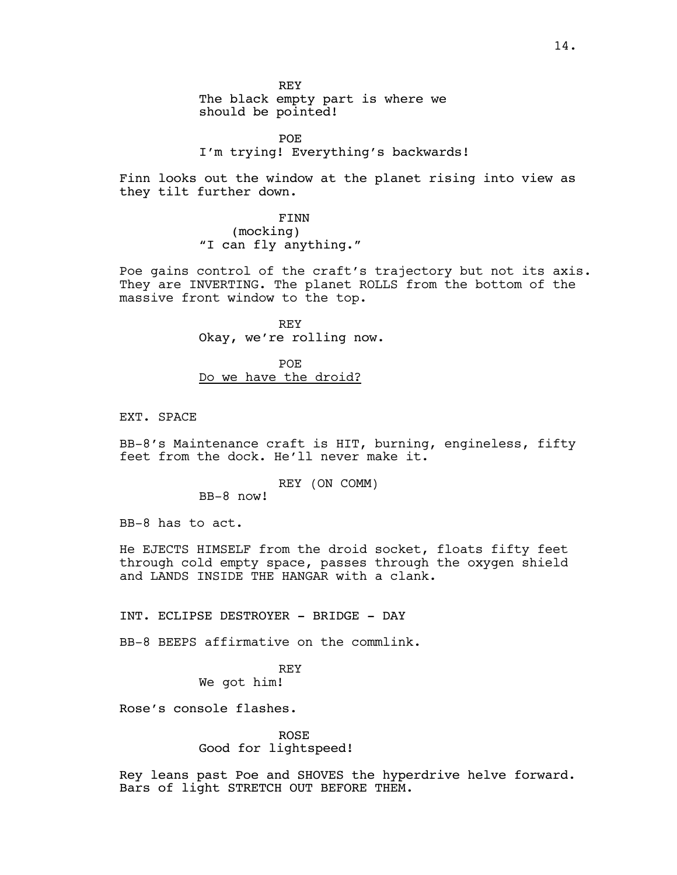REY The black empty part is where we should be pointed!

POE I'm trying! Everything's backwards!

Finn looks out the window at the planet rising into view as they tilt further down.

> FINN (mocking) "I can fly anything."

Poe gains control of the craft's trajectory but not its axis. They are INVERTING. The planet ROLLS from the bottom of the massive front window to the top.

> REY Okay, we're rolling now.

POE Do we have the droid?

EXT. SPACE

BB-8's Maintenance craft is HIT, burning, engineless, fifty feet from the dock. He'll never make it.

REY (ON COMM)

BB-8 now!

BB-8 has to act.

He EJECTS HIMSELF from the droid socket, floats fifty feet through cold empty space, passes through the oxygen shield and LANDS INSIDE THE HANGAR with a clank.

INT. ECLIPSE DESTROYER - BRIDGE - DAY

BB-8 BEEPS affirmative on the commlink.

REY

We got him!

Rose's console flashes.

ROSE Good for lightspeed!

Rey leans past Poe and SHOVES the hyperdrive helve forward. Bars of light STRETCH OUT BEFORE THEM.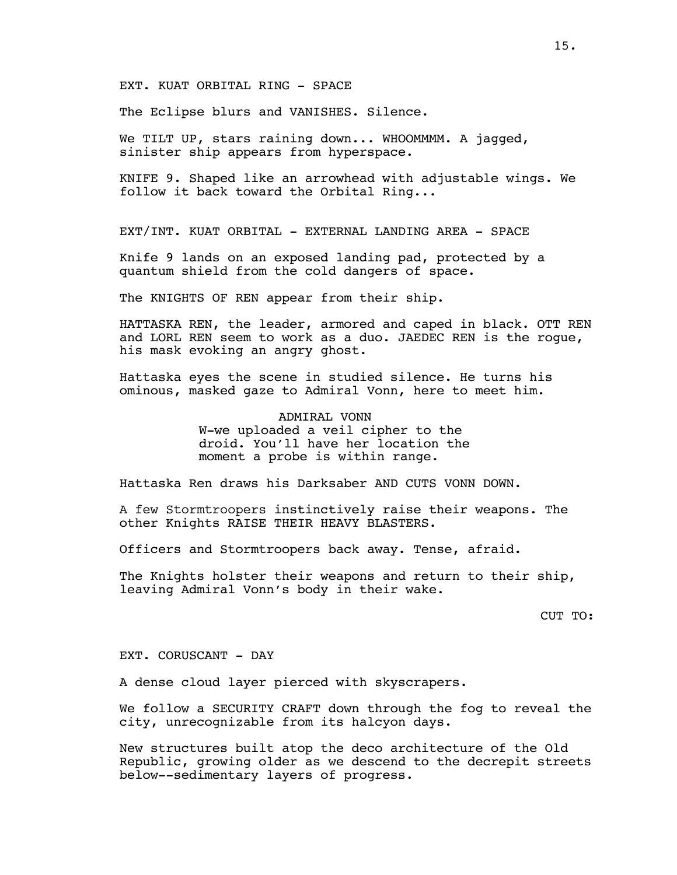EXT. KUAT ORBITAL RING - SPACE

The Eclipse blurs and VANISHES. Silence.

We TILT UP, stars raining down... WHOOMMMM. A jagged, sinister ship appears from hyperspace.

KNIFE 9. Shaped like an arrowhead with adjustable wings. We follow it back toward the Orbital Ring...

EXT/INT. KUAT ORBITAL - EXTERNAL LANDING AREA - SPACE

Knife 9 lands on an exposed landing pad, protected by a quantum shield from the cold dangers of space.

The KNIGHTS OF REN appear from their ship.

HATTASKA REN, the leader, armored and caped in black. OTT REN and LORL REN seem to work as a duo. JAEDEC REN is the rogue, his mask evoking an angry ghost.

Hattaska eyes the scene in studied silence. He turns his ominous, masked gaze to Admiral Vonn, here to meet him.

> ADMIRAL VONN W-we uploaded a veil cipher to the droid. You'll have her location the moment a probe is within range.

Hattaska Ren draws his Darksaber AND CUTS VONN DOWN.

A few Stormtroopers instinctively raise their weapons. The other Knights RAISE THEIR HEAVY BLASTERS.

Officers and Stormtroopers back away. Tense, afraid.

The Knights holster their weapons and return to their ship, leaving Admiral Vonn's body in their wake.

CUT TO:

EXT. CORUSCANT - DAY

A dense cloud layer pierced with skyscrapers.

We follow a SECURITY CRAFT down through the fog to reveal the city, unrecognizable from its halcyon days.

New structures built atop the deco architecture of the Old Republic, growing older as we descend to the decrepit streets below--sedimentary layers of progress.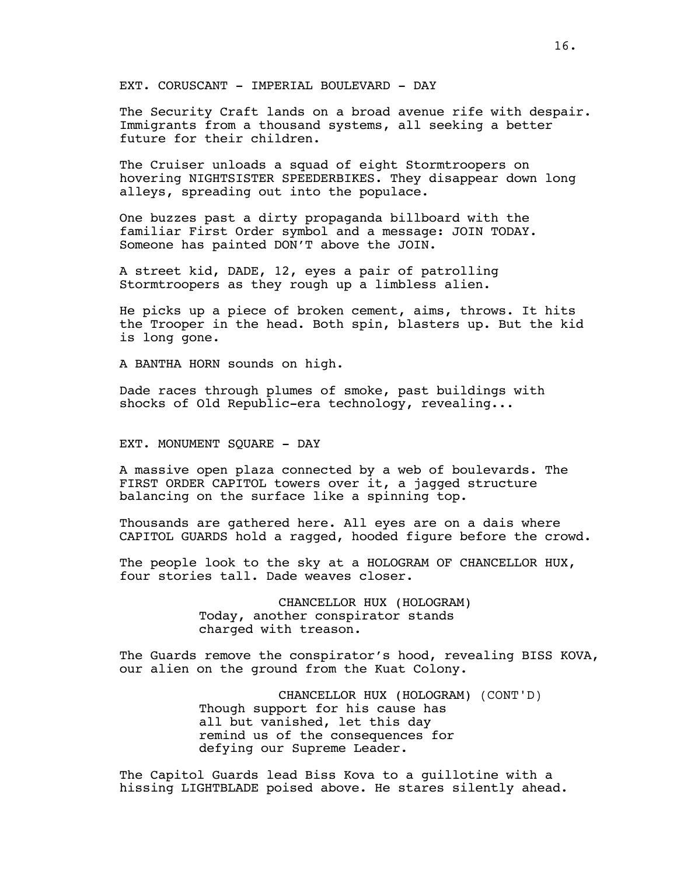EXT. CORUSCANT - IMPERIAL BOULEVARD - DAY

The Security Craft lands on a broad avenue rife with despair. Immigrants from a thousand systems, all seeking a better future for their children.

The Cruiser unloads a squad of eight Stormtroopers on hovering NIGHTSISTER SPEEDERBIKES. They disappear down long alleys, spreading out into the populace.

One buzzes past a dirty propaganda billboard with the familiar First Order symbol and a message: JOIN TODAY. Someone has painted DON'T above the JOIN.

A street kid, DADE, 12, eyes a pair of patrolling Stormtroopers as they rough up a limbless alien.

He picks up a piece of broken cement, aims, throws. It hits the Trooper in the head. Both spin, blasters up. But the kid is long gone.

A BANTHA HORN sounds on high.

Dade races through plumes of smoke, past buildings with shocks of Old Republic-era technology, revealing...

EXT. MONUMENT SQUARE - DAY

A massive open plaza connected by a web of boulevards. The FIRST ORDER CAPITOL towers over it, a jagged structure balancing on the surface like a spinning top.

Thousands are gathered here. All eyes are on a dais where CAPITOL GUARDS hold a ragged, hooded figure before the crowd.

The people look to the sky at a HOLOGRAM OF CHANCELLOR HUX, four stories tall. Dade weaves closer.

> CHANCELLOR HUX (HOLOGRAM) Today, another conspirator stands charged with treason.

The Guards remove the conspirator's hood, revealing BISS KOVA, our alien on the ground from the Kuat Colony.

> CHANCELLOR HUX (HOLOGRAM) (CONT'D) Though support for his cause has all but vanished, let this day remind us of the consequences for defying our Supreme Leader.

The Capitol Guards lead Biss Kova to a guillotine with a hissing LIGHTBLADE poised above. He stares silently ahead.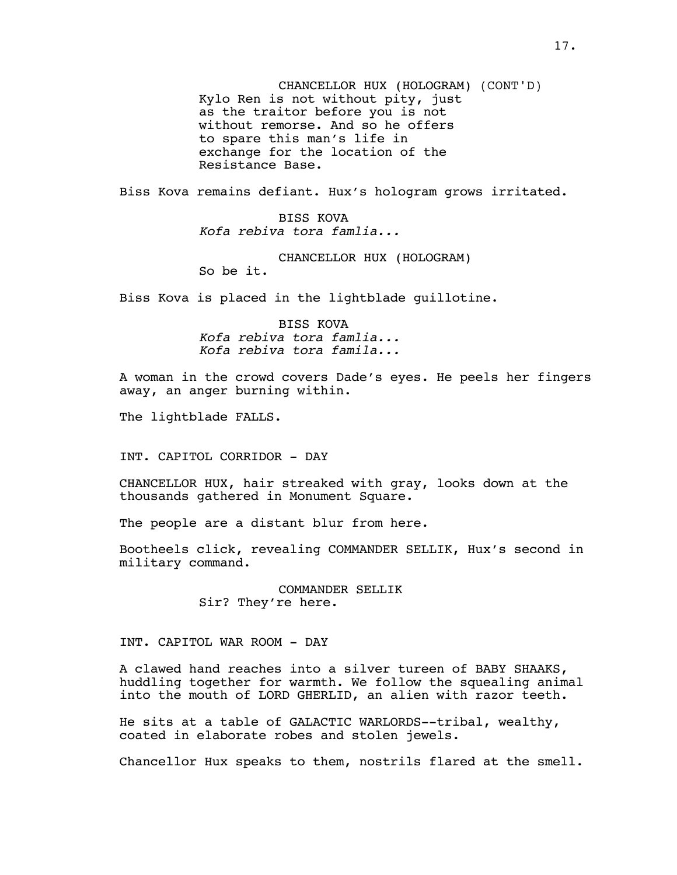CHANCELLOR HUX (HOLOGRAM) (CONT'D) Kylo Ren is not without pity, just as the traitor before you is not without remorse. And so he offers to spare this man's life in exchange for the location of the Resistance Base.

Biss Kova remains defiant. Hux's hologram grows irritated.

BISS KOVA *Kofa rebiva tora famlia...*

CHANCELLOR HUX (HOLOGRAM)

So be it.

Biss Kova is placed in the lightblade guillotine.

BISS KOVA *Kofa rebiva tora famlia... Kofa rebiva tora famila...*

A woman in the crowd covers Dade's eyes. He peels her fingers away, an anger burning within.

The lightblade FALLS.

INT. CAPITOL CORRIDOR - DAY

CHANCELLOR HUX, hair streaked with gray, looks down at the thousands gathered in Monument Square.

The people are a distant blur from here.

Bootheels click, revealing COMMANDER SELLIK, Hux's second in military command.

> COMMANDER SELLIK Sir? They're here.

INT. CAPITOL WAR ROOM - DAY

A clawed hand reaches into a silver tureen of BABY SHAAKS, huddling together for warmth. We follow the squealing animal into the mouth of LORD GHERLID, an alien with razor teeth.

He sits at a table of GALACTIC WARLORDS--tribal, wealthy, coated in elaborate robes and stolen jewels.

Chancellor Hux speaks to them, nostrils flared at the smell.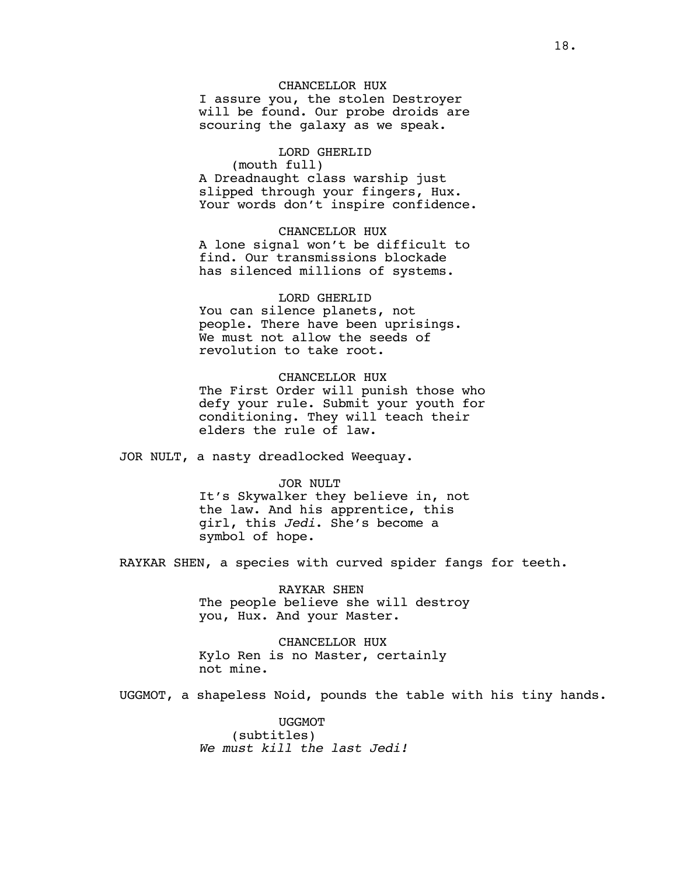#### CHANCELLOR HUX

I assure you, the stolen Destroyer will be found. Our probe droids are scouring the galaxy as we speak.

### LORD GHERLID

(mouth full)

A Dreadnaught class warship just slipped through your fingers, Hux. Your words don't inspire confidence.

CHANCELLOR HUX A lone signal won't be difficult to find. Our transmissions blockade has silenced millions of systems.

#### LORD GHERLID

You can silence planets, not people. There have been uprisings. We must not allow the seeds of revolution to take root.

#### CHANCELLOR HUX

The First Order will punish those who defy your rule. Submit your youth for conditioning. They will teach their elders the rule of law.

JOR NULT, a nasty dreadlocked Weequay.

#### JOR NULT

It's Skywalker they believe in, not the law. And his apprentice, this girl, this *Jedi*. She's become a symbol of hope.

RAYKAR SHEN, a species with curved spider fangs for teeth.

RAYKAR SHEN The people believe she will destroy you, Hux. And your Master.

CHANCELLOR HUX Kylo Ren is no Master, certainly not mine.

UGGMOT, a shapeless Noid, pounds the table with his tiny hands.

UGGMOT (subtitles) *We must kill the last Jedi!*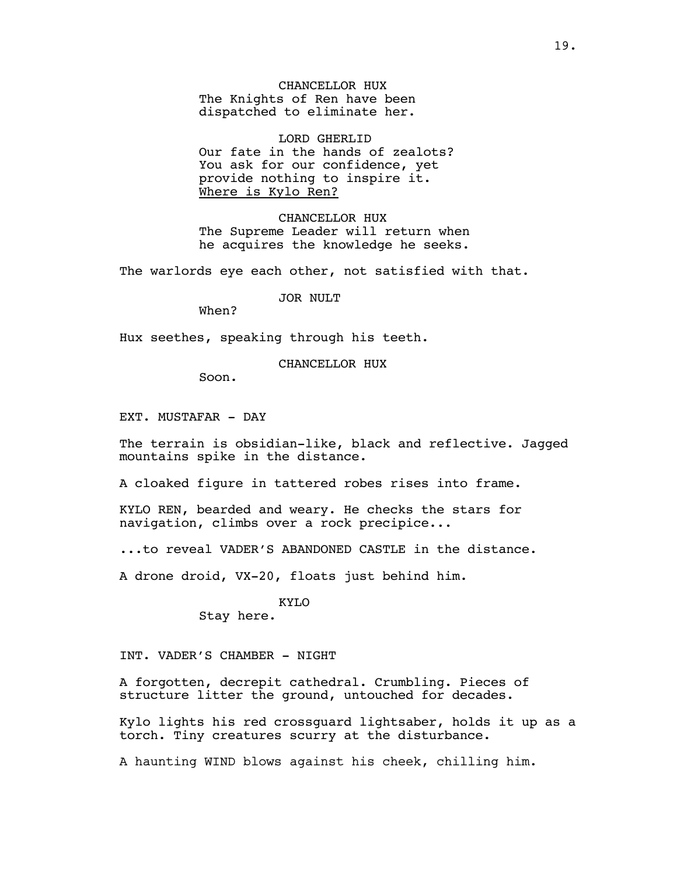CHANCELLOR HUX The Knights of Ren have been dispatched to eliminate her.

LORD GHERLID Our fate in the hands of zealots? You ask for our confidence, yet provide nothing to inspire it. Where is Kylo Ren?

CHANCELLOR HUX The Supreme Leader will return when he acquires the knowledge he seeks.

The warlords eye each other, not satisfied with that.

JOR NULT

When?

Hux seethes, speaking through his teeth.

CHANCELLOR HUX

Soon.

EXT. MUSTAFAR - DAY

The terrain is obsidian-like, black and reflective. Jagged mountains spike in the distance.

A cloaked figure in tattered robes rises into frame.

KYLO REN, bearded and weary. He checks the stars for navigation, climbs over a rock precipice...

...to reveal VADER'S ABANDONED CASTLE in the distance.

A drone droid, VX-20, floats just behind him.

#### KYLO

Stay here.

INT. VADER'S CHAMBER - NIGHT

A forgotten, decrepit cathedral. Crumbling. Pieces of structure litter the ground, untouched for decades.

Kylo lights his red crossguard lightsaber, holds it up as a torch. Tiny creatures scurry at the disturbance.

A haunting WIND blows against his cheek, chilling him.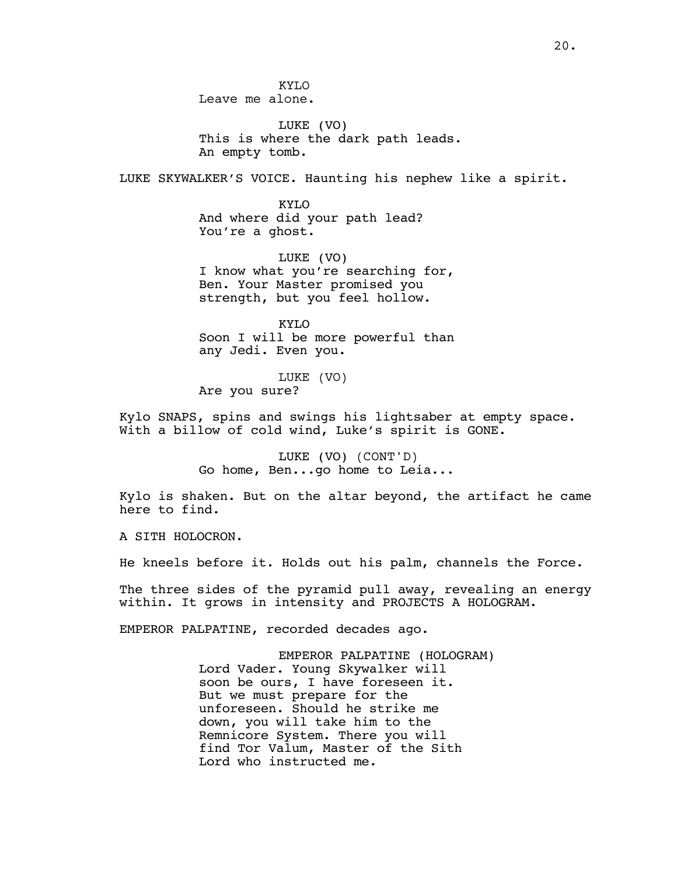LUKE (VO) This is where the dark path leads. An empty tomb.

LUKE SKYWALKER'S VOICE. Haunting his nephew like a spirit.

KYLO And where did your path lead? You're a ghost.

LUKE (VO) I know what you're searching for, Ben. Your Master promised you strength, but you feel hollow.

KYLO Soon I will be more powerful than any Jedi. Even you.

LUKE (VO) Are you sure?

Kylo SNAPS, spins and swings his lightsaber at empty space. With a billow of cold wind, Luke's spirit is GONE.

> LUKE (VO) (CONT'D) Go home, Ben...go home to Leia...

Kylo is shaken. But on the altar beyond, the artifact he came here to find.

A SITH HOLOCRON.

He kneels before it. Holds out his palm, channels the Force.

The three sides of the pyramid pull away, revealing an energy within. It grows in intensity and PROJECTS A HOLOGRAM.

EMPEROR PALPATINE, recorded decades ago.

EMPEROR PALPATINE (HOLOGRAM) Lord Vader. Young Skywalker will soon be ours, I have foreseen it. But we must prepare for the unforeseen. Should he strike me down, you will take him to the Remnicore System. There you will find Tor Valum, Master of the Sith Lord who instructed me.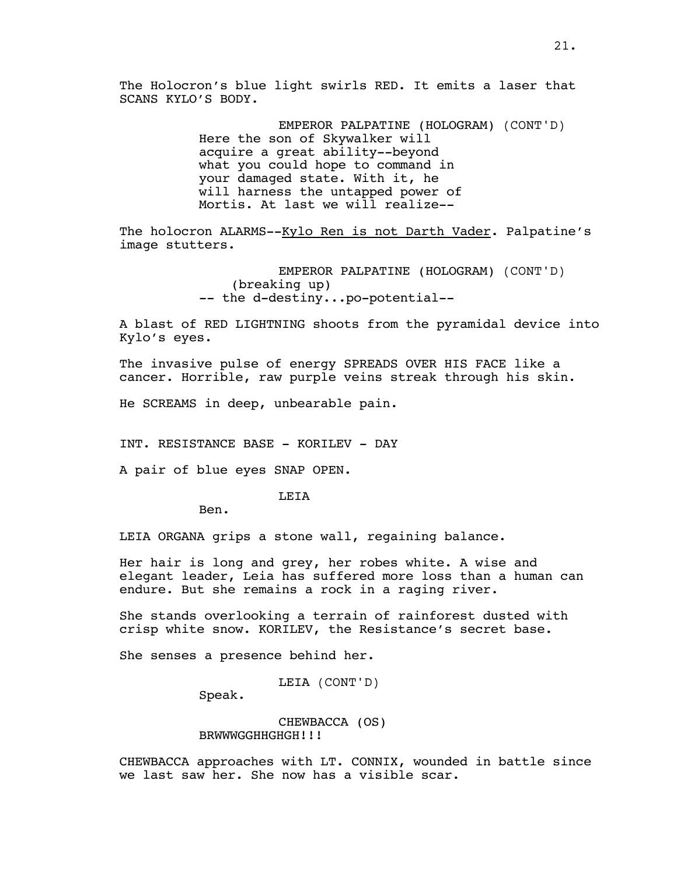The Holocron's blue light swirls RED. It emits a laser that SCANS KYLO'S BODY.

> EMPEROR PALPATINE (HOLOGRAM) (CONT'D) Here the son of Skywalker will acquire a great ability--beyond what you could hope to command in your damaged state. With it, he will harness the untapped power of Mortis. At last we will realize--

The holocron ALARMS--Kylo Ren is not Darth Vader. Palpatine's image stutters.

> EMPEROR PALPATINE (HOLOGRAM) (CONT'D) (breaking up) -- the d-destiny...po-potential--

A blast of RED LIGHTNING shoots from the pyramidal device into Kylo's eyes.

The invasive pulse of energy SPREADS OVER HIS FACE like a cancer. Horrible, raw purple veins streak through his skin.

He SCREAMS in deep, unbearable pain.

INT. RESISTANCE BASE - KORILEV - DAY

A pair of blue eyes SNAP OPEN.

**LETA** 

Ben.

LEIA ORGANA grips a stone wall, regaining balance.

Her hair is long and grey, her robes white. A wise and elegant leader, Leia has suffered more loss than a human can endure. But she remains a rock in a raging river.

She stands overlooking a terrain of rainforest dusted with crisp white snow. KORILEV, the Resistance's secret base.

She senses a presence behind her.

LEIA (CONT'D)

Speak.

CHEWBACCA (OS) BRWWWGGHHGHGH!!!

CHEWBACCA approaches with LT. CONNIX, wounded in battle since we last saw her. She now has a visible scar.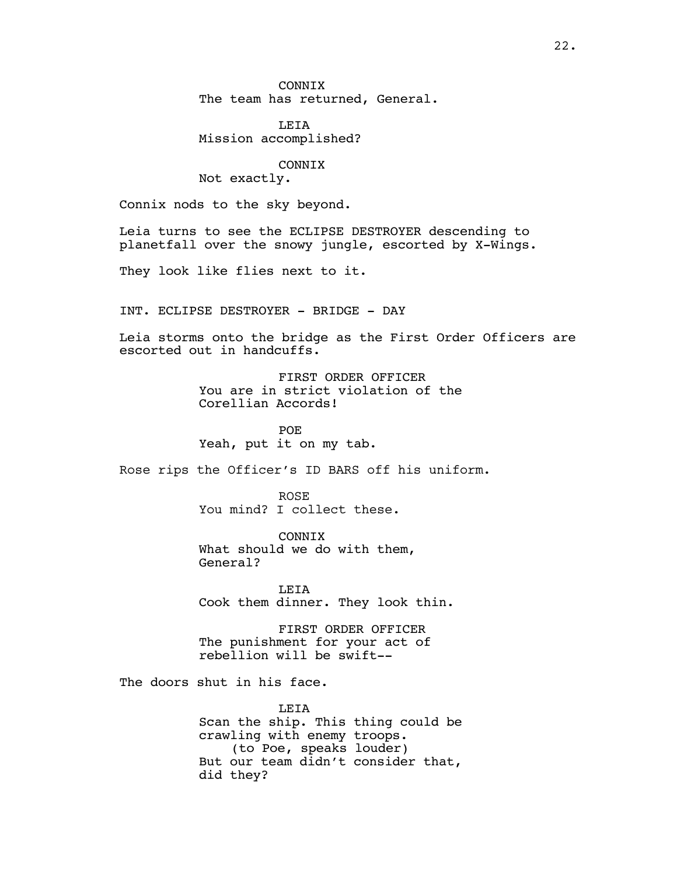**CONNTX** The team has returned, General.

LEIA Mission accomplished?

## CONNIX

Not exactly.

Connix nods to the sky beyond.

Leia turns to see the ECLIPSE DESTROYER descending to planetfall over the snowy jungle, escorted by X-Wings.

They look like flies next to it.

INT. ECLIPSE DESTROYER - BRIDGE - DAY

Leia storms onto the bridge as the First Order Officers are escorted out in handcuffs.

> FIRST ORDER OFFICER You are in strict violation of the Corellian Accords!

POE Yeah, put it on my tab.

Rose rips the Officer's ID BARS off his uniform.

ROSE You mind? I collect these.

CONNIX What should we do with them, General?

LEIA Cook them dinner. They look thin.

FIRST ORDER OFFICER The punishment for your act of rebellion will be swift--

The doors shut in his face.

LEIA Scan the ship. This thing could be crawling with enemy troops. (to Poe, speaks louder) But our team didn't consider that, did they?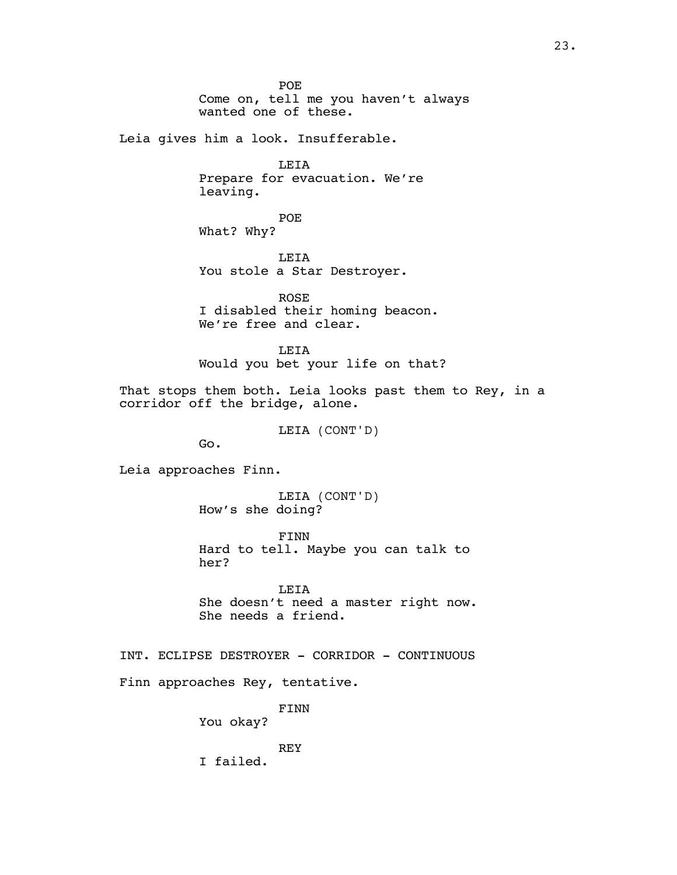POE Come on, tell me you haven't always wanted one of these.

Leia gives him a look. Insufferable.

LEIA Prepare for evacuation. We're leaving.

POE What? Why?

LEIA You stole a Star Destroyer.

ROSE I disabled their homing beacon. We're free and clear.

**LETA** Would you bet your life on that?

That stops them both. Leia looks past them to Rey, in a corridor off the bridge, alone.

LEIA (CONT'D)

Go.

Leia approaches Finn.

LEIA (CONT'D) How's she doing?

FINN Hard to tell. Maybe you can talk to her?

LEIA She doesn't need a master right now. She needs a friend.

INT. ECLIPSE DESTROYER - CORRIDOR - CONTINUOUS Finn approaches Rey, tentative.

FINN

You okay?

REY I failed.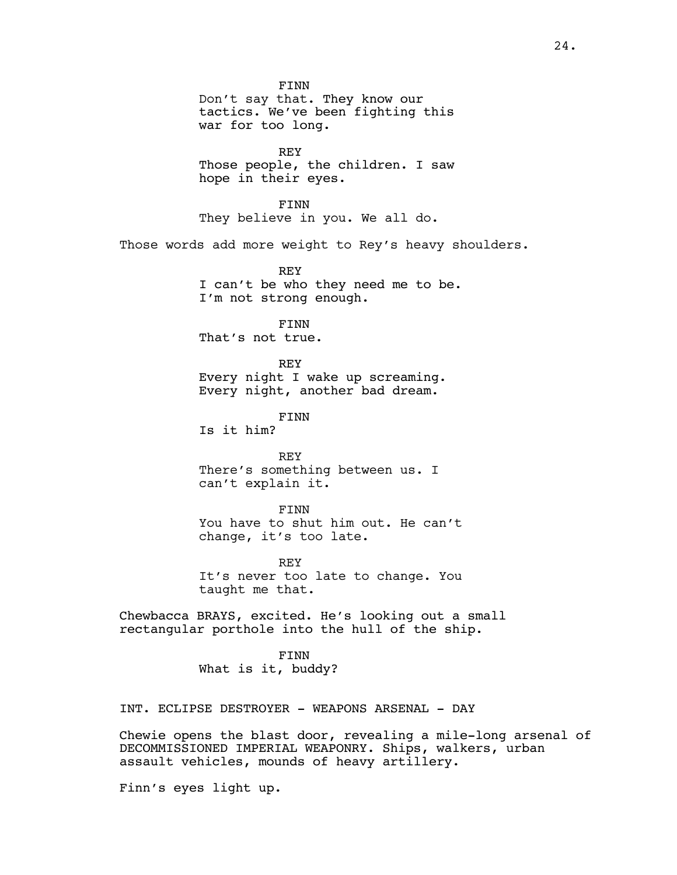FINN Don't say that. They know our tactics. We've been fighting this war for too long. REY Those people, the children. I saw hope in their eyes. FINN They believe in you. We all do. Those words add more weight to Rey's heavy shoulders. REY I can't be who they need me to be. I'm not strong enough. FINN That's not true. REY Every night I wake up screaming. Every night, another bad dream. FINN Is it him? REY There's something between us. I can't explain it. FINN You have to shut him out. He can't change, it's too late. REY It's never too late to change. You taught me that. Chewbacca BRAYS, excited. He's looking out a small rectangular porthole into the hull of the ship. FINN What is it, buddy? INT. ECLIPSE DESTROYER - WEAPONS ARSENAL - DAY

Chewie opens the blast door, revealing a mile-long arsenal of DECOMMISSIONED IMPERIAL WEAPONRY. Ships, walkers, urban assault vehicles, mounds of heavy artillery.

Finn's eyes light up.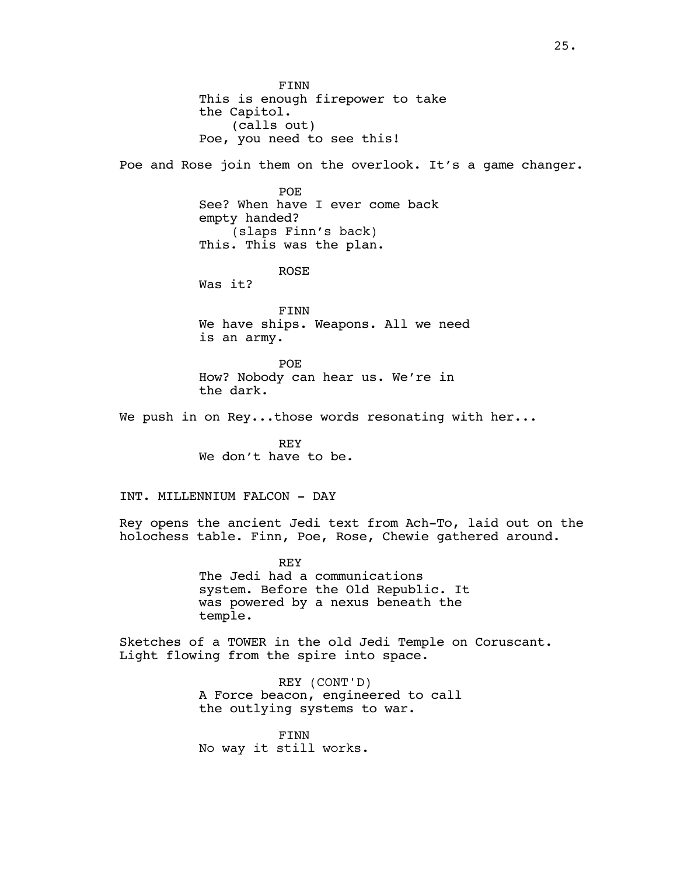FINN This is enough firepower to take the Capitol. (calls out) Poe, you need to see this!

Poe and Rose join them on the overlook. It's a game changer.

POE See? When have I ever come back empty handed? (slaps Finn's back) This. This was the plan.

ROSE

Was it?

FINN We have ships. Weapons. All we need is an army.

POE How? Nobody can hear us. We're in the dark.

We push in on Rey...those words resonating with her...

REY We don't have to be.

INT. MILLENNIUM FALCON - DAY

Rey opens the ancient Jedi text from Ach-To, laid out on the holochess table. Finn, Poe, Rose, Chewie gathered around.

> REY The Jedi had a communications system. Before the Old Republic. It was powered by a nexus beneath the temple.

Sketches of a TOWER in the old Jedi Temple on Coruscant. Light flowing from the spire into space.

> REY (CONT'D) A Force beacon, engineered to call the outlying systems to war.

FINN No way it still works.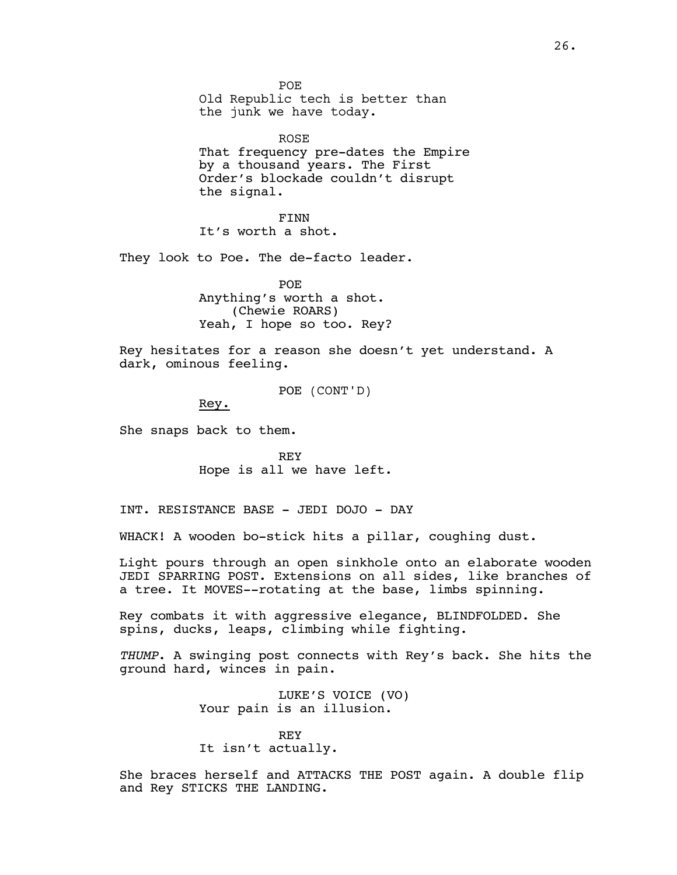POE Old Republic tech is better than the junk we have today.

ROSE That frequency pre-dates the Empire by a thousand years. The First Order's blockade couldn't disrupt the signal.

FINN It's worth a shot.

They look to Poe. The de-facto leader.

POE Anything's worth a shot. (Chewie ROARS) Yeah, I hope so too. Rey?

Rey hesitates for a reason she doesn't yet understand. A dark, ominous feeling.

POE (CONT'D)

Rey.

She snaps back to them.

REY Hope is all we have left.

INT. RESISTANCE BASE - JEDI DOJO - DAY

WHACK! A wooden bo-stick hits a pillar, coughing dust.

Light pours through an open sinkhole onto an elaborate wooden JEDI SPARRING POST. Extensions on all sides, like branches of a tree. It MOVES--rotating at the base, limbs spinning.

Rey combats it with aggressive elegance, BLINDFOLDED. She spins, ducks, leaps, climbing while fighting.

*THUMP*. A swinging post connects with Rey's back. She hits the ground hard, winces in pain.

> LUKE'S VOICE (VO) Your pain is an illusion.

REY It isn't actually.

She braces herself and ATTACKS THE POST again. A double flip and Rey STICKS THE LANDING.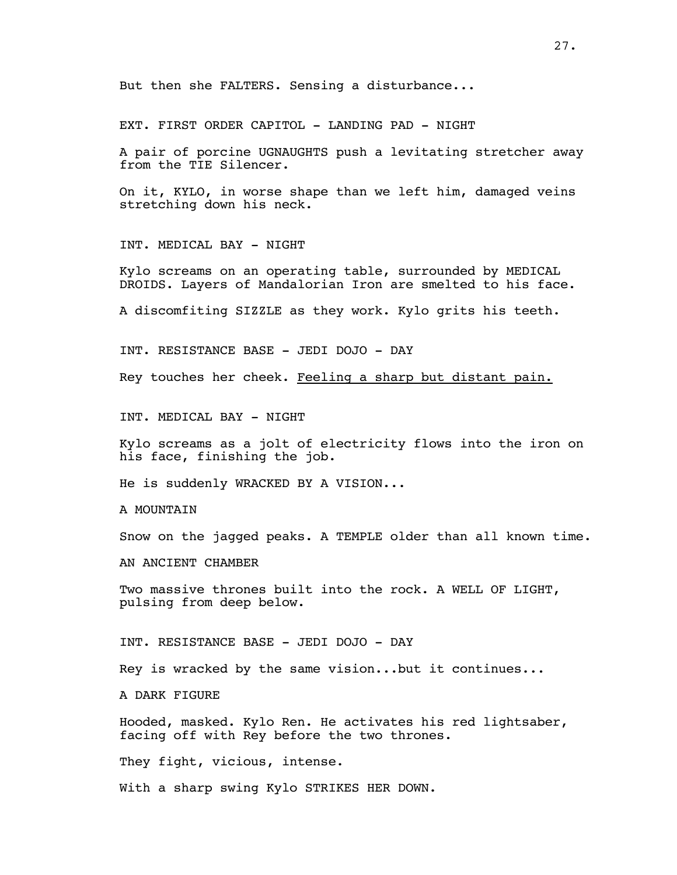EXT. FIRST ORDER CAPITOL - LANDING PAD - NIGHT

A pair of porcine UGNAUGHTS push a levitating stretcher away from the TIE Silencer.

On it, KYLO, in worse shape than we left him, damaged veins stretching down his neck.

INT. MEDICAL BAY - NIGHT

Kylo screams on an operating table, surrounded by MEDICAL DROIDS. Layers of Mandalorian Iron are smelted to his face.

A discomfiting SIZZLE as they work. Kylo grits his teeth.

INT. RESISTANCE BASE - JEDI DOJO - DAY

Rey touches her cheek. Feeling a sharp but distant pain.

INT. MEDICAL BAY - NIGHT

Kylo screams as a jolt of electricity flows into the iron on his face, finishing the job.

He is suddenly WRACKED BY A VISION...

A MOUNTAIN

Snow on the jagged peaks. A TEMPLE older than all known time.

AN ANCIENT CHAMBER

Two massive thrones built into the rock. A WELL OF LIGHT, pulsing from deep below.

INT. RESISTANCE BASE - JEDI DOJO - DAY

Rey is wracked by the same vision...but it continues...

A DARK FIGURE

Hooded, masked. Kylo Ren. He activates his red lightsaber, facing off with Rey before the two thrones.

They fight, vicious, intense.

With a sharp swing Kylo STRIKES HER DOWN.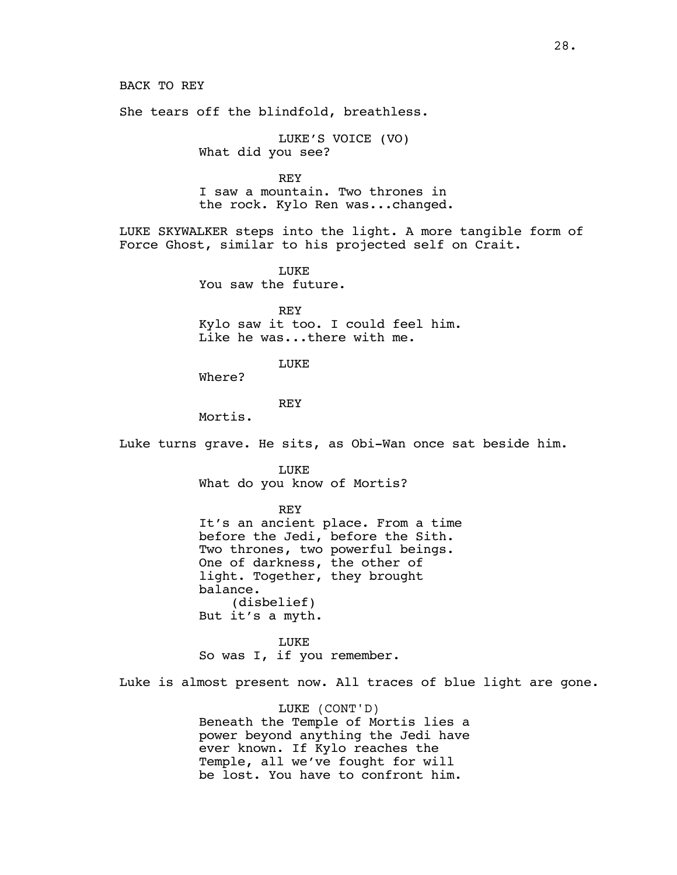BACK TO REY

She tears off the blindfold, breathless.

LUKE'S VOICE (VO) What did you see?

REY I saw a mountain. Two thrones in the rock. Kylo Ren was...changed.

LUKE SKYWALKER steps into the light. A more tangible form of Force Ghost, similar to his projected self on Crait.

> LUKE You saw the future.

REY Kylo saw it too. I could feel him. Like he was...there with me.

LUKE

Where?

**REY** 

Mortis.

Luke turns grave. He sits, as Obi-Wan once sat beside him.

LUKE

What do you know of Mortis?

REY

It's an ancient place. From a time before the Jedi, before the Sith. Two thrones, two powerful beings. One of darkness, the other of light. Together, they brought balance. (disbelief) But it's a myth.

LUKE So was I, if you remember.

Luke is almost present now. All traces of blue light are gone.

LUKE (CONT'D) Beneath the Temple of Mortis lies a power beyond anything the Jedi have ever known. If Kylo reaches the Temple, all we've fought for will be lost. You have to confront him.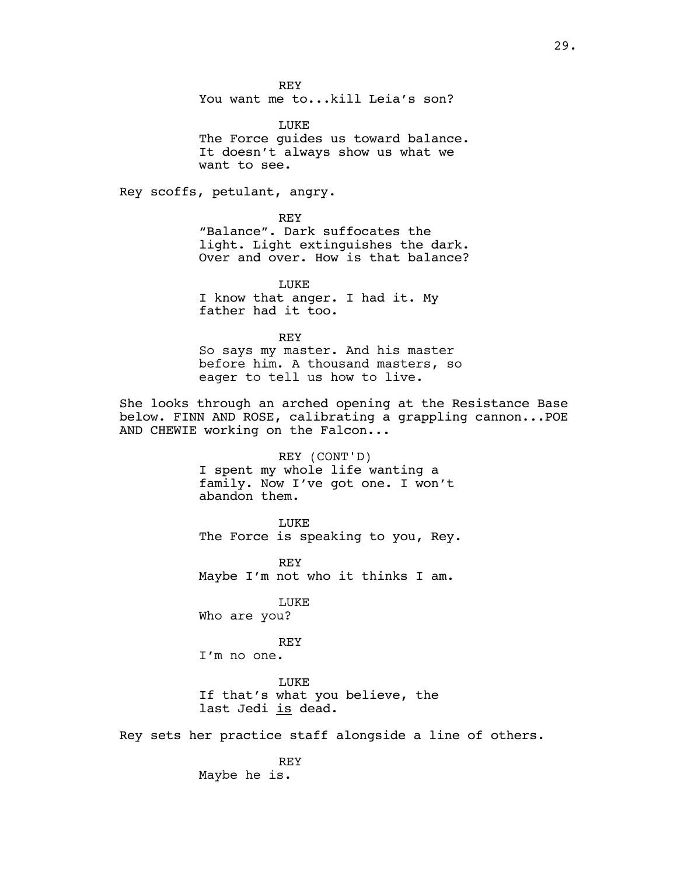REY

You want me to...kill Leia's son?

LUKE The Force guides us toward balance. It doesn't always show us what we want to see.

Rey scoffs, petulant, angry.

REY "Balance". Dark suffocates the light. Light extinguishes the dark. Over and over. How is that balance?

LUKE I know that anger. I had it. My father had it too.

REY So says my master. And his master before him. A thousand masters, so eager to tell us how to live.

She looks through an arched opening at the Resistance Base below. FINN AND ROSE, calibrating a grappling cannon...POE AND CHEWIE working on the Falcon...

> REY (CONT'D) I spent my whole life wanting a family. Now I've got one. I won't abandon them.

LUKE The Force is speaking to you, Rey.

REY Maybe I'm not who it thinks I am.

LUKE Who are you?

REY

I'm no one.

LUKE If that's what you believe, the last Jedi is dead.

Rey sets her practice staff alongside a line of others.

REY Maybe he is.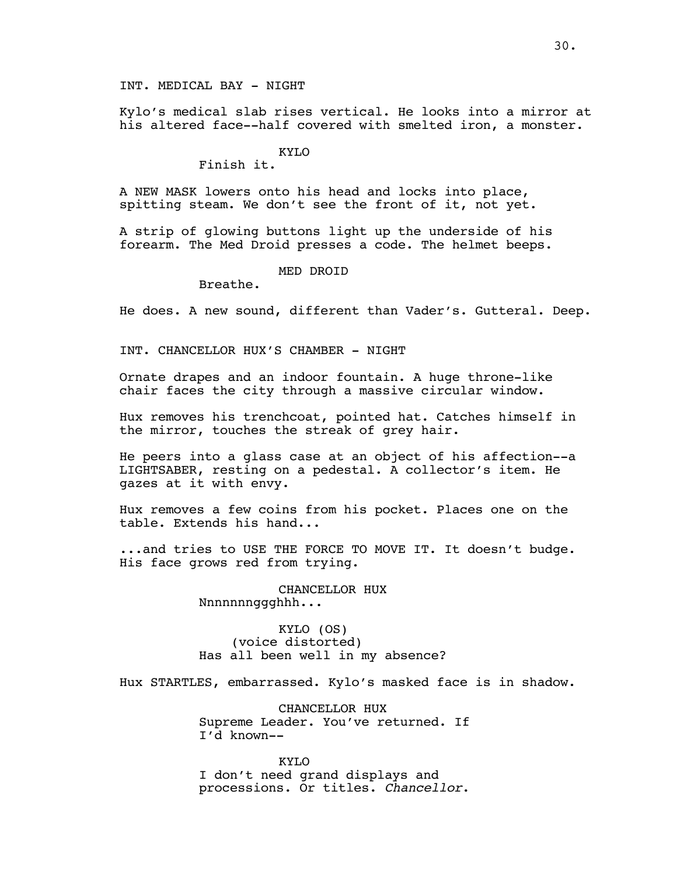INT. MEDICAL BAY - NIGHT

Kylo's medical slab rises vertical. He looks into a mirror at his altered face--half covered with smelted iron, a monster.

## KYLO

Finish it.

A NEW MASK lowers onto his head and locks into place, spitting steam. We don't see the front of it, not yet.

A strip of glowing buttons light up the underside of his forearm. The Med Droid presses a code. The helmet beeps.

#### MED DROID

Breathe.

He does. A new sound, different than Vader's. Gutteral. Deep.

INT. CHANCELLOR HUX'S CHAMBER - NIGHT

Ornate drapes and an indoor fountain. A huge throne-like chair faces the city through a massive circular window.

Hux removes his trenchcoat, pointed hat. Catches himself in the mirror, touches the streak of grey hair.

He peers into a glass case at an object of his affection--a LIGHTSABER, resting on a pedestal. A collector's item. He gazes at it with envy.

Hux removes a few coins from his pocket. Places one on the table. Extends his hand...

...and tries to USE THE FORCE TO MOVE IT. It doesn't budge. His face grows red from trying.

> CHANCELLOR HUX Nnnnnnnggghhh...

KYLO (OS) (voice distorted) Has all been well in my absence?

Hux STARTLES, embarrassed. Kylo's masked face is in shadow.

CHANCELLOR HUX Supreme Leader. You've returned. If I'd known--

KYLO I don't need grand displays and processions. Or titles. *Chancellor*.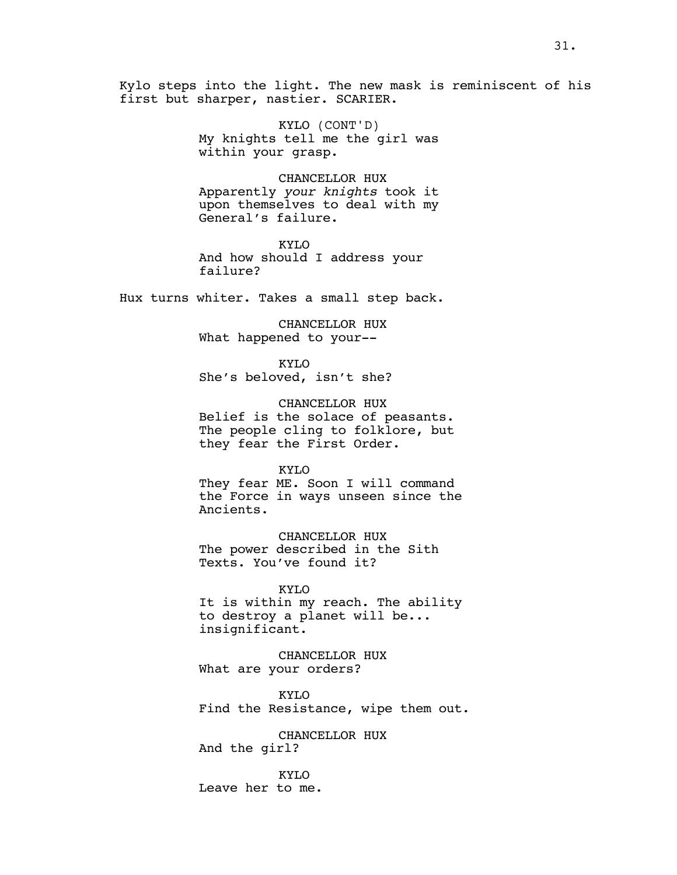Kylo steps into the light. The new mask is reminiscent of his first but sharper, nastier. SCARIER.

> KYLO (CONT'D) My knights tell me the girl was within your grasp.

> CHANCELLOR HUX Apparently *your knights* took it upon themselves to deal with my General's failure.

KYLO And how should I address your failure?

Hux turns whiter. Takes a small step back.

CHANCELLOR HUX What happened to your--

KYLO She's beloved, isn't she?

CHANCELLOR HUX Belief is the solace of peasants. The people cling to folklore, but they fear the First Order.

KYLO

They fear ME. Soon I will command the Force in ways unseen since the Ancients.

CHANCELLOR HUX The power described in the Sith Texts. You've found it?

KYLO It is within my reach. The ability to destroy a planet will be... insignificant.

CHANCELLOR HUX What are your orders?

KYLO Find the Resistance, wipe them out.

CHANCELLOR HUX And the girl?

KYLO Leave her to me.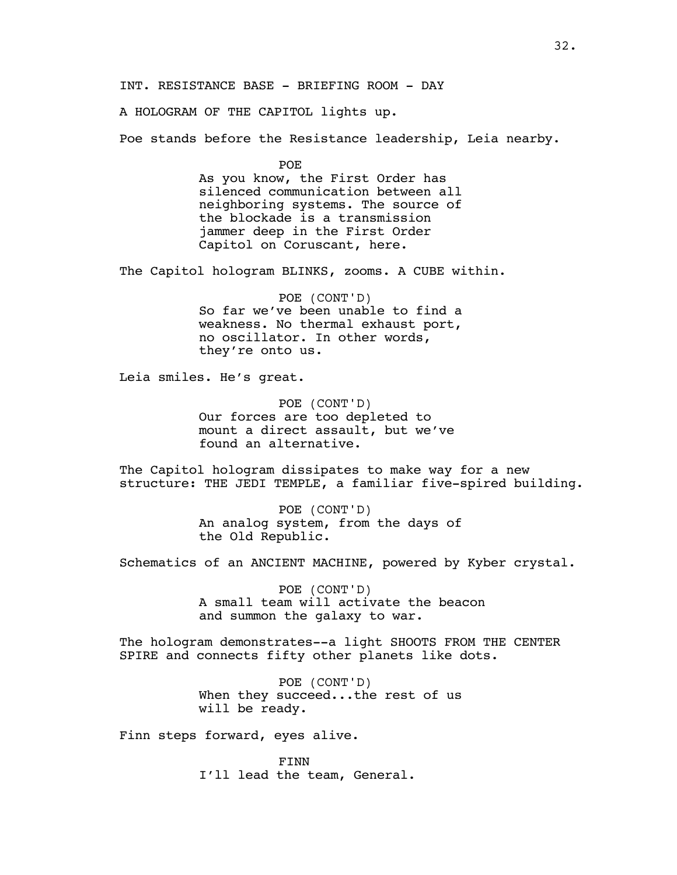INT. RESISTANCE BASE - BRIEFING ROOM - DAY

A HOLOGRAM OF THE CAPITOL lights up.

Poe stands before the Resistance leadership, Leia nearby.

POE

As you know, the First Order has silenced communication between all neighboring systems. The source of the blockade is a transmission jammer deep in the First Order Capitol on Coruscant, here.

The Capitol hologram BLINKS, zooms. A CUBE within.

POE (CONT'D) So far we've been unable to find a weakness. No thermal exhaust port, no oscillator. In other words, they're onto us.

Leia smiles. He's great.

POE (CONT'D) Our forces are too depleted to mount a direct assault, but we've found an alternative.

The Capitol hologram dissipates to make way for a new structure: THE JEDI TEMPLE, a familiar five-spired building.

> POE (CONT'D) An analog system, from the days of the Old Republic.

Schematics of an ANCIENT MACHINE, powered by Kyber crystal.

POE (CONT'D) A small team will activate the beacon and summon the galaxy to war.

The hologram demonstrates--a light SHOOTS FROM THE CENTER SPIRE and connects fifty other planets like dots.

> POE (CONT'D) When they succeed...the rest of us will be ready.

Finn steps forward, eyes alive.

FINN I'll lead the team, General.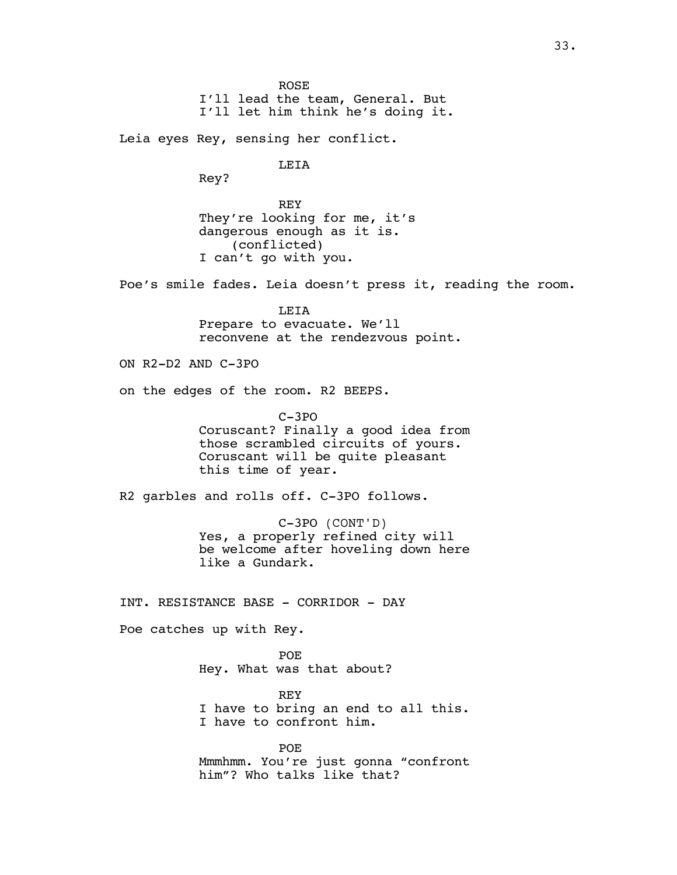ROSE I'll lead the team, General. But I'll let him think he's doing it. Leia eyes Rey, sensing her conflict. LEIA Rey? REY They're looking for me, it's dangerous enough as it is. (conflicted)

I can't go with you.

Poe's smile fades. Leia doesn't press it, reading the room.

LEIA Prepare to evacuate. We'll reconvene at the rendezvous point.

ON R2-D2 AND C-3PO

on the edges of the room. R2 BEEPS.

C-3PO Coruscant? Finally a good idea from those scrambled circuits of yours. Coruscant will be quite pleasant this time of year.

R2 garbles and rolls off. C-3PO follows.

C-3PO (CONT'D) Yes, a properly refined city will be welcome after hoveling down here like a Gundark.

INT. RESISTANCE BASE - CORRIDOR - DAY

Poe catches up with Rey.

POE Hey. What was that about?

REY I have to bring an end to all this. I have to confront him.

POE Mmmhmm. You're just gonna "confront him"? Who talks like that?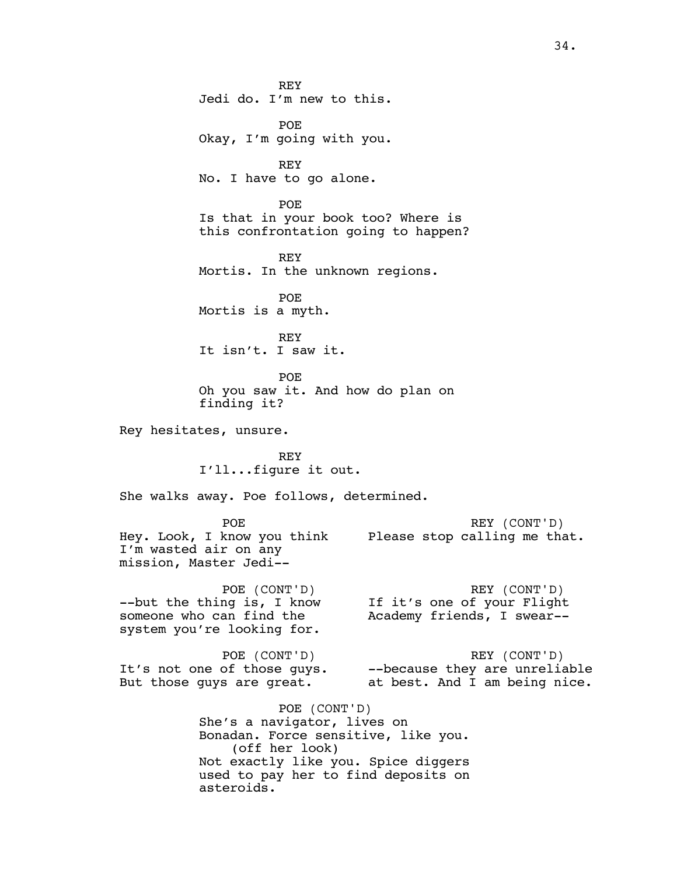REY Jedi do. I'm new to this. POE Okay, I'm going with you. REY No. I have to go alone. POE Is that in your book too? Where is this confrontation going to happen? REY Mortis. In the unknown regions. POE Mortis is a myth. REY It isn't. I saw it. POE Oh you saw it. And how do plan on finding it? Rey hesitates, unsure. REY I'll...figure it out. She walks away. Poe follows, determined. POE Hey. Look, I know you think Please stop calling me that. I'm wasted air on any mission, Master Jedi-- REY (CONT'D) POE (CONT'D) --but the thing is, I know someone who can find the system you're looking for. REY (CONT'D) If it's one of your Flight Academy friends, I swear-- POE (CONT'D) It's not one of those guys. But those guys are great. REY (CONT'D) --because they are unreliable at best. And I am being nice. POE (CONT'D) She's a navigator, lives on Bonadan. Force sensitive, like you. (off her look) Not exactly like you. Spice diggers used to pay her to find deposits on asteroids.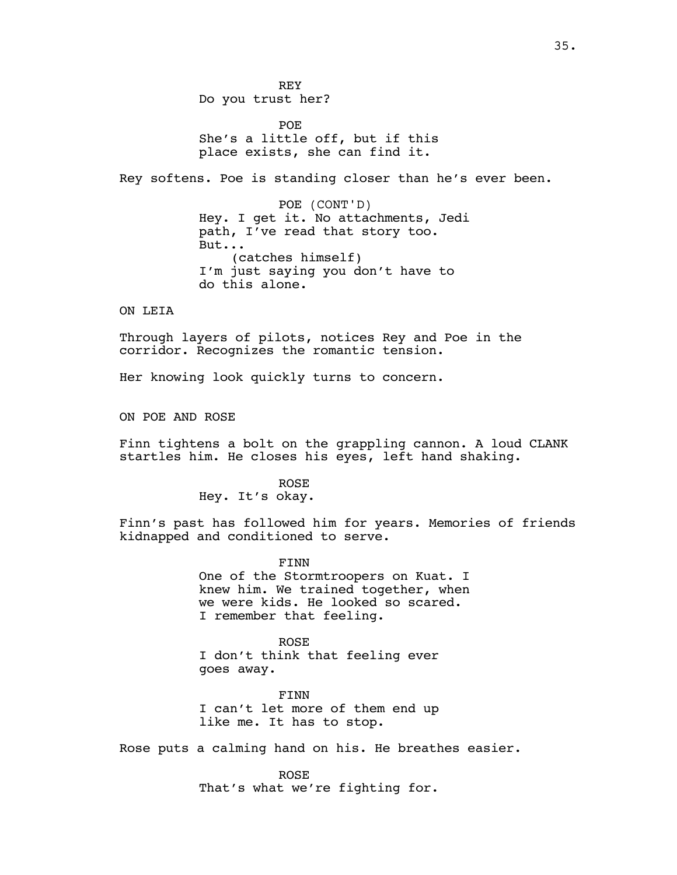REY Do you trust her?

POE She's a little off, but if this place exists, she can find it.

Rey softens. Poe is standing closer than he's ever been.

POE (CONT'D) Hey. I get it. No attachments, Jedi path, I've read that story too. But... (catches himself) I'm just saying you don't have to do this alone.

ON LEIA

Through layers of pilots, notices Rey and Poe in the corridor. Recognizes the romantic tension.

Her knowing look quickly turns to concern.

ON POE AND ROSE

Finn tightens a bolt on the grappling cannon. A loud CLANK startles him. He closes his eyes, left hand shaking.

# ROSE

Hey. It's okay.

Finn's past has followed him for years. Memories of friends kidnapped and conditioned to serve.

> FINN One of the Stormtroopers on Kuat. I knew him. We trained together, when we were kids. He looked so scared. I remember that feeling.

ROSE I don't think that feeling ever goes away.

FINN I can't let more of them end up like me. It has to stop.

Rose puts a calming hand on his. He breathes easier.

ROSE That's what we're fighting for.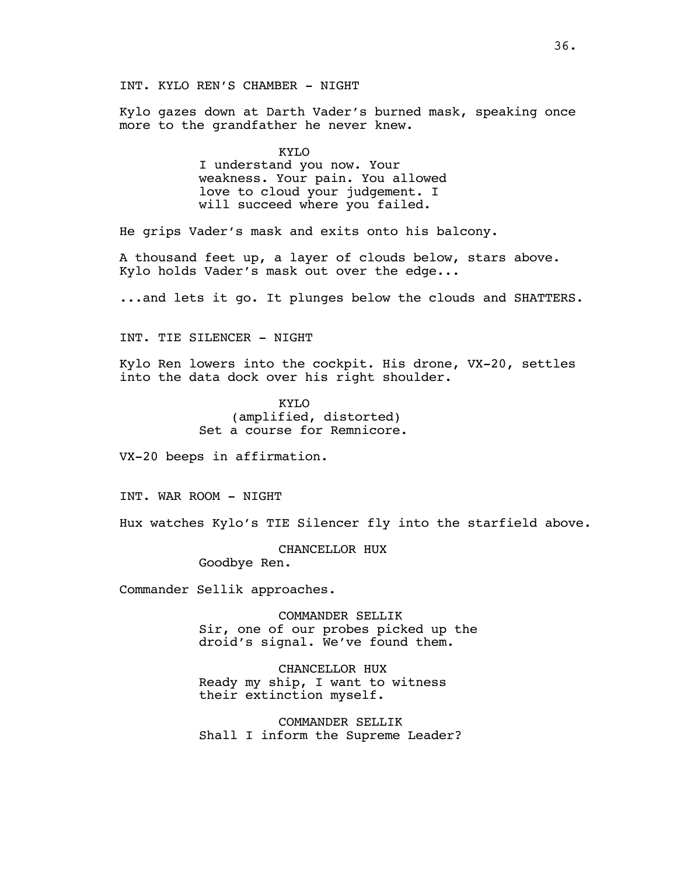INT. KYLO REN'S CHAMBER - NIGHT

Kylo gazes down at Darth Vader's burned mask, speaking once more to the grandfather he never knew.

> KYLO I understand you now. Your weakness. Your pain. You allowed love to cloud your judgement. I will succeed where you failed.

He grips Vader's mask and exits onto his balcony.

A thousand feet up, a layer of clouds below, stars above. Kylo holds Vader's mask out over the edge...

...and lets it go. It plunges below the clouds and SHATTERS.

INT. TIE SILENCER - NIGHT

Kylo Ren lowers into the cockpit. His drone, VX-20, settles into the data dock over his right shoulder.

> KYLO (amplified, distorted) Set a course for Remnicore.

VX-20 beeps in affirmation.

INT. WAR ROOM - NIGHT

Hux watches Kylo's TIE Silencer fly into the starfield above.

CHANCELLOR HUX

Goodbye Ren.

Commander Sellik approaches.

COMMANDER SELLIK Sir, one of our probes picked up the droid's signal. We've found them.

CHANCELLOR HUX Ready my ship, I want to witness their extinction myself.

COMMANDER SELLIK Shall I inform the Supreme Leader?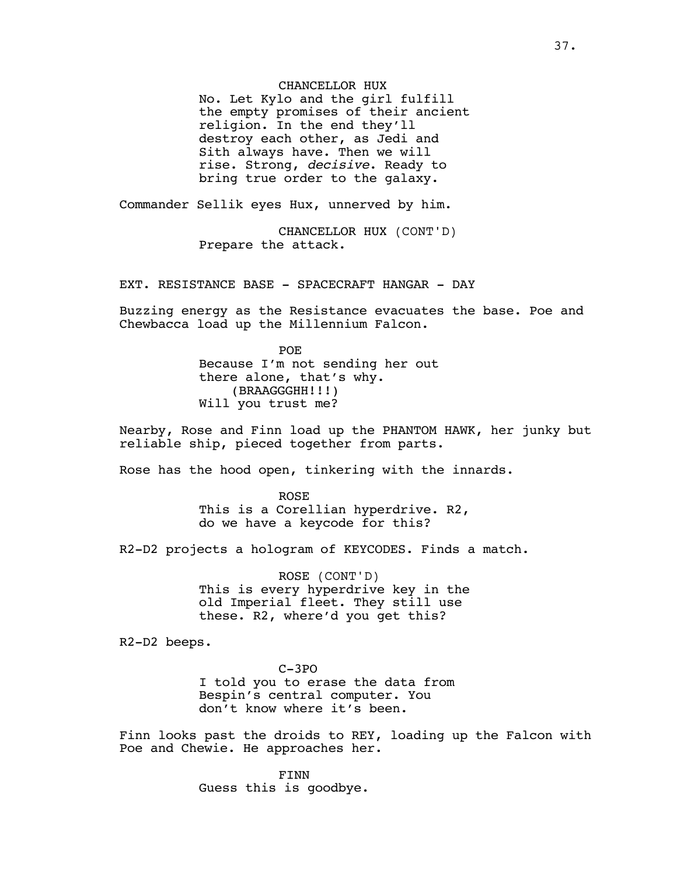# CHANCELLOR HUX

No. Let Kylo and the girl fulfill the empty promises of their ancient religion. In the end they'll destroy each other, as Jedi and Sith always have. Then we will rise. Strong, *decisive*. Ready to bring true order to the galaxy.

Commander Sellik eyes Hux, unnerved by him.

CHANCELLOR HUX (CONT'D) Prepare the attack.

EXT. RESISTANCE BASE - SPACECRAFT HANGAR - DAY

Buzzing energy as the Resistance evacuates the base. Poe and Chewbacca load up the Millennium Falcon.

> POE Because I'm not sending her out there alone, that's why. (BRAAGGGHH!!!) Will you trust me?

Nearby, Rose and Finn load up the PHANTOM HAWK, her junky but reliable ship, pieced together from parts.

Rose has the hood open, tinkering with the innards.

ROSE This is a Corellian hyperdrive. R2, do we have a keycode for this?

R2-D2 projects a hologram of KEYCODES. Finds a match.

ROSE (CONT'D) This is every hyperdrive key in the old Imperial fleet. They still use these. R2, where'd you get this?

R2-D2 beeps.

C-3PO I told you to erase the data from Bespin's central computer. You don't know where it's been.

Finn looks past the droids to REY, loading up the Falcon with Poe and Chewie. He approaches her.

> FINN Guess this is goodbye.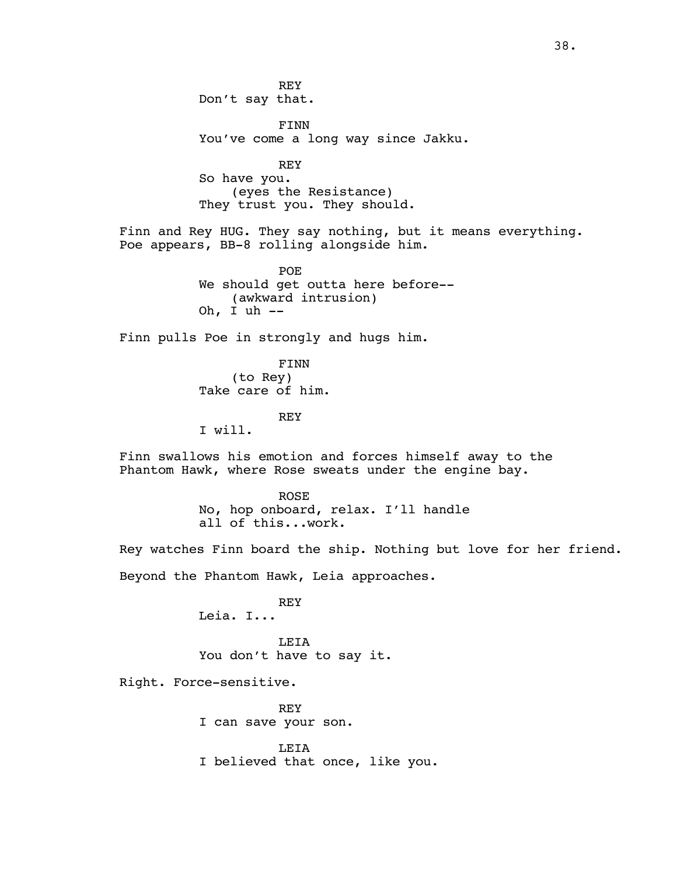REY Don't say that. FINN You've come a long way since Jakku. REY So have you. (eyes the Resistance) They trust you. They should. Finn and Rey HUG. They say nothing, but it means everything. Poe appears, BB-8 rolling alongside him. POE We should get outta here before-- (awkward intrusion) Oh, I uh -- Finn pulls Poe in strongly and hugs him. FINN (to Rey) Take care of him. REY I will. Finn swallows his emotion and forces himself away to the Phantom Hawk, where Rose sweats under the engine bay. ROSE No, hop onboard, relax. I'll handle all of this...work. Rey watches Finn board the ship. Nothing but love for her friend. Beyond the Phantom Hawk, Leia approaches. REY Leia. I... LEIA You don't have to say it. Right. Force-sensitive. REY I can save your son. LEIA I believed that once, like you.

38.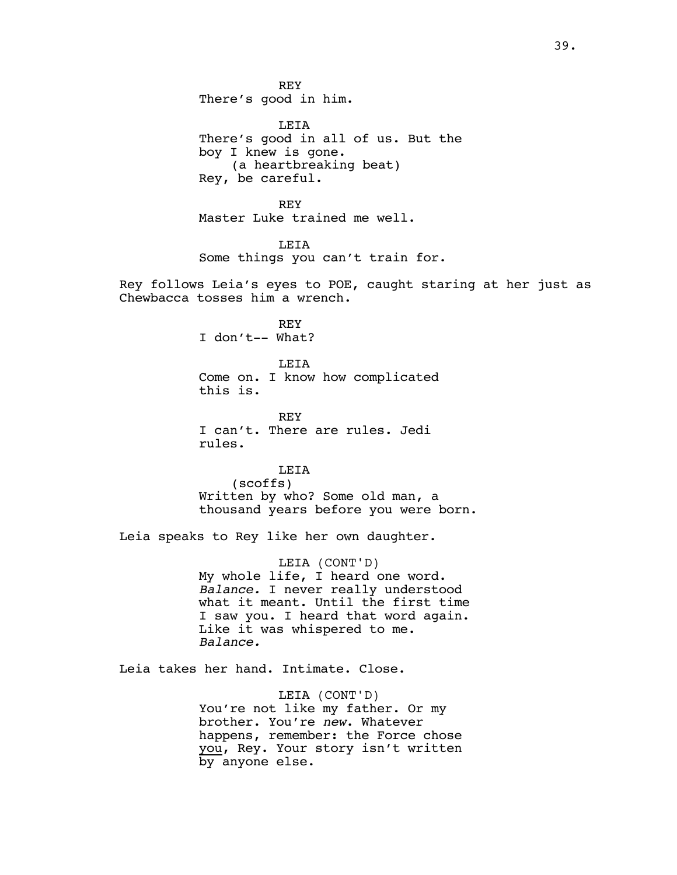REY There's good in him.

LEIA There's good in all of us. But the boy I knew is gone. (a heartbreaking beat) Rey, be careful.

REY Master Luke trained me well.

LEIA Some things you can't train for.

Rey follows Leia's eyes to POE, caught staring at her just as Chewbacca tosses him a wrench.

> REY I don't-- What?

LEIA Come on. I know how complicated this is.

REY I can't. There are rules. Jedi rules.

LEIA (scoffs) Written by who? Some old man, a thousand years before you were born.

Leia speaks to Rey like her own daughter.

LEIA (CONT'D) My whole life, I heard one word. *Balance.* I never really understood what it meant. Until the first time I saw you. I heard that word again. Like it was whispered to me. *Balance.*

Leia takes her hand. Intimate. Close.

LEIA (CONT'D) You're not like my father. Or my brother. You're *new*. Whatever happens, remember: the Force chose you, Rey. Your story isn't written by anyone else.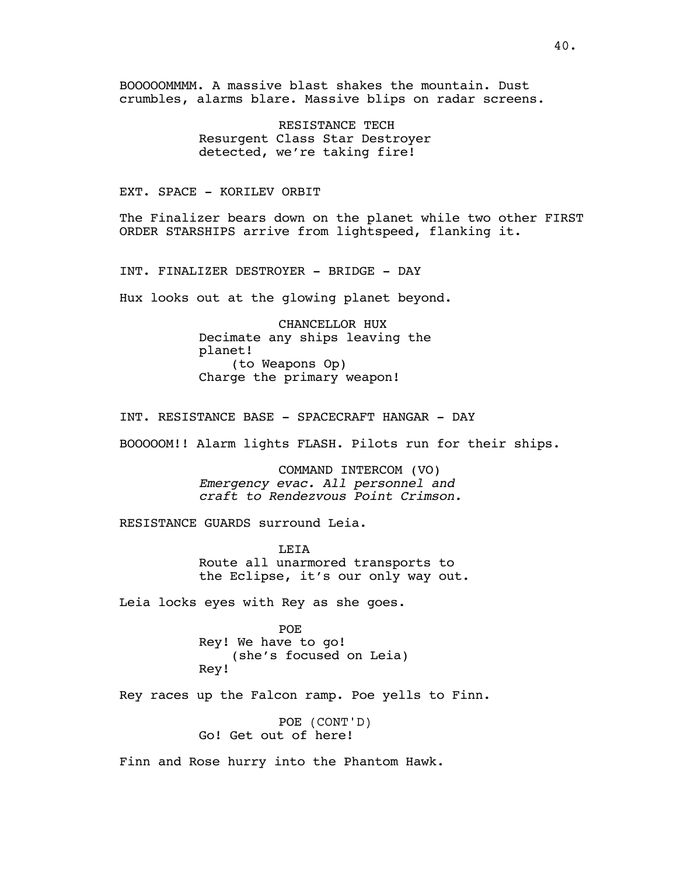BOOOOOMMMM. A massive blast shakes the mountain. Dust crumbles, alarms blare. Massive blips on radar screens.

> RESISTANCE TECH Resurgent Class Star Destroyer detected, we're taking fire!

## EXT. SPACE - KORILEV ORBIT

The Finalizer bears down on the planet while two other FIRST ORDER STARSHIPS arrive from lightspeed, flanking it.

INT. FINALIZER DESTROYER - BRIDGE - DAY

Hux looks out at the glowing planet beyond.

CHANCELLOR HUX Decimate any ships leaving the planet! (to Weapons Op) Charge the primary weapon!

INT. RESISTANCE BASE - SPACECRAFT HANGAR - DAY

BOOOOOM!! Alarm lights FLASH. Pilots run for their ships.

COMMAND INTERCOM (VO) *Emergency evac. All personnel and craft to Rendezvous Point Crimson.*

RESISTANCE GUARDS surround Leia.

**LETA** Route all unarmored transports to the Eclipse, it's our only way out.

Leia locks eyes with Rey as she goes.

POE Rey! We have to go! (she's focused on Leia) Rey!

Rey races up the Falcon ramp. Poe yells to Finn.

POE (CONT'D) Go! Get out of here!

Finn and Rose hurry into the Phantom Hawk.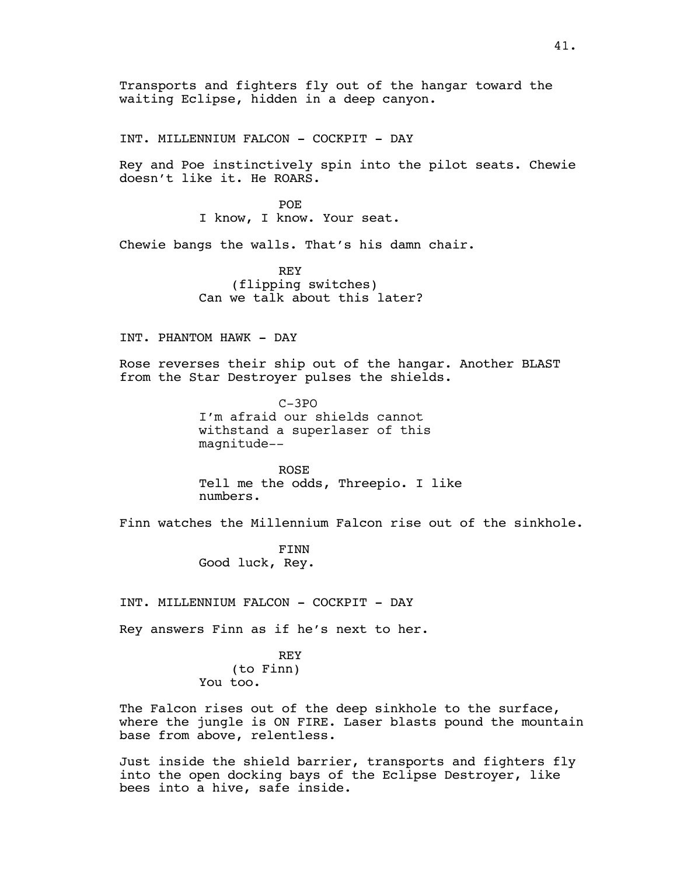Transports and fighters fly out of the hangar toward the waiting Eclipse, hidden in a deep canyon.

INT. MILLENNIUM FALCON - COCKPIT - DAY

Rey and Poe instinctively spin into the pilot seats. Chewie doesn't like it. He ROARS.

> **POE** I know, I know. Your seat.

Chewie bangs the walls. That's his damn chair.

REY (flipping switches) Can we talk about this later?

INT. PHANTOM HAWK - DAY

Rose reverses their ship out of the hangar. Another BLAST from the Star Destroyer pulses the shields.

> C-3PO I'm afraid our shields cannot withstand a superlaser of this magnitude--

ROSE Tell me the odds, Threepio. I like numbers.

Finn watches the Millennium Falcon rise out of the sinkhole.

FINN Good luck, Rey.

INT. MILLENNIUM FALCON - COCKPIT - DAY

Rey answers Finn as if he's next to her.

REY (to Finn) You too.

The Falcon rises out of the deep sinkhole to the surface, where the jungle is ON FIRE. Laser blasts pound the mountain base from above, relentless.

Just inside the shield barrier, transports and fighters fly into the open docking bays of the Eclipse Destroyer, like bees into a hive, safe inside.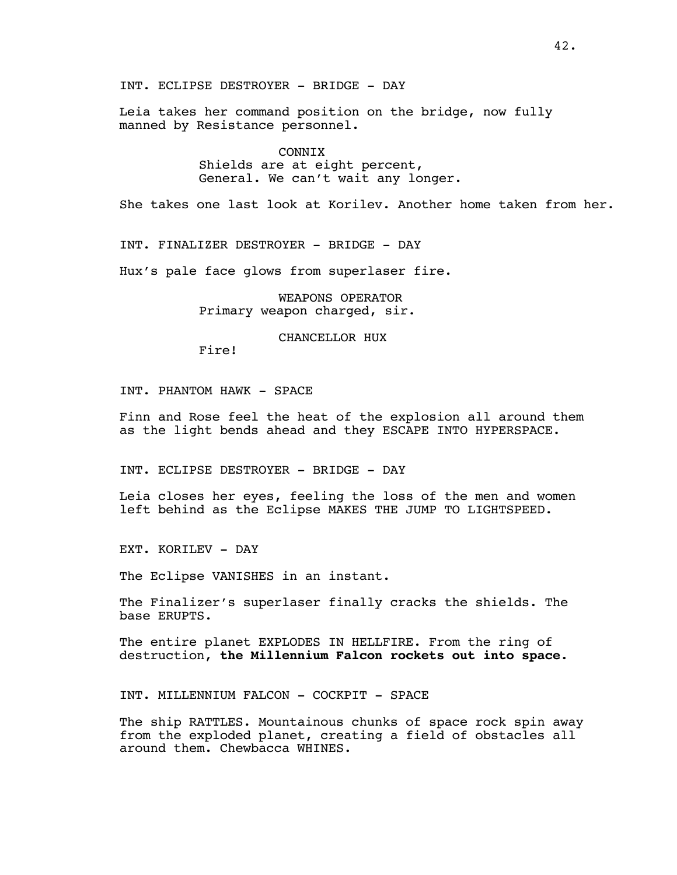INT. ECLIPSE DESTROYER - BRIDGE - DAY

Leia takes her command position on the bridge, now fully manned by Resistance personnel.

> CONNIX Shields are at eight percent, General. We can't wait any longer.

She takes one last look at Korilev. Another home taken from her.

INT. FINALIZER DESTROYER - BRIDGE - DAY

Hux's pale face glows from superlaser fire.

WEAPONS OPERATOR Primary weapon charged, sir.

#### CHANCELLOR HUX

Fire!

INT. PHANTOM HAWK - SPACE

Finn and Rose feel the heat of the explosion all around them as the light bends ahead and they ESCAPE INTO HYPERSPACE.

INT. ECLIPSE DESTROYER - BRIDGE - DAY

Leia closes her eyes, feeling the loss of the men and women left behind as the Eclipse MAKES THE JUMP TO LIGHTSPEED.

EXT. KORILEV - DAY

The Eclipse VANISHES in an instant.

The Finalizer's superlaser finally cracks the shields. The base ERUPTS.

The entire planet EXPLODES IN HELLFIRE. From the ring of destruction, **the Millennium Falcon rockets out into space.**

INT. MILLENNIUM FALCON - COCKPIT - SPACE

The ship RATTLES. Mountainous chunks of space rock spin away from the exploded planet, creating a field of obstacles all around them. Chewbacca WHINES.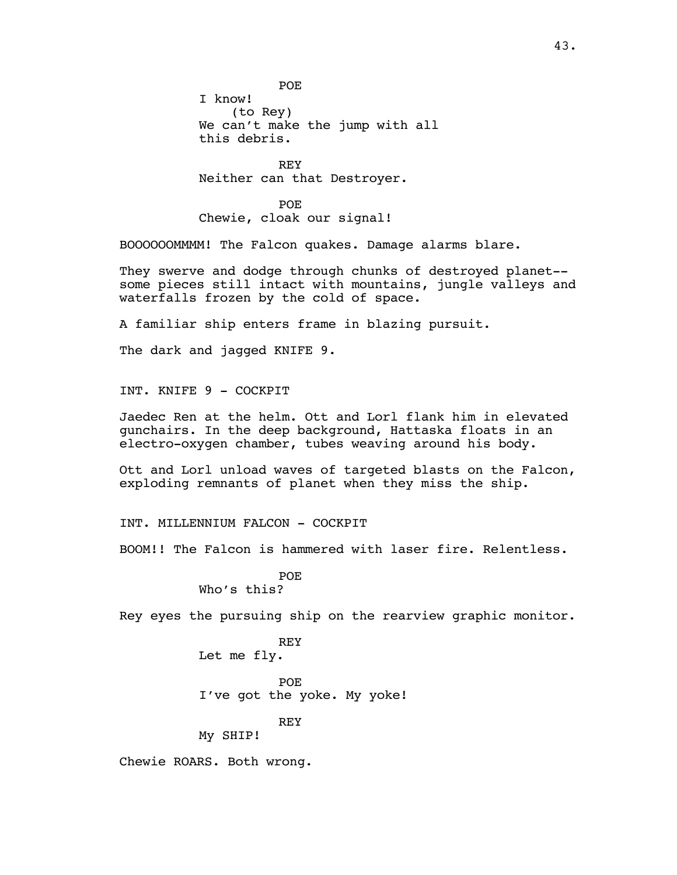POE

I know! (to Rey) We can't make the jump with all this debris.

REY Neither can that Destroyer.

POE Chewie, cloak our signal!

BOOOOOOMMMM! The Falcon quakes. Damage alarms blare.

They swerve and dodge through chunks of destroyed planet- some pieces still intact with mountains, jungle valleys and waterfalls frozen by the cold of space.

A familiar ship enters frame in blazing pursuit.

The dark and jagged KNIFE 9.

INT. KNIFE 9 - COCKPIT

Jaedec Ren at the helm. Ott and Lorl flank him in elevated gunchairs. In the deep background, Hattaska floats in an electro-oxygen chamber, tubes weaving around his body.

Ott and Lorl unload waves of targeted blasts on the Falcon, exploding remnants of planet when they miss the ship.

INT. MILLENNIUM FALCON - COCKPIT

BOOM!! The Falcon is hammered with laser fire. Relentless.

POE Who's this?

Rey eyes the pursuing ship on the rearview graphic monitor.

REY Let me fly.

POE I've got the yoke. My yoke!

REY

My SHIP!

Chewie ROARS. Both wrong.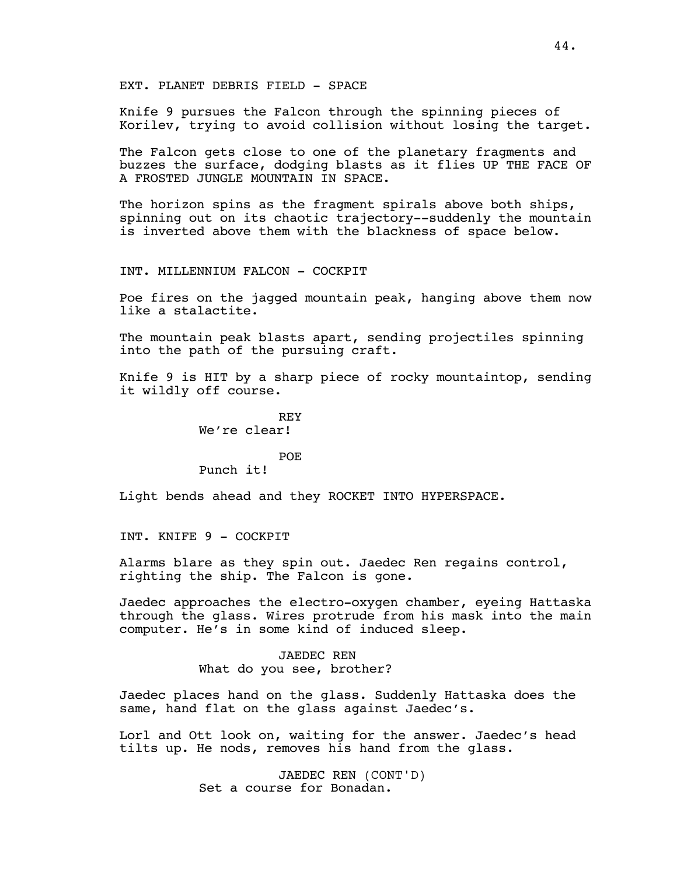EXT. PLANET DEBRIS FIELD - SPACE

Knife 9 pursues the Falcon through the spinning pieces of Korilev, trying to avoid collision without losing the target.

The Falcon gets close to one of the planetary fragments and buzzes the surface, dodging blasts as it flies UP THE FACE OF A FROSTED JUNGLE MOUNTAIN IN SPACE.

The horizon spins as the fragment spirals above both ships, spinning out on its chaotic trajectory--suddenly the mountain is inverted above them with the blackness of space below.

INT. MILLENNIUM FALCON - COCKPIT

Poe fires on the jagged mountain peak, hanging above them now like a stalactite.

The mountain peak blasts apart, sending projectiles spinning into the path of the pursuing craft.

Knife 9 is HIT by a sharp piece of rocky mountaintop, sending it wildly off course.

> REY We're clear!

> > POE

Punch it!

Light bends ahead and they ROCKET INTO HYPERSPACE.

INT. KNIFE 9 - COCKPIT

Alarms blare as they spin out. Jaedec Ren regains control, righting the ship. The Falcon is gone.

Jaedec approaches the electro-oxygen chamber, eyeing Hattaska through the glass. Wires protrude from his mask into the main computer. He's in some kind of induced sleep.

> JAEDEC REN What do you see, brother?

Jaedec places hand on the glass. Suddenly Hattaska does the same, hand flat on the glass against Jaedec's.

Lorl and Ott look on, waiting for the answer. Jaedec's head tilts up. He nods, removes his hand from the glass.

> JAEDEC REN (CONT'D) Set a course for Bonadan.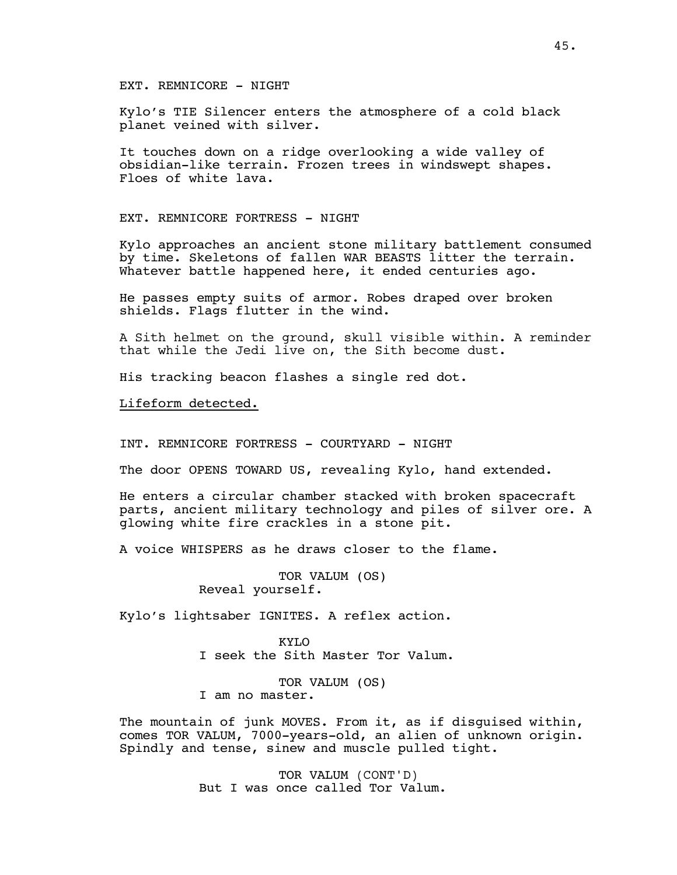EXT. REMNICORE - NIGHT

Kylo's TIE Silencer enters the atmosphere of a cold black planet veined with silver.

It touches down on a ridge overlooking a wide valley of obsidian-like terrain. Frozen trees in windswept shapes. Floes of white lava.

EXT. REMNICORE FORTRESS - NIGHT

Kylo approaches an ancient stone military battlement consumed by time. Skeletons of fallen WAR BEASTS litter the terrain. Whatever battle happened here, it ended centuries ago.

He passes empty suits of armor. Robes draped over broken shields. Flags flutter in the wind.

A Sith helmet on the ground, skull visible within. A reminder that while the Jedi live on, the Sith become dust.

His tracking beacon flashes a single red dot.

Lifeform detected.

INT. REMNICORE FORTRESS - COURTYARD - NIGHT

The door OPENS TOWARD US, revealing Kylo, hand extended.

He enters a circular chamber stacked with broken spacecraft parts, ancient military technology and piles of silver ore. A glowing white fire crackles in a stone pit.

A voice WHISPERS as he draws closer to the flame.

TOR VALUM (OS) Reveal yourself.

Kylo's lightsaber IGNITES. A reflex action.

KYLO I seek the Sith Master Tor Valum.

TOR VALUM (OS) I am no master.

The mountain of junk MOVES. From it, as if disguised within, comes TOR VALUM, 7000-years-old, an alien of unknown origin. Spindly and tense, sinew and muscle pulled tight.

> TOR VALUM (CONT'D) But I was once called Tor Valum.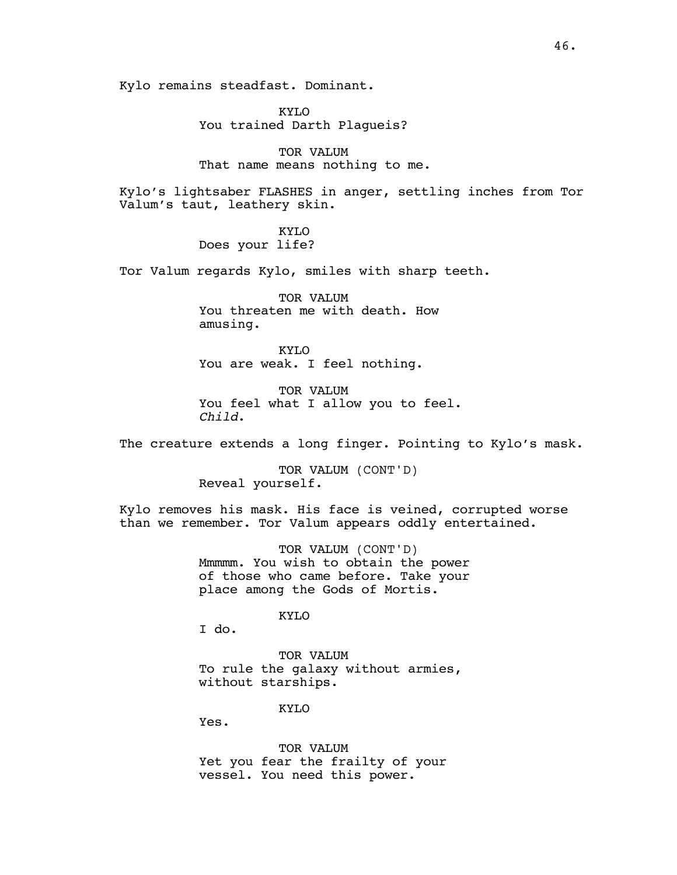Kylo remains steadfast. Dominant.

KYLO You trained Darth Plagueis?

TOR VALUM That name means nothing to me.

Kylo's lightsaber FLASHES in anger, settling inches from Tor Valum's taut, leathery skin.

> KYLO Does your life?

Tor Valum regards Kylo, smiles with sharp teeth.

TOR VALUM You threaten me with death. How amusing.

KYLO You are weak. I feel nothing.

TOR VALUM You feel what I allow you to feel. *Child*.

The creature extends a long finger. Pointing to Kylo's mask.

TOR VALUM (CONT'D) Reveal yourself.

Kylo removes his mask. His face is veined, corrupted worse than we remember. Tor Valum appears oddly entertained.

> TOR VALUM (CONT'D) Mmmmm. You wish to obtain the power of those who came before. Take your place among the Gods of Mortis.

> > KYLO

I do.

TOR VALUM To rule the galaxy without armies, without starships.

KYLO

Yes.

TOR VALUM Yet you fear the frailty of your vessel. You need this power.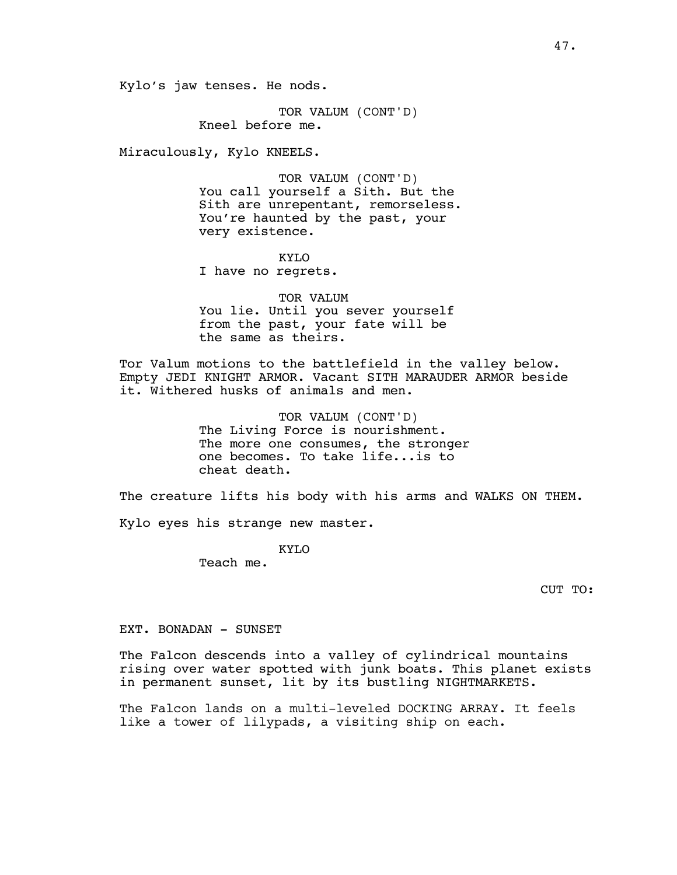Kylo's jaw tenses. He nods.

TOR VALUM (CONT'D) Kneel before me.

Miraculously, Kylo KNEELS.

TOR VALUM (CONT'D) You call yourself a Sith. But the Sith are unrepentant, remorseless. You're haunted by the past, your very existence.

KYLO I have no regrets.

TOR VALUM You lie. Until you sever yourself from the past, your fate will be the same as theirs.

Tor Valum motions to the battlefield in the valley below. Empty JEDI KNIGHT ARMOR. Vacant SITH MARAUDER ARMOR beside it. Withered husks of animals and men.

> TOR VALUM (CONT'D) The Living Force is nourishment. The more one consumes, the stronger one becomes. To take life...is to cheat death.

The creature lifts his body with his arms and WALKS ON THEM.

Kylo eyes his strange new master.

KYLO

Teach me.

CUT TO:

EXT. BONADAN - SUNSET

The Falcon descends into a valley of cylindrical mountains rising over water spotted with junk boats. This planet exists in permanent sunset, lit by its bustling NIGHTMARKETS.

The Falcon lands on a multi-leveled DOCKING ARRAY. It feels like a tower of lilypads, a visiting ship on each.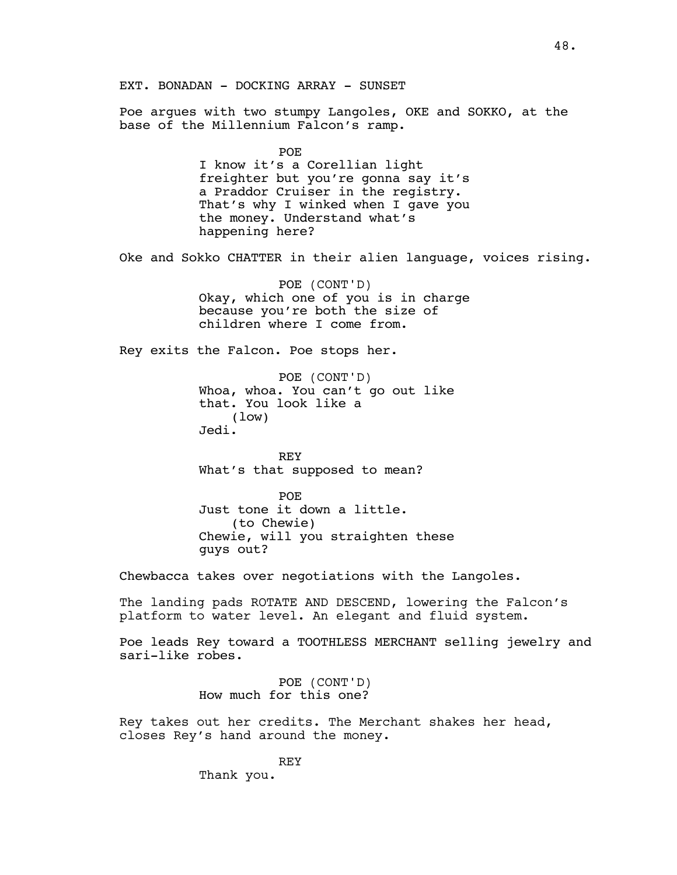EXT. BONADAN - DOCKING ARRAY - SUNSET

Poe argues with two stumpy Langoles, OKE and SOKKO, at the base of the Millennium Falcon's ramp.

> POE I know it's a Corellian light freighter but you're gonna say it's a Praddor Cruiser in the registry. That's why I winked when I gave you the money. Understand what's happening here?

Oke and Sokko CHATTER in their alien language, voices rising.

POE (CONT'D) Okay, which one of you is in charge because you're both the size of children where I come from.

Rey exits the Falcon. Poe stops her.

POE (CONT'D) Whoa, whoa. You can't go out like that. You look like a (low) Jedi.

REY What's that supposed to mean?

POE Just tone it down a little. (to Chewie) Chewie, will you straighten these guys out?

Chewbacca takes over negotiations with the Langoles.

The landing pads ROTATE AND DESCEND, lowering the Falcon's platform to water level. An elegant and fluid system.

Poe leads Rey toward a TOOTHLESS MERCHANT selling jewelry and sari-like robes.

> POE (CONT'D) How much for this one?

Rey takes out her credits. The Merchant shakes her head, closes Rey's hand around the money.

REY

Thank you.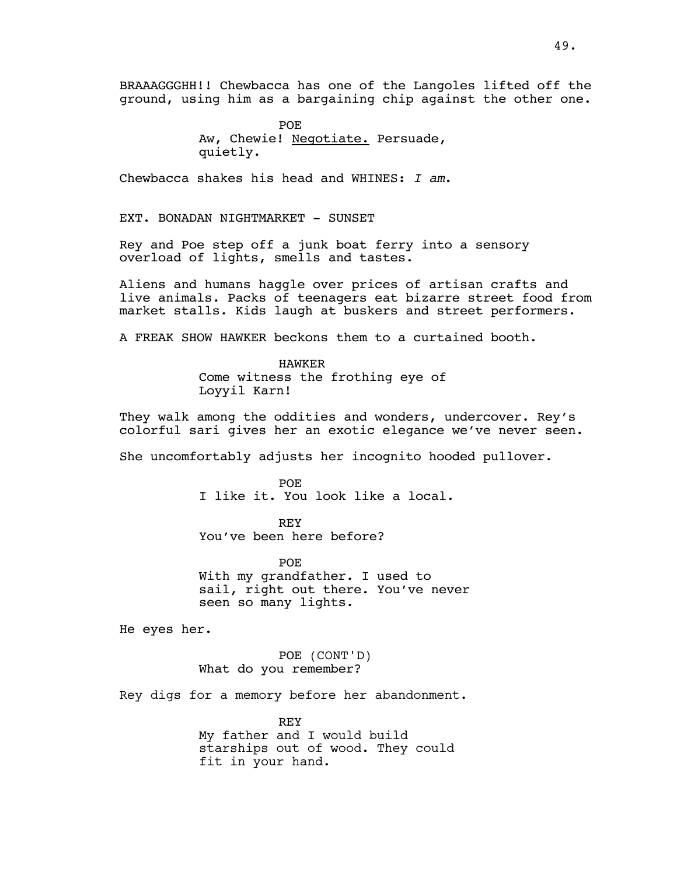BRAAAGGGHH!! Chewbacca has one of the Langoles lifted off the ground, using him as a bargaining chip against the other one.

> POE Aw, Chewie! Negotiate. Persuade, quietly.

Chewbacca shakes his head and WHINES: *I am*.

EXT. BONADAN NIGHTMARKET - SUNSET

Rey and Poe step off a junk boat ferry into a sensory overload of lights, smells and tastes.

Aliens and humans haggle over prices of artisan crafts and live animals. Packs of teenagers eat bizarre street food from market stalls. Kids laugh at buskers and street performers.

A FREAK SHOW HAWKER beckons them to a curtained booth.

HAWKER Come witness the frothing eye of Loyyil Karn!

They walk among the oddities and wonders, undercover. Rey's colorful sari gives her an exotic elegance we've never seen.

She uncomfortably adjusts her incognito hooded pullover.

POE I like it. You look like a local.

REY You've been here before?

POE With my grandfather. I used to sail, right out there. You've never seen so many lights.

He eyes her.

POE (CONT'D) What do you remember?

Rey digs for a memory before her abandonment.

REY My father and I would build starships out of wood. They could fit in your hand.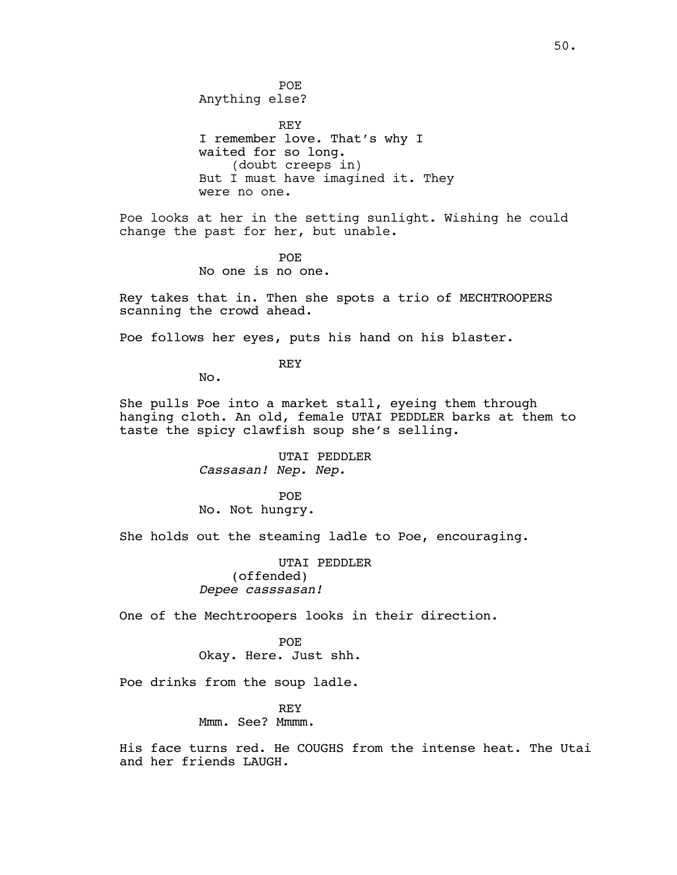POE Anything else?

REY I remember love. That's why I waited for so long. (doubt creeps in) But I must have imagined it. They were no one.

Poe looks at her in the setting sunlight. Wishing he could change the past for her, but unable.

> POE No one is no one.

Rey takes that in. Then she spots a trio of MECHTROOPERS scanning the crowd ahead.

Poe follows her eyes, puts his hand on his blaster.

REY

No.

She pulls Poe into a market stall, eyeing them through hanging cloth. An old, female UTAI PEDDLER barks at them to taste the spicy clawfish soup she's selling.

> UTAI PEDDLER *Cassasan! Nep. Nep.*

POE No. Not hungry.

She holds out the steaming ladle to Poe, encouraging.

UTAI PEDDLER (offended) *Depee casssasan!*

One of the Mechtroopers looks in their direction.

POE Okay. Here. Just shh.

Poe drinks from the soup ladle.

REY Mmm. See? Mmmm.

His face turns red. He COUGHS from the intense heat. The Utai and her friends LAUGH.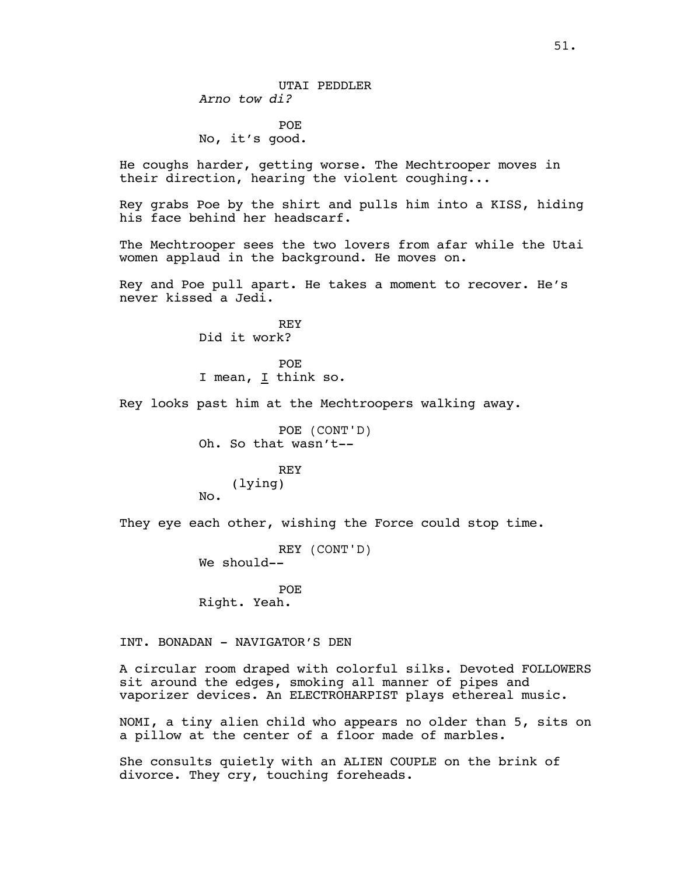POE No, it's good.

He coughs harder, getting worse. The Mechtrooper moves in their direction, hearing the violent coughing...

Rey grabs Poe by the shirt and pulls him into a KISS, hiding his face behind her headscarf.

The Mechtrooper sees the two lovers from afar while the Utai women applaud in the background. He moves on.

Rey and Poe pull apart. He takes a moment to recover. He's never kissed a Jedi.

> REY Did it work?

POE I mean, I think so.

Rey looks past him at the Mechtroopers walking away.

POE (CONT'D) Oh. So that wasn't-- REY

(lying) No.

They eye each other, wishing the Force could stop time.

REY (CONT'D) We should--

POE Right. Yeah.

INT. BONADAN - NAVIGATOR'S DEN

A circular room draped with colorful silks. Devoted FOLLOWERS sit around the edges, smoking all manner of pipes and vaporizer devices. An ELECTROHARPIST plays ethereal music.

NOMI, a tiny alien child who appears no older than 5, sits on a pillow at the center of a floor made of marbles.

She consults quietly with an ALIEN COUPLE on the brink of divorce. They cry, touching foreheads.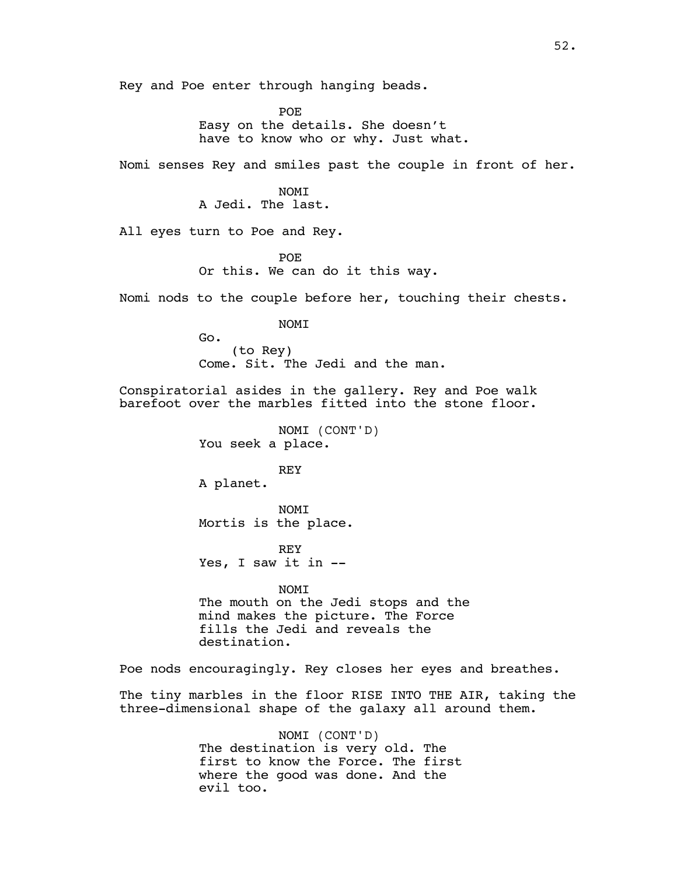Rey and Poe enter through hanging beads.

POE Easy on the details. She doesn't have to know who or why. Just what.

Nomi senses Rey and smiles past the couple in front of her.

**NOMT** A Jedi. The last.

All eyes turn to Poe and Rey.

POE Or this. We can do it this way.

Nomi nods to the couple before her, touching their chests.

NOMI

Go. (to Rey) Come. Sit. The Jedi and the man.

Conspiratorial asides in the gallery. Rey and Poe walk barefoot over the marbles fitted into the stone floor.

> NOMI (CONT'D) You seek a place.

REY A planet.

NOMI Mortis is the place.

REY Yes, I saw it in --

NOMI The mouth on the Jedi stops and the mind makes the picture. The Force fills the Jedi and reveals the destination.

Poe nods encouragingly. Rey closes her eyes and breathes.

The tiny marbles in the floor RISE INTO THE AIR, taking the three-dimensional shape of the galaxy all around them.

> NOMI (CONT'D) The destination is very old. The first to know the Force. The first where the good was done. And the evil too.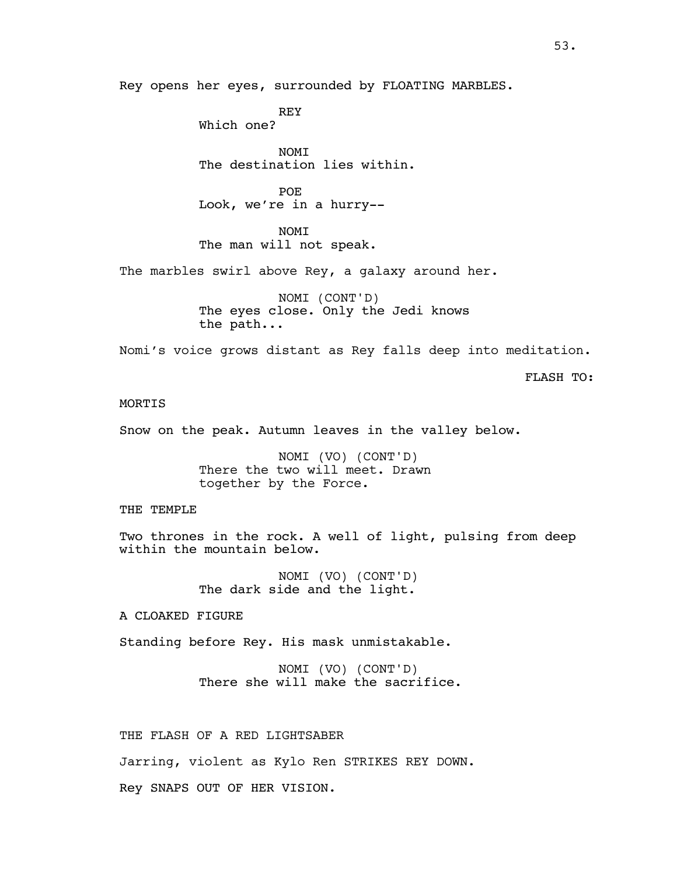Rey opens her eyes, surrounded by FLOATING MARBLES.

REY Which one?

NOMI The destination lies within.

POE Look, we're in a hurry--

NOMI The man will not speak.

The marbles swirl above Rey, a galaxy around her.

NOMI (CONT'D) The eyes close. Only the Jedi knows the path...

Nomi's voice grows distant as Rey falls deep into meditation.

FLASH TO:

# **MORTIS**

Snow on the peak. Autumn leaves in the valley below.

NOMI (VO) (CONT'D) There the two will meet. Drawn together by the Force.

THE TEMPLE

Two thrones in the rock. A well of light, pulsing from deep within the mountain below.

> NOMI (VO) (CONT'D) The dark side and the light.

A CLOAKED FIGURE

Standing before Rey. His mask unmistakable.

NOMI (VO) (CONT'D) There she will make the sacrifice.

THE FLASH OF A RED LIGHTSABER

Jarring, violent as Kylo Ren STRIKES REY DOWN.

Rey SNAPS OUT OF HER VISION.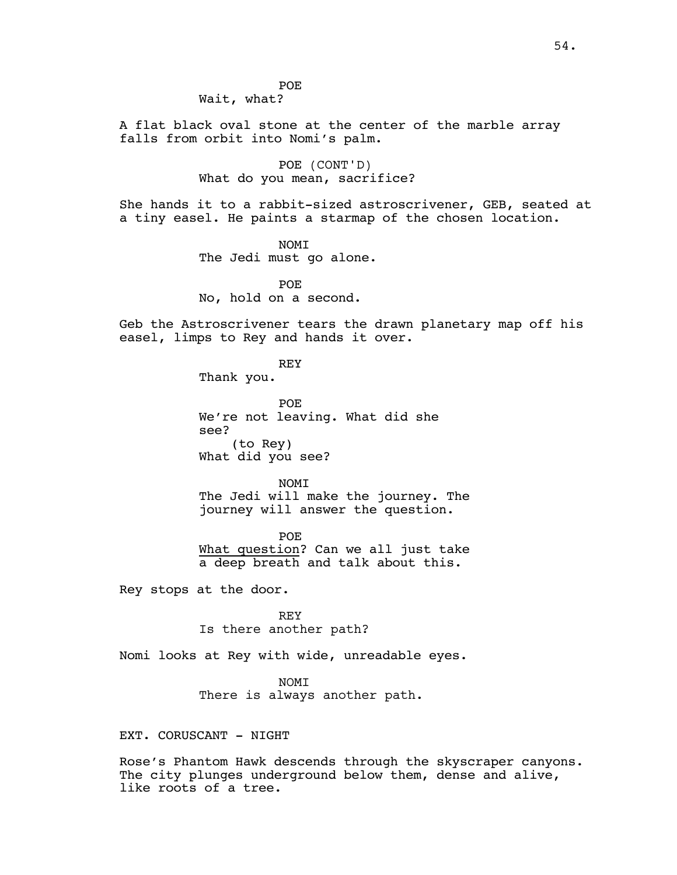POE Wait, what?

A flat black oval stone at the center of the marble array falls from orbit into Nomi's palm.

> POE (CONT'D) What do you mean, sacrifice?

She hands it to a rabbit-sized astroscrivener, GEB, seated at a tiny easel. He paints a starmap of the chosen location.

> NOMI The Jedi must go alone.

POE No, hold on a second.

Geb the Astroscrivener tears the drawn planetary map off his easel, limps to Rey and hands it over.

REY

Thank you.

POE We're not leaving. What did she see? (to Rey) What did you see?

NOMI The Jedi will make the journey. The journey will answer the question.

POE What question? Can we all just take a deep breath and talk about this.

Rey stops at the door.

REY Is there another path?

Nomi looks at Rey with wide, unreadable eyes.

NOMI

There is always another path.

EXT. CORUSCANT - NIGHT

Rose's Phantom Hawk descends through the skyscraper canyons. The city plunges underground below them, dense and alive, like roots of a tree.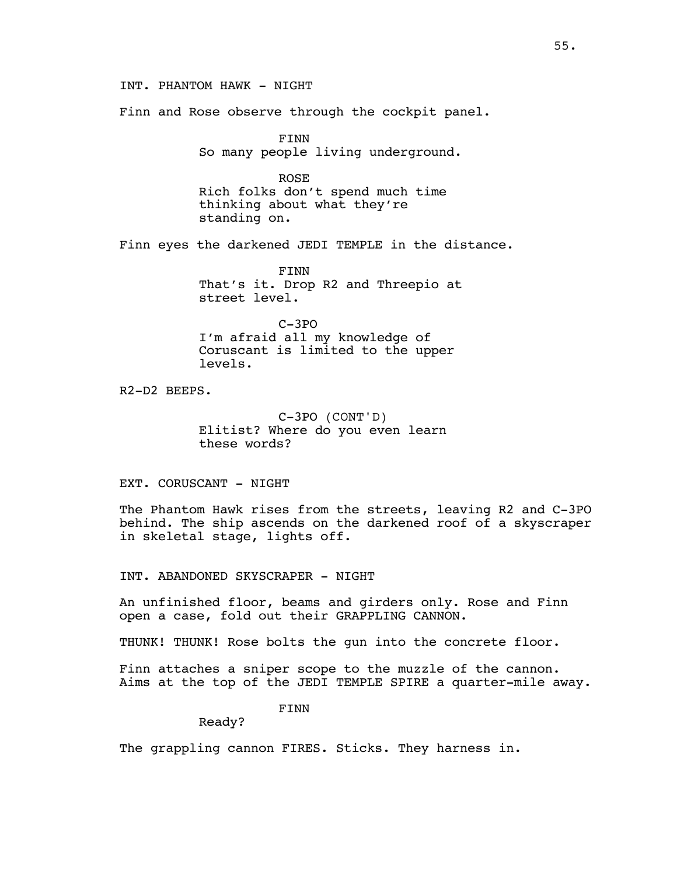INT. PHANTOM HAWK - NIGHT

Finn and Rose observe through the cockpit panel.

FINN So many people living underground.

ROSE Rich folks don't spend much time thinking about what they're standing on.

Finn eyes the darkened JEDI TEMPLE in the distance.

FINN That's it. Drop R2 and Threepio at street level.

C-3PO I'm afraid all my knowledge of Coruscant is limited to the upper levels.

R2-D2 BEEPS.

C-3PO (CONT'D) Elitist? Where do you even learn these words?

EXT. CORUSCANT - NIGHT

The Phantom Hawk rises from the streets, leaving R2 and C-3PO behind. The ship ascends on the darkened roof of a skyscraper in skeletal stage, lights off.

INT. ABANDONED SKYSCRAPER - NIGHT

An unfinished floor, beams and girders only. Rose and Finn open a case, fold out their GRAPPLING CANNON.

THUNK! THUNK! Rose bolts the gun into the concrete floor.

Finn attaches a sniper scope to the muzzle of the cannon. Aims at the top of the JEDI TEMPLE SPIRE a quarter-mile away.

FINN

Ready?

The grappling cannon FIRES. Sticks. They harness in.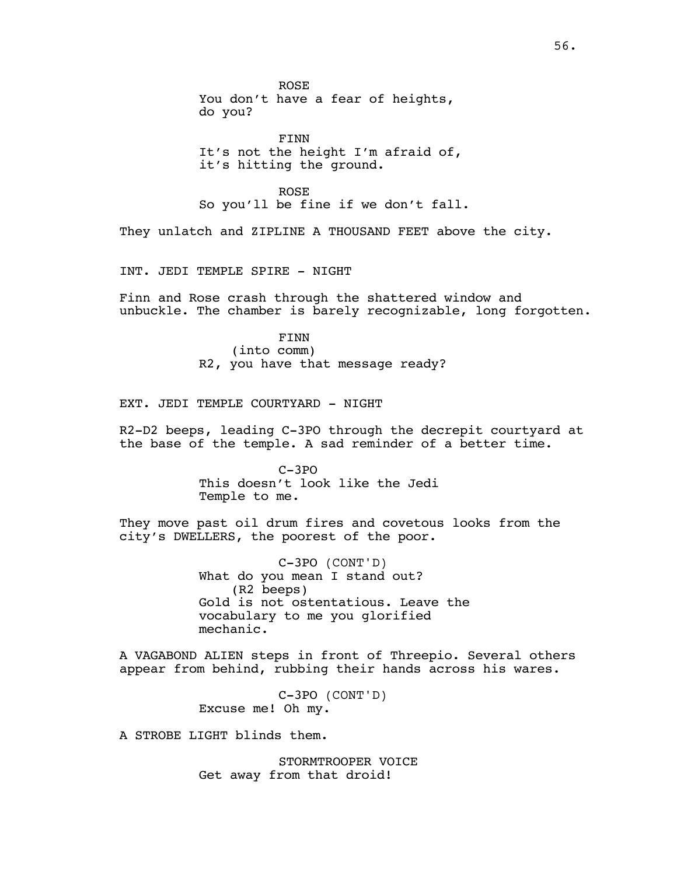ROSE You don't have a fear of heights, do you?

FINN It's not the height I'm afraid of, it's hitting the ground.

ROSE So you'll be fine if we don't fall.

They unlatch and ZIPLINE A THOUSAND FEET above the city.

INT. JEDI TEMPLE SPIRE - NIGHT

Finn and Rose crash through the shattered window and unbuckle. The chamber is barely recognizable, long forgotten.

> FINN (into comm) R2, you have that message ready?

EXT. JEDI TEMPLE COURTYARD - NIGHT

R2-D2 beeps, leading C-3PO through the decrepit courtyard at the base of the temple. A sad reminder of a better time.

> C-3PO This doesn't look like the Jedi Temple to me.

They move past oil drum fires and covetous looks from the city's DWELLERS, the poorest of the poor.

> C-3PO (CONT'D) What do you mean I stand out? (R2 beeps) Gold is not ostentatious. Leave the vocabulary to me you glorified mechanic.

A VAGABOND ALIEN steps in front of Threepio. Several others appear from behind, rubbing their hands across his wares.

> C-3PO (CONT'D) Excuse me! Oh my.

A STROBE LIGHT blinds them.

STORMTROOPER VOICE Get away from that droid!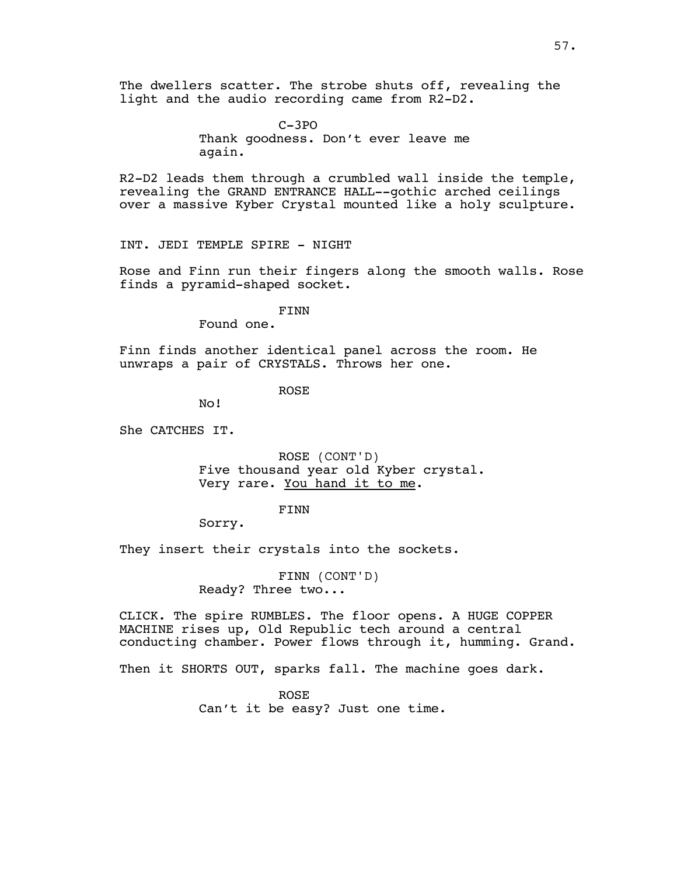The dwellers scatter. The strobe shuts off, revealing the light and the audio recording came from R2-D2.

> C-3PO Thank goodness. Don't ever leave me again.

R2-D2 leads them through a crumbled wall inside the temple, revealing the GRAND ENTRANCE HALL--gothic arched ceilings over a massive Kyber Crystal mounted like a holy sculpture.

INT. JEDI TEMPLE SPIRE - NIGHT

Rose and Finn run their fingers along the smooth walls. Rose finds a pyramid-shaped socket.

FINN

Found one.

Finn finds another identical panel across the room. He unwraps a pair of CRYSTALS. Throws her one.

ROSE

No!

She CATCHES IT.

ROSE (CONT'D) Five thousand year old Kyber crystal. Very rare. You hand it to me.

FINN

Sorry.

They insert their crystals into the sockets.

FINN (CONT'D) Ready? Three two...

CLICK. The spire RUMBLES. The floor opens. A HUGE COPPER MACHINE rises up, Old Republic tech around a central conducting chamber. Power flows through it, humming. Grand.

Then it SHORTS OUT, sparks fall. The machine goes dark.

ROSE Can't it be easy? Just one time.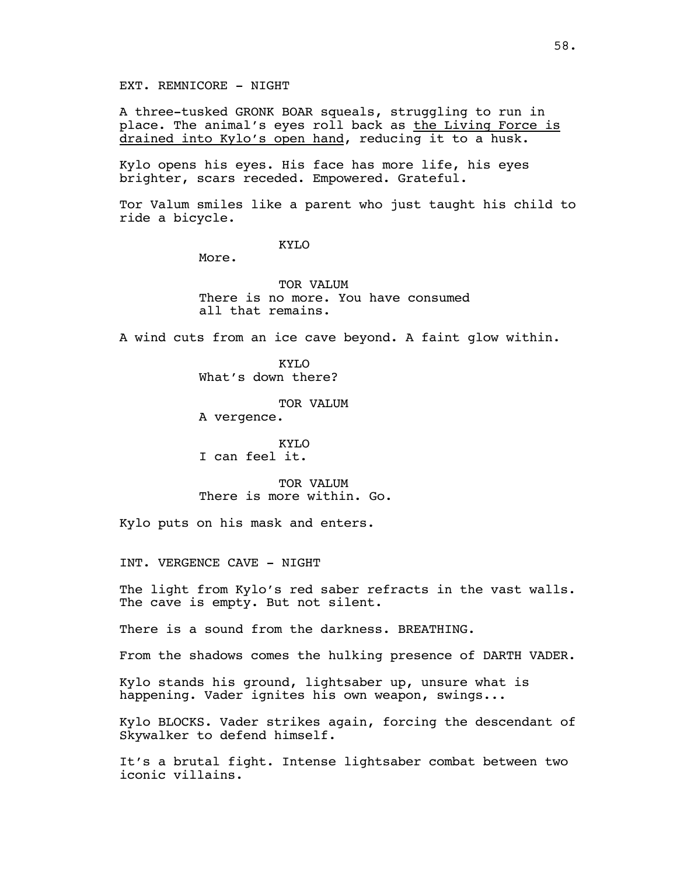EXT. REMNICORE - NIGHT

A three-tusked GRONK BOAR squeals, struggling to run in place. The animal's eyes roll back as the Living Force is drained into Kylo's open hand, reducing it to a husk.

Kylo opens his eyes. His face has more life, his eyes brighter, scars receded. Empowered. Grateful.

Tor Valum smiles like a parent who just taught his child to ride a bicycle.

KYLO

More.

TOR VALUM There is no more. You have consumed all that remains.

A wind cuts from an ice cave beyond. A faint glow within.

KYLO What's down there?

TOR VALUM

A vergence.

KYLO I can feel it.

TOR VALUM There is more within. Go.

Kylo puts on his mask and enters.

INT. VERGENCE CAVE - NIGHT

The light from Kylo's red saber refracts in the vast walls. The cave is empty. But not silent.

There is a sound from the darkness. BREATHING.

From the shadows comes the hulking presence of DARTH VADER.

Kylo stands his ground, lightsaber up, unsure what is happening. Vader ignites his own weapon, swings...

Kylo BLOCKS. Vader strikes again, forcing the descendant of Skywalker to defend himself.

It's a brutal fight. Intense lightsaber combat between two iconic villains.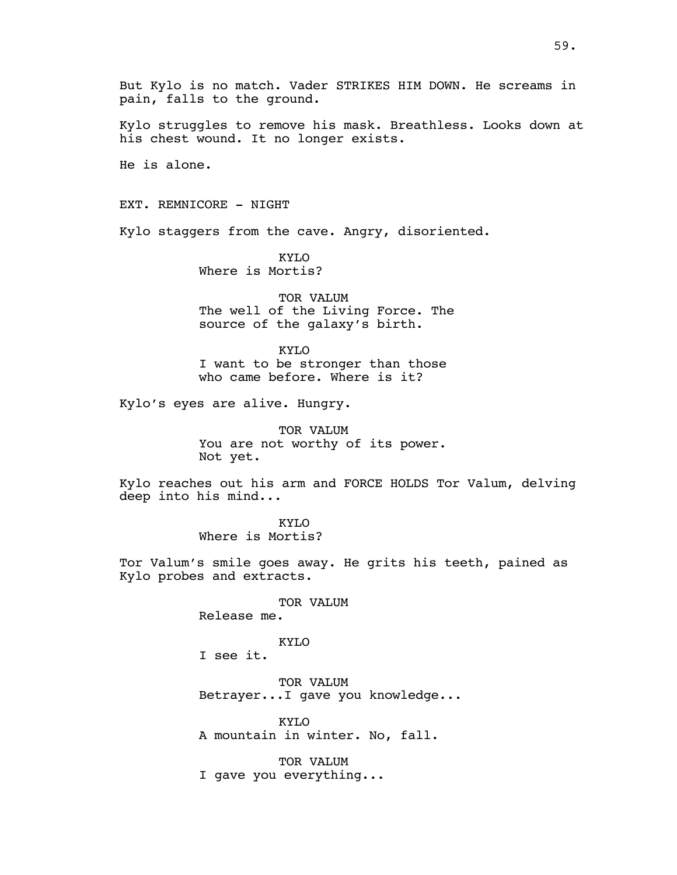But Kylo is no match. Vader STRIKES HIM DOWN. He screams in pain, falls to the ground.

Kylo struggles to remove his mask. Breathless. Looks down at his chest wound. It no longer exists.

He is alone.

EXT. REMNICORE - NIGHT

Kylo staggers from the cave. Angry, disoriented.

KYLO Where is Mortis?

TOR VALUM The well of the Living Force. The source of the galaxy's birth.

KYLO I want to be stronger than those who came before. Where is it?

Kylo's eyes are alive. Hungry.

TOR VALUM You are not worthy of its power. Not yet.

Kylo reaches out his arm and FORCE HOLDS Tor Valum, delving deep into his mind...

> KYLO Where is Mortis?

Tor Valum's smile goes away. He grits his teeth, pained as Kylo probes and extracts.

#### TOR VALUM

Release me.

# KYLO

I see it.

TOR VALUM Betrayer...I gave you knowledge...

KYLO A mountain in winter. No, fall.

TOR VALUM I gave you everything...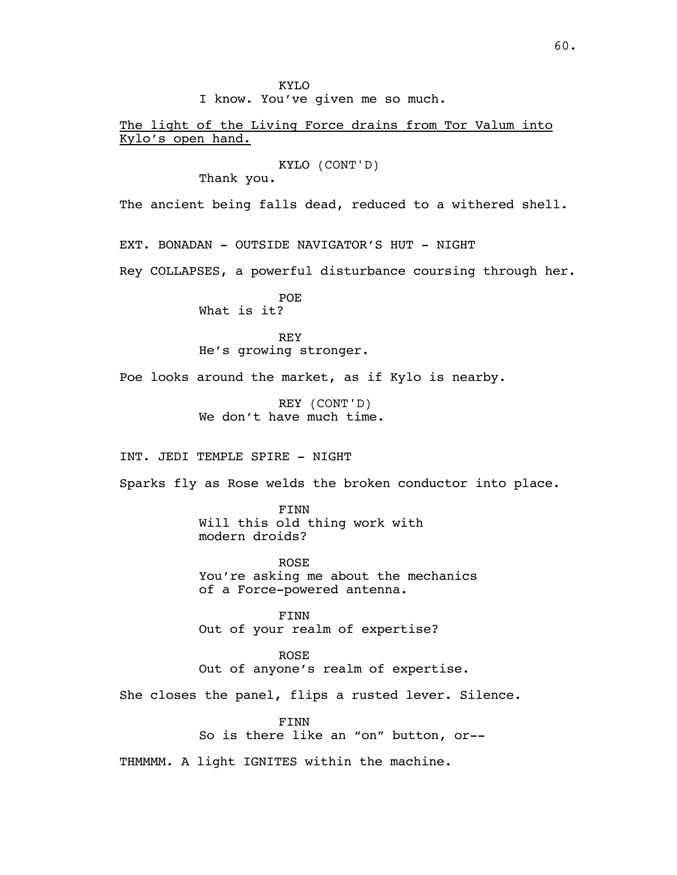KYLO I know. You've given me so much. The light of the Living Force drains from Tor Valum into Kylo's open hand. KYLO (CONT'D) Thank you. The ancient being falls dead, reduced to a withered shell. EXT. BONADAN - OUTSIDE NAVIGATOR'S HUT - NIGHT Rey COLLAPSES, a powerful disturbance coursing through her. POE What is it? REY He's growing stronger. Poe looks around the market, as if Kylo is nearby. REY (CONT'D) We don't have much time. INT. JEDI TEMPLE SPIRE - NIGHT Sparks fly as Rose welds the broken conductor into place. FINN Will this old thing work with modern droids? ROSE You're asking me about the mechanics of a Force-powered antenna. FINN Out of your realm of expertise? ROSE Out of anyone's realm of expertise. She closes the panel, flips a rusted lever. Silence. FINN

So is there like an "on" button, or--

THMMMM. A light IGNITES within the machine.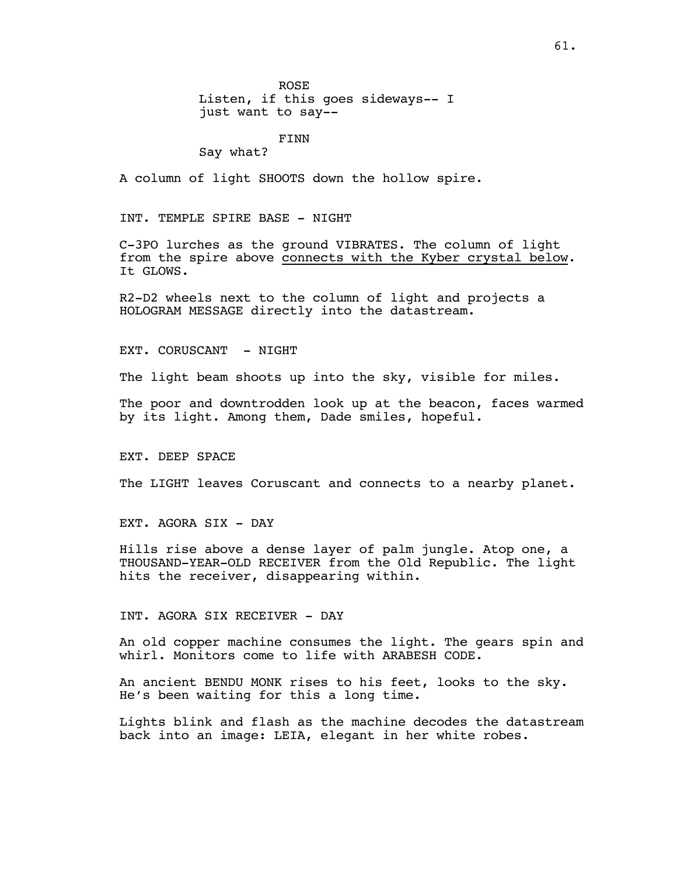ROSE Listen, if this goes sideways-- I just want to say--

FINN

Say what?

A column of light SHOOTS down the hollow spire.

INT. TEMPLE SPIRE BASE - NIGHT

C-3PO lurches as the ground VIBRATES. The column of light from the spire above connects with the Kyber crystal below. It GLOWS.

R2-D2 wheels next to the column of light and projects a HOLOGRAM MESSAGE directly into the datastream.

EXT. CORUSCANT - NIGHT

The light beam shoots up into the sky, visible for miles.

The poor and downtrodden look up at the beacon, faces warmed by its light. Among them, Dade smiles, hopeful.

EXT. DEEP SPACE

The LIGHT leaves Coruscant and connects to a nearby planet.

EXT. AGORA SIX - DAY

Hills rise above a dense layer of palm jungle. Atop one, a THOUSAND-YEAR-OLD RECEIVER from the Old Republic. The light hits the receiver, disappearing within.

INT. AGORA SIX RECEIVER - DAY

An old copper machine consumes the light. The gears spin and whirl. Monitors come to life with ARABESH CODE.

An ancient BENDU MONK rises to his feet, looks to the sky. He's been waiting for this a long time.

Lights blink and flash as the machine decodes the datastream back into an image: LEIA, elegant in her white robes.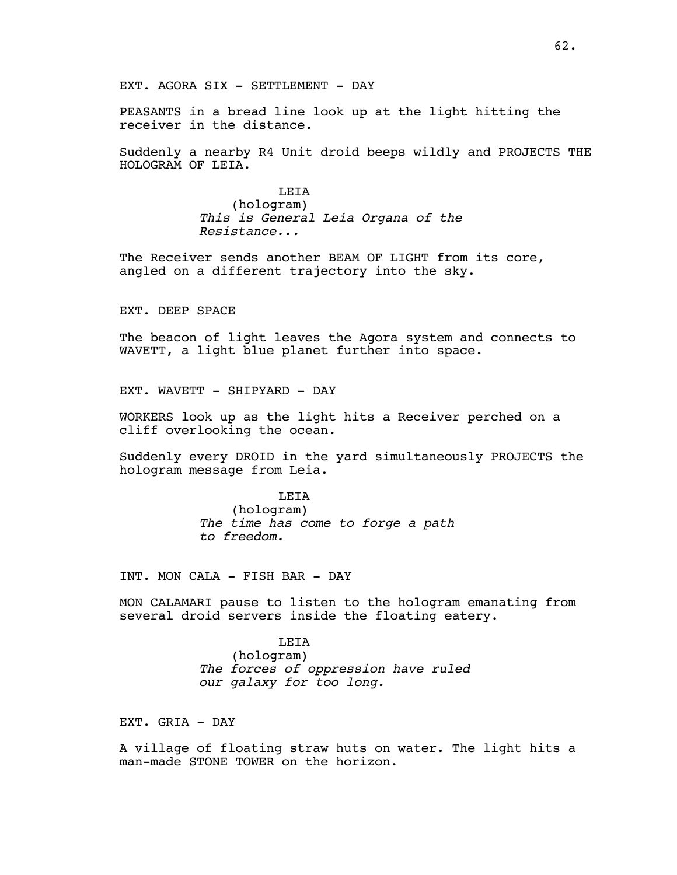PEASANTS in a bread line look up at the light hitting the receiver in the distance.

Suddenly a nearby R4 Unit droid beeps wildly and PROJECTS THE HOLOGRAM OF LEIA.

> LEIA (hologram) *This is General Leia Organa of the Resistance...*

The Receiver sends another BEAM OF LIGHT from its core, angled on a different trajectory into the sky.

EXT. DEEP SPACE

The beacon of light leaves the Agora system and connects to WAVETT, a light blue planet further into space.

EXT. WAVETT - SHIPYARD - DAY

WORKERS look up as the light hits a Receiver perched on a cliff overlooking the ocean.

Suddenly every DROID in the yard simultaneously PROJECTS the hologram message from Leia.

### **LETA**

(hologram) *The time has come to forge a path to freedom.*

INT. MON CALA - FISH BAR - DAY

MON CALAMARI pause to listen to the hologram emanating from several droid servers inside the floating eatery.

#### **LETA**

(hologram) *The forces of oppression have ruled our galaxy for too long.*

EXT. GRIA - DAY

A village of floating straw huts on water. The light hits a man-made STONE TOWER on the horizon.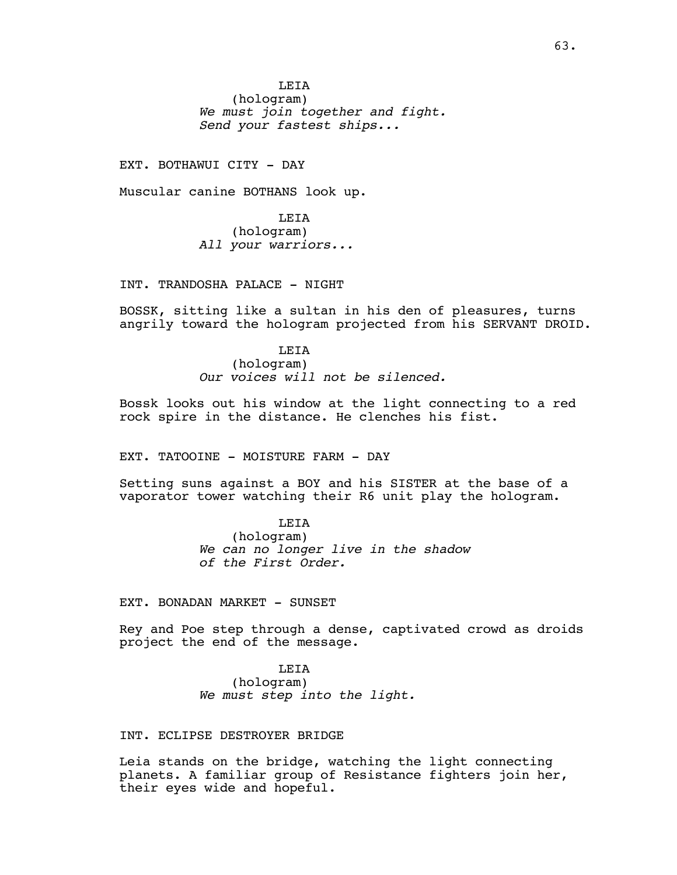**LETA** (hologram) *We must join together and fight. Send your fastest ships...*

EXT. BOTHAWUI CITY - DAY

Muscular canine BOTHANS look up.

LEIA (hologram) *All your warriors...*

INT. TRANDOSHA PALACE - NIGHT

BOSSK, sitting like a sultan in his den of pleasures, turns angrily toward the hologram projected from his SERVANT DROID.

> **LETA** (hologram) *Our voices will not be silenced.*

Bossk looks out his window at the light connecting to a red rock spire in the distance. He clenches his fist.

EXT. TATOOINE - MOISTURE FARM - DAY

Setting suns against a BOY and his SISTER at the base of a vaporator tower watching their R6 unit play the hologram.

> LEIA (hologram) *We can no longer live in the shadow of the First Order.*

EXT. BONADAN MARKET - SUNSET

Rey and Poe step through a dense, captivated crowd as droids project the end of the message.

> LEIA (hologram) *We must step into the light.*

## INT. ECLIPSE DESTROYER BRIDGE

Leia stands on the bridge, watching the light connecting planets. A familiar group of Resistance fighters join her, their eyes wide and hopeful.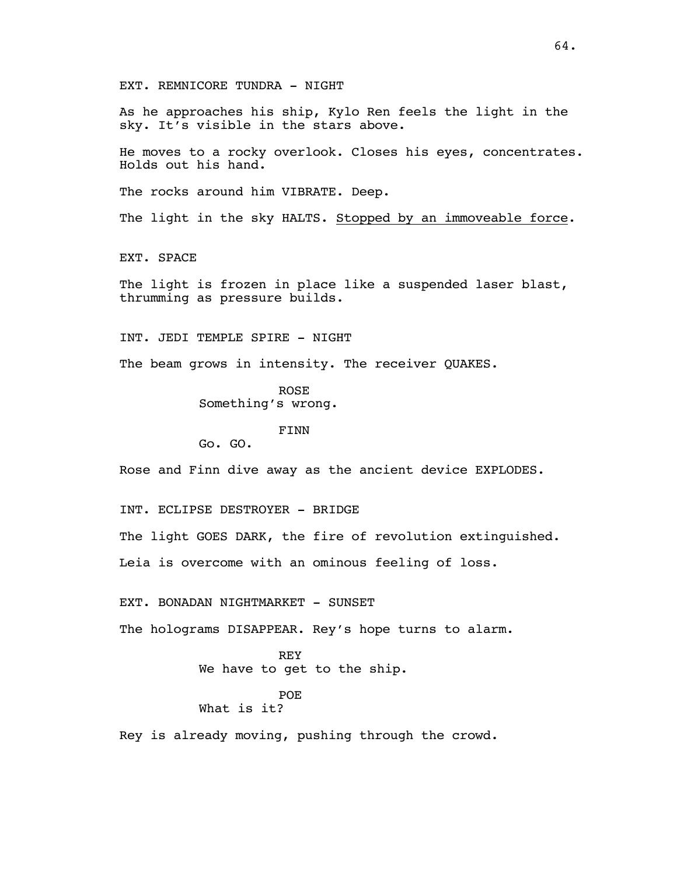EXT. REMNICORE TUNDRA - NIGHT

As he approaches his ship, Kylo Ren feels the light in the sky. It's visible in the stars above.

He moves to a rocky overlook. Closes his eyes, concentrates. Holds out his hand.

The rocks around him VIBRATE. Deep.

The light in the sky HALTS. Stopped by an immoveable force.

EXT. SPACE

The light is frozen in place like a suspended laser blast, thrumming as pressure builds.

INT. JEDI TEMPLE SPIRE - NIGHT

The beam grows in intensity. The receiver QUAKES.

ROSE Something's wrong.

FINN

Go. GO.

Rose and Finn dive away as the ancient device EXPLODES.

INT. ECLIPSE DESTROYER - BRIDGE

The light GOES DARK, the fire of revolution extinguished.

Leia is overcome with an ominous feeling of loss.

EXT. BONADAN NIGHTMARKET - SUNSET

The holograms DISAPPEAR. Rey's hope turns to alarm.

#### REY

We have to get to the ship.

#### POE

What is it?

Rey is already moving, pushing through the crowd.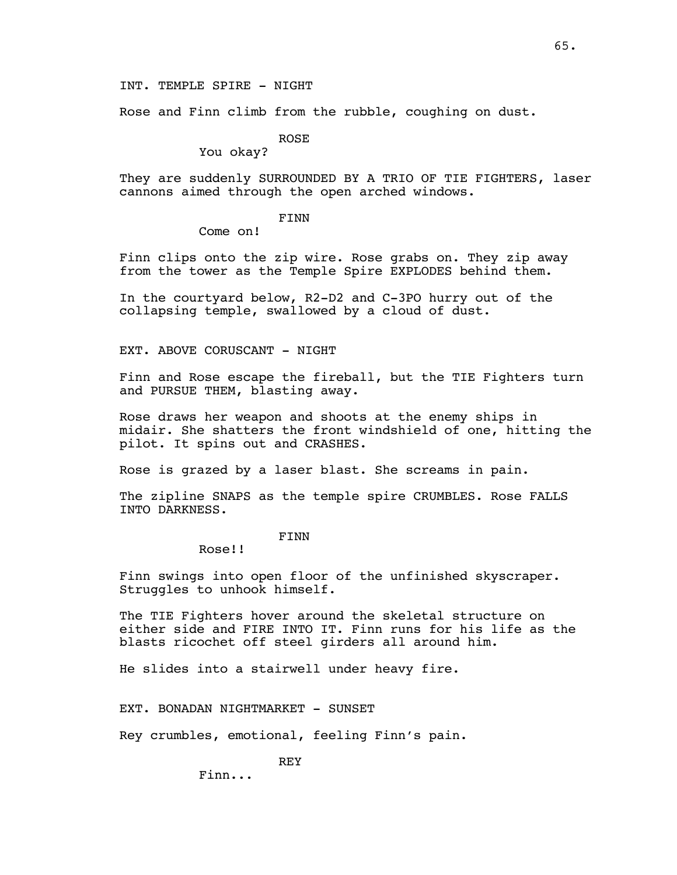Rose and Finn climb from the rubble, coughing on dust.

ROSE

You okay?

They are suddenly SURROUNDED BY A TRIO OF TIE FIGHTERS, laser cannons aimed through the open arched windows.

FINN

Come on!

Finn clips onto the zip wire. Rose grabs on. They zip away from the tower as the Temple Spire EXPLODES behind them.

In the courtyard below, R2-D2 and C-3PO hurry out of the collapsing temple, swallowed by a cloud of dust.

EXT. ABOVE CORUSCANT - NIGHT

Finn and Rose escape the fireball, but the TIE Fighters turn and PURSUE THEM, blasting away.

Rose draws her weapon and shoots at the enemy ships in midair. She shatters the front windshield of one, hitting the pilot. It spins out and CRASHES.

Rose is grazed by a laser blast. She screams in pain.

The zipline SNAPS as the temple spire CRUMBLES. Rose FALLS INTO DARKNESS.

FINN

Rose!!

Finn swings into open floor of the unfinished skyscraper. Struggles to unhook himself.

The TIE Fighters hover around the skeletal structure on either side and FIRE INTO IT. Finn runs for his life as the blasts ricochet off steel girders all around him.

He slides into a stairwell under heavy fire.

EXT. BONADAN NIGHTMARKET - SUNSET

Rey crumbles, emotional, feeling Finn's pain.

REY

Finn...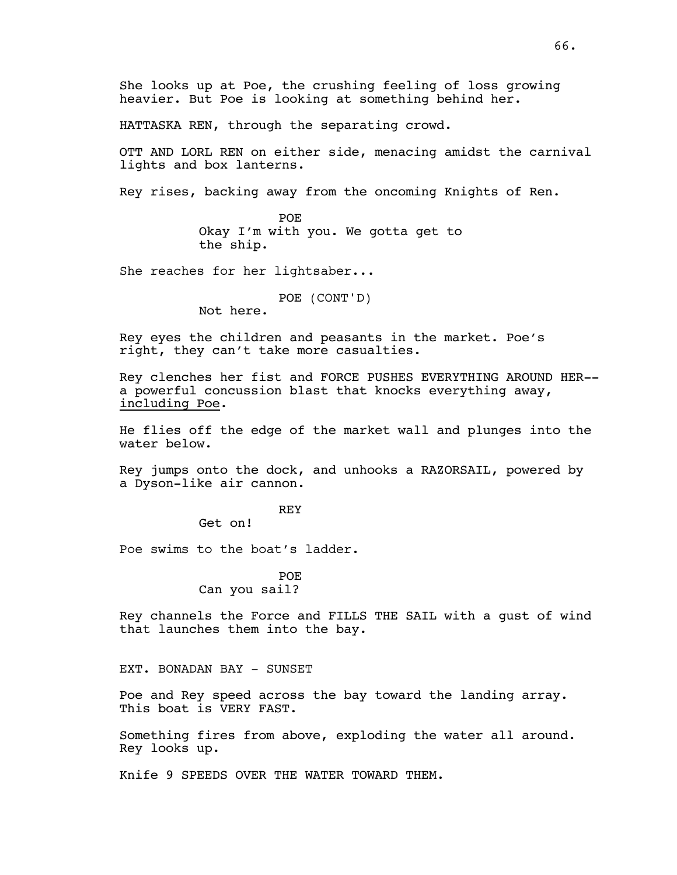She looks up at Poe, the crushing feeling of loss growing heavier. But Poe is looking at something behind her.

HATTASKA REN, through the separating crowd.

OTT AND LORL REN on either side, menacing amidst the carnival lights and box lanterns.

Rey rises, backing away from the oncoming Knights of Ren.

POE Okay I'm with you. We gotta get to the ship.

She reaches for her lightsaber...

POE (CONT'D)

Not here.

Rey eyes the children and peasants in the market. Poe's right, they can't take more casualties.

Rey clenches her fist and FORCE PUSHES EVERYTHING AROUND HER- a powerful concussion blast that knocks everything away, including Poe.

He flies off the edge of the market wall and plunges into the water below.

Rey jumps onto the dock, and unhooks a RAZORSAIL, powered by a Dyson-like air cannon.

REY

Get on!

Poe swims to the boat's ladder.

POE Can you sail?

Rey channels the Force and FILLS THE SAIL with a gust of wind that launches them into the bay.

EXT. BONADAN BAY - SUNSET

Poe and Rey speed across the bay toward the landing array. This boat is VERY FAST.

Something fires from above, exploding the water all around. Rey looks up.

Knife 9 SPEEDS OVER THE WATER TOWARD THEM.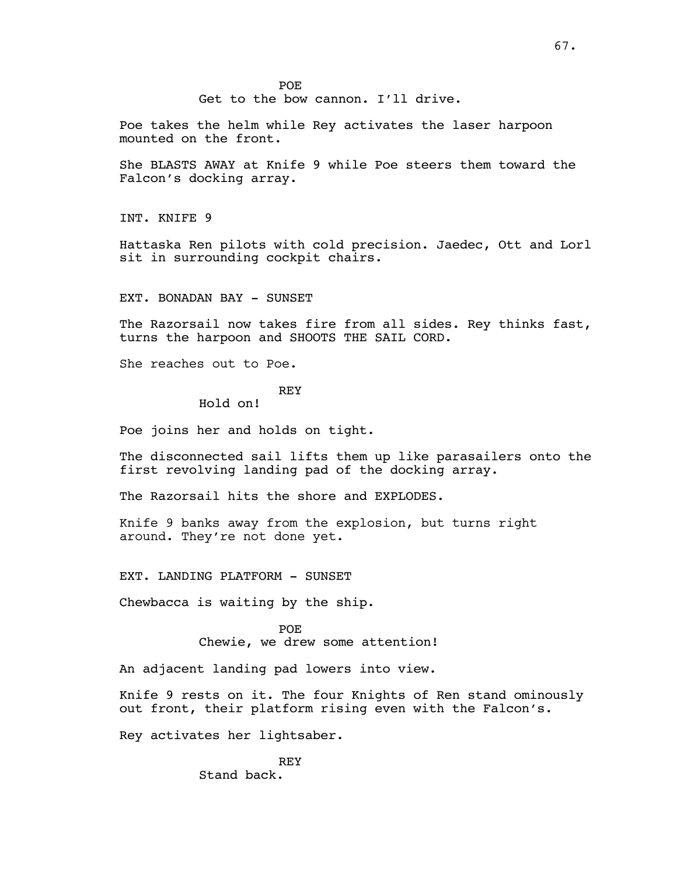Get to the bow cannon. I'll drive.

Poe takes the helm while Rey activates the laser harpoon mounted on the front.

She BLASTS AWAY at Knife 9 while Poe steers them toward the Falcon's docking array.

INT. KNIFE 9

Hattaska Ren pilots with cold precision. Jaedec, Ott and Lorl sit in surrounding cockpit chairs.

EXT. BONADAN BAY - SUNSET

The Razorsail now takes fire from all sides. Rey thinks fast, turns the harpoon and SHOOTS THE SAIL CORD.

She reaches out to Poe.

#### REY

Hold on!

Poe joins her and holds on tight.

The disconnected sail lifts them up like parasailers onto the first revolving landing pad of the docking array.

The Razorsail hits the shore and EXPLODES.

Knife 9 banks away from the explosion, but turns right around. They're not done yet.

EXT. LANDING PLATFORM - SUNSET

Chewbacca is waiting by the ship.

POE Chewie, we drew some attention!

An adjacent landing pad lowers into view.

Knife 9 rests on it. The four Knights of Ren stand ominously out front, their platform rising even with the Falcon's.

Rey activates her lightsaber.

REY Stand back.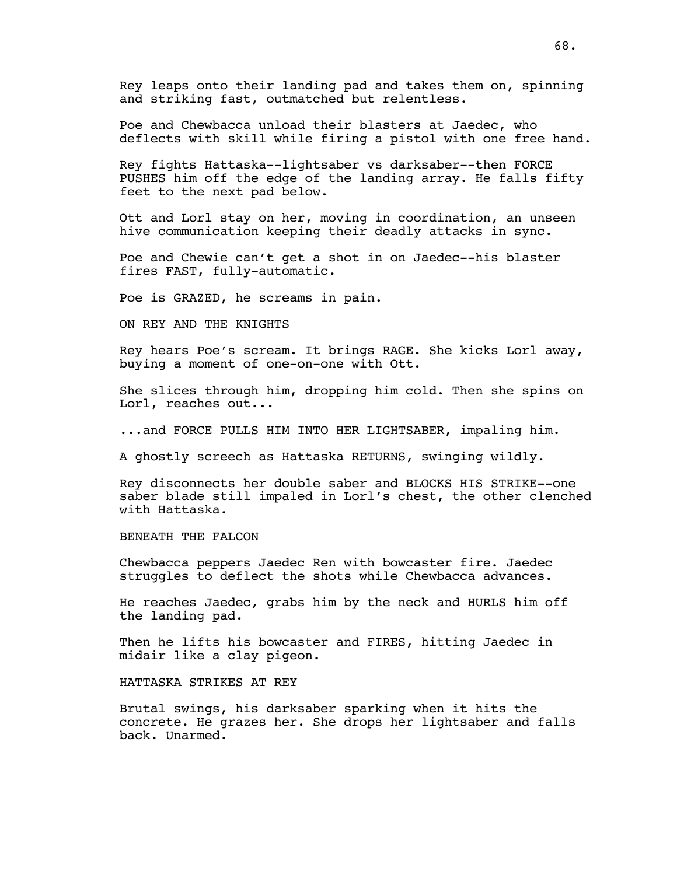Rey leaps onto their landing pad and takes them on, spinning and striking fast, outmatched but relentless.

Poe and Chewbacca unload their blasters at Jaedec, who deflects with skill while firing a pistol with one free hand.

Rey fights Hattaska--lightsaber vs darksaber--then FORCE PUSHES him off the edge of the landing array. He falls fifty feet to the next pad below.

Ott and Lorl stay on her, moving in coordination, an unseen hive communication keeping their deadly attacks in sync.

Poe and Chewie can't get a shot in on Jaedec--his blaster fires FAST, fully-automatic.

Poe is GRAZED, he screams in pain.

ON REY AND THE KNIGHTS

Rey hears Poe's scream. It brings RAGE. She kicks Lorl away, buying a moment of one-on-one with Ott.

She slices through him, dropping him cold. Then she spins on Lorl, reaches out...

...and FORCE PULLS HIM INTO HER LIGHTSABER, impaling him.

A ghostly screech as Hattaska RETURNS, swinging wildly.

Rey disconnects her double saber and BLOCKS HIS STRIKE--one saber blade still impaled in Lorl's chest, the other clenched with Hattaska.

BENEATH THE FALCON

Chewbacca peppers Jaedec Ren with bowcaster fire. Jaedec struggles to deflect the shots while Chewbacca advances.

He reaches Jaedec, grabs him by the neck and HURLS him off the landing pad.

Then he lifts his bowcaster and FIRES, hitting Jaedec in midair like a clay pigeon.

HATTASKA STRIKES AT REY

Brutal swings, his darksaber sparking when it hits the concrete. He grazes her. She drops her lightsaber and falls back. Unarmed.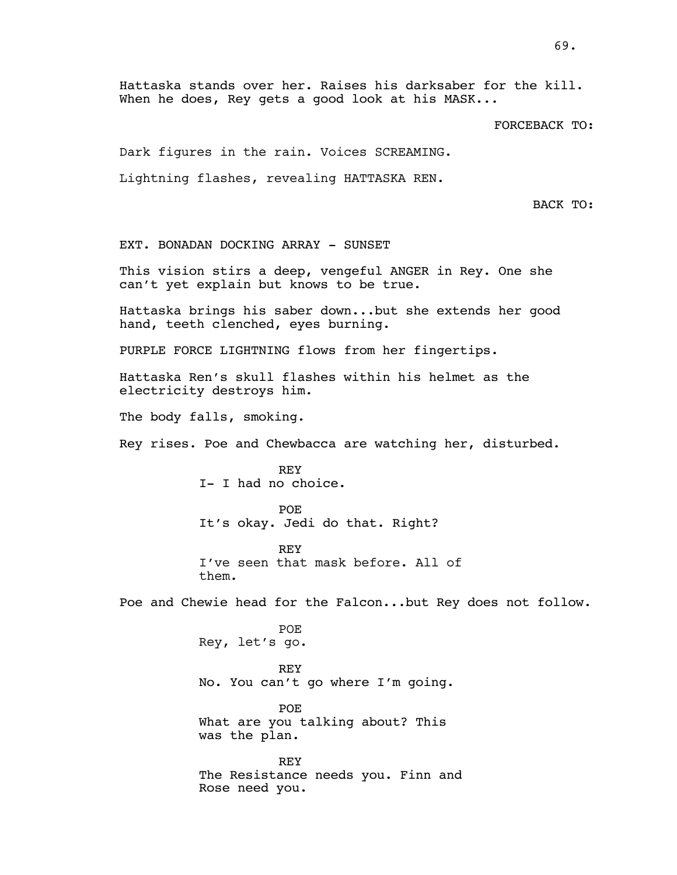Hattaska stands over her. Raises his darksaber for the kill. When he does, Rey gets a good look at his MASK...

FORCEBACK TO:

Dark figures in the rain. Voices SCREAMING.

Lightning flashes, revealing HATTASKA REN.

BACK TO:

EXT. BONADAN DOCKING ARRAY - SUNSET

This vision stirs a deep, vengeful ANGER in Rey. One she can't yet explain but knows to be true.

Hattaska brings his saber down...but she extends her good hand, teeth clenched, eyes burning.

PURPLE FORCE LIGHTNING flows from her fingertips.

Hattaska Ren's skull flashes within his helmet as the electricity destroys him.

The body falls, smoking.

Rey rises. Poe and Chewbacca are watching her, disturbed.

REY I- I had no choice.

POE It's okay. Jedi do that. Right?

REY I've seen that mask before. All of them.

Poe and Chewie head for the Falcon...but Rey does not follow.

POE Rey, let's go.

REY No. You can't go where I'm going.

POE What are you talking about? This was the plan.

REY The Resistance needs you. Finn and Rose need you.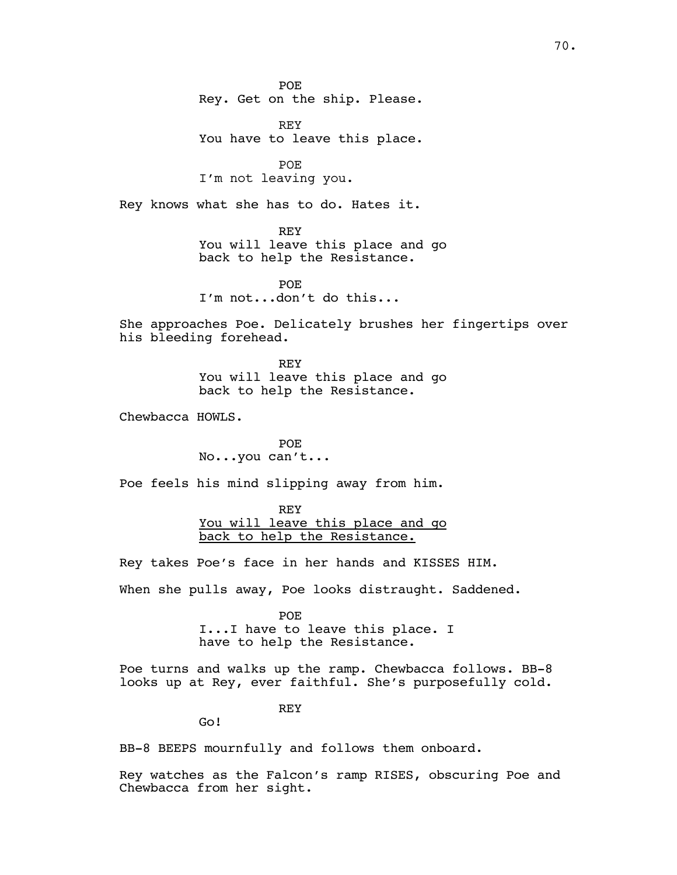POE Rey. Get on the ship. Please.

REY You have to leave this place.

POE I'm not leaving you.

Rey knows what she has to do. Hates it.

REY You will leave this place and go back to help the Resistance.

POE I'm not...don't do this...

She approaches Poe. Delicately brushes her fingertips over his bleeding forehead.

> REY You will leave this place and go back to help the Resistance.

Chewbacca HOWLS.

POE No...you can't...

Poe feels his mind slipping away from him.

REY You will leave this place and go back to help the Resistance.

Rey takes Poe's face in her hands and KISSES HIM.

When she pulls away, Poe looks distraught. Saddened.

POE I...I have to leave this place. I have to help the Resistance.

Poe turns and walks up the ramp. Chewbacca follows. BB-8 looks up at Rey, ever faithful. She's purposefully cold.

REY

Go!

BB-8 BEEPS mournfully and follows them onboard.

Rey watches as the Falcon's ramp RISES, obscuring Poe and Chewbacca from her sight.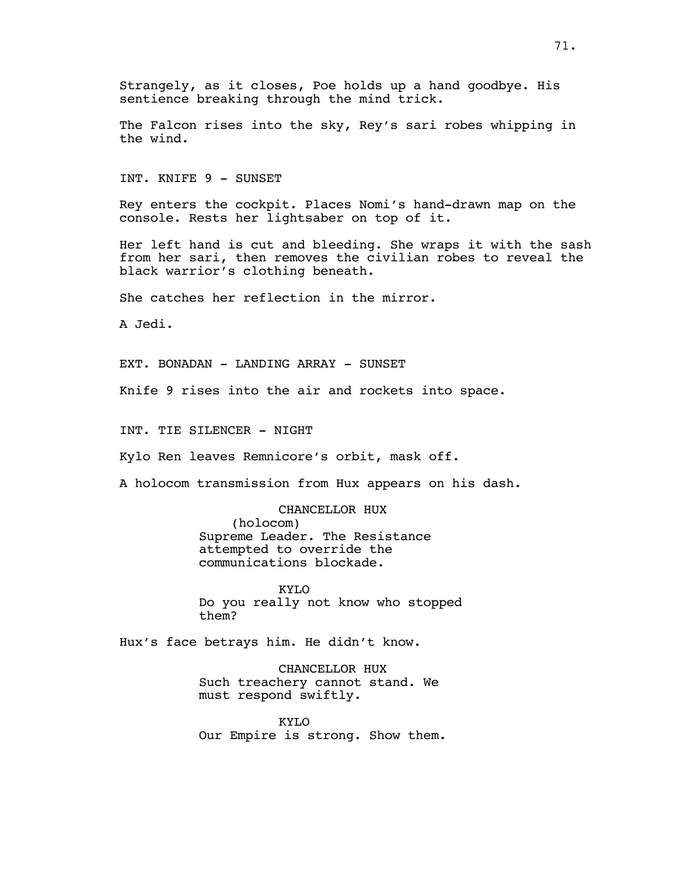Strangely, as it closes, Poe holds up a hand goodbye. His sentience breaking through the mind trick.

The Falcon rises into the sky, Rey's sari robes whipping in the wind.

INT. KNIFE 9 - SUNSET

Rey enters the cockpit. Places Nomi's hand-drawn map on the console. Rests her lightsaber on top of it.

Her left hand is cut and bleeding. She wraps it with the sash from her sari, then removes the civilian robes to reveal the black warrior's clothing beneath.

She catches her reflection in the mirror.

A Jedi.

EXT. BONADAN - LANDING ARRAY - SUNSET

Knife 9 rises into the air and rockets into space.

INT. TIE SILENCER - NIGHT

Kylo Ren leaves Remnicore's orbit, mask off.

A holocom transmission from Hux appears on his dash.

CHANCELLOR HUX (holocom)

Supreme Leader. The Resistance attempted to override the communications blockade.

KYLO Do you really not know who stopped them?

Hux's face betrays him. He didn't know.

CHANCELLOR HUX Such treachery cannot stand. We must respond swiftly.

KYLO Our Empire is strong. Show them.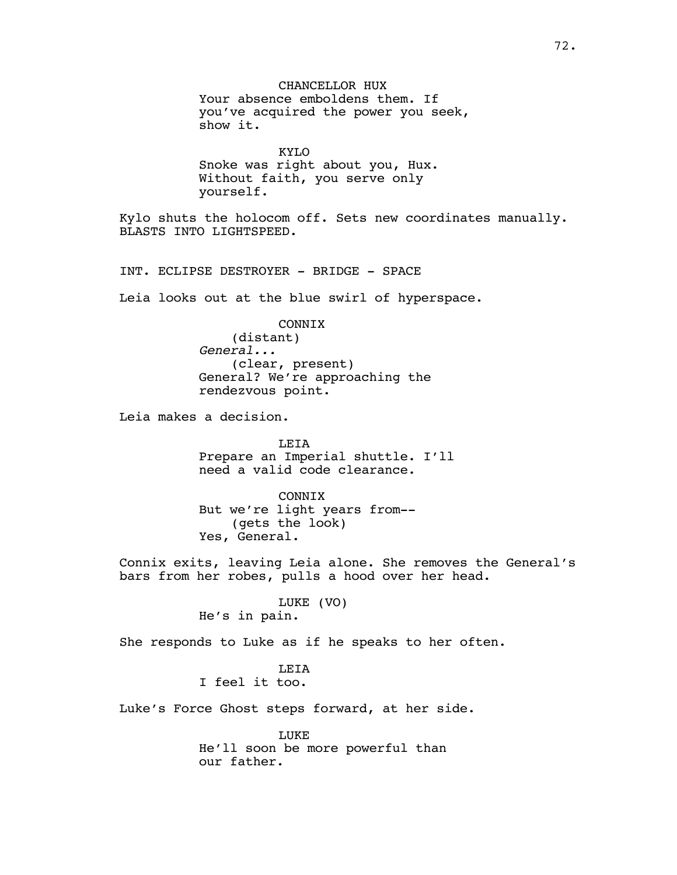CHANCELLOR HUX Your absence emboldens them. If you've acquired the power you seek, show it. KYLO Snoke was right about you, Hux. Without faith, you serve only yourself. Kylo shuts the holocom off. Sets new coordinates manually. BLASTS INTO LIGHTSPEED. INT. ECLIPSE DESTROYER - BRIDGE - SPACE Leia looks out at the blue swirl of hyperspace. CONNIX (distant) *General...* (clear, present) General? We're approaching the rendezvous point. Leia makes a decision. LEIA Prepare an Imperial shuttle. I'll need a valid code clearance. **CONNTX** But we're light years from-- (gets the look) Yes, General. Connix exits, leaving Leia alone. She removes the General's bars from her robes, pulls a hood over her head. LUKE (VO) He's in pain. She responds to Luke as if he speaks to her often. **LETA** I feel it too. Luke's Force Ghost steps forward, at her side. LUKE He'll soon be more powerful than our father.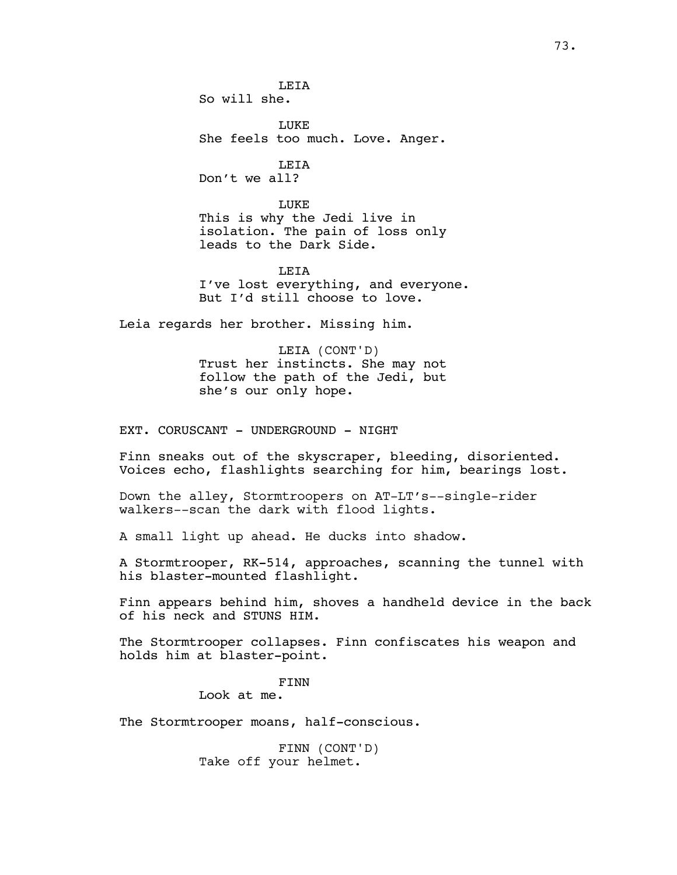**LETA** So will she.

LUKE She feels too much. Love. Anger.

LEIA Don't we all?

LUKE This is why the Jedi live in isolation. The pain of loss only leads to the Dark Side.

**LETA** I've lost everything, and everyone. But I'd still choose to love.

Leia regards her brother. Missing him.

LEIA (CONT'D) Trust her instincts. She may not follow the path of the Jedi, but she's our only hope.

EXT. CORUSCANT - UNDERGROUND - NIGHT

Finn sneaks out of the skyscraper, bleeding, disoriented. Voices echo, flashlights searching for him, bearings lost.

Down the alley, Stormtroopers on AT-LT's--single-rider walkers--scan the dark with flood lights.

A small light up ahead. He ducks into shadow.

A Stormtrooper, RK-514, approaches, scanning the tunnel with his blaster-mounted flashlight.

Finn appears behind him, shoves a handheld device in the back of his neck and STUNS HIM.

The Stormtrooper collapses. Finn confiscates his weapon and holds him at blaster-point.

FINN

Look at me.

The Stormtrooper moans, half-conscious.

FINN (CONT'D) Take off your helmet.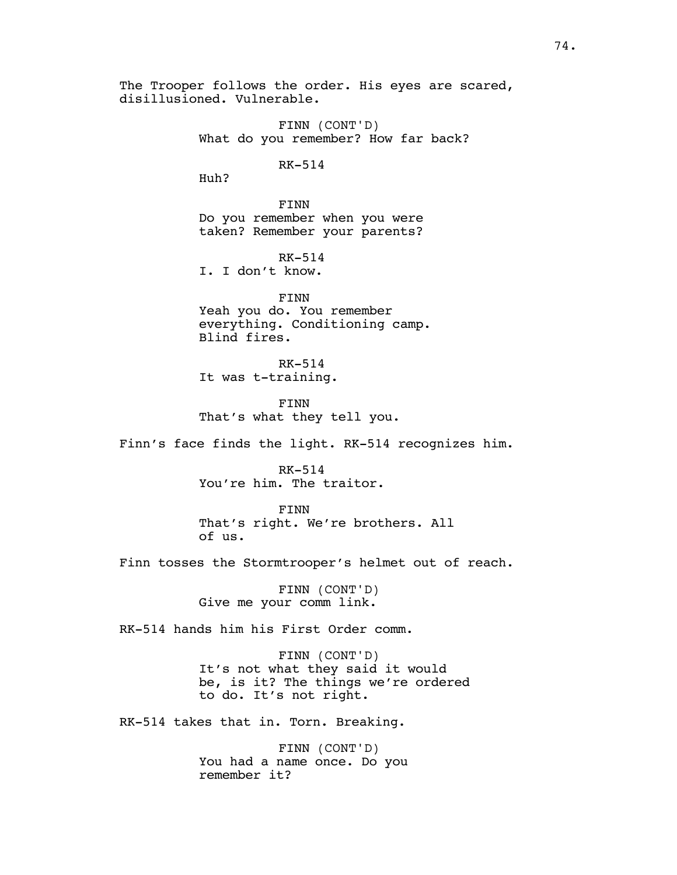The Trooper follows the order. His eyes are scared, disillusioned. Vulnerable.

> FINN (CONT'D) What do you remember? How far back?

> > RK-514

Huh?

FINN Do you remember when you were taken? Remember your parents?

RK-514 I. I don't know.

FINN Yeah you do. You remember everything. Conditioning camp. Blind fires.

RK-514 It was t-training.

FINN That's what they tell you.

Finn's face finds the light. RK-514 recognizes him.

RK-514 You're him. The traitor.

FINN That's right. We're brothers. All of us.

Finn tosses the Stormtrooper's helmet out of reach.

FINN (CONT'D) Give me your comm link.

RK-514 hands him his First Order comm.

FINN (CONT'D) It's not what they said it would be, is it? The things we're ordered to do. It's not right.

RK-514 takes that in. Torn. Breaking.

FINN (CONT'D) You had a name once. Do you remember it?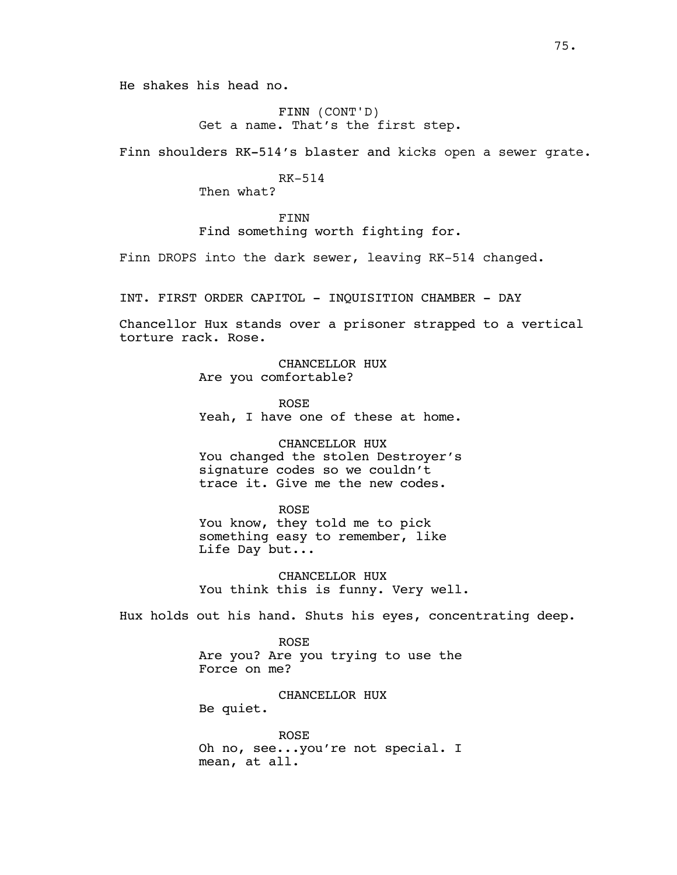He shakes his head no.

FINN (CONT'D) Get a name. That's the first step.

Finn shoulders RK-514's blaster and kicks open a sewer grate.

RK-514

Then what?

FINN Find something worth fighting for.

Finn DROPS into the dark sewer, leaving RK-514 changed.

INT. FIRST ORDER CAPITOL - INQUISITION CHAMBER - DAY

Chancellor Hux stands over a prisoner strapped to a vertical torture rack. Rose.

> CHANCELLOR HUX Are you comfortable?

ROSE Yeah, I have one of these at home.

CHANCELLOR HUX You changed the stolen Destroyer's signature codes so we couldn't trace it. Give me the new codes.

#### ROSE

You know, they told me to pick something easy to remember, like Life Day but...

CHANCELLOR HUX You think this is funny. Very well.

Hux holds out his hand. Shuts his eyes, concentrating deep.

ROSE Are you? Are you trying to use the Force on me?

CHANCELLOR HUX

Be quiet.

ROSE Oh no, see...you're not special. I mean, at all.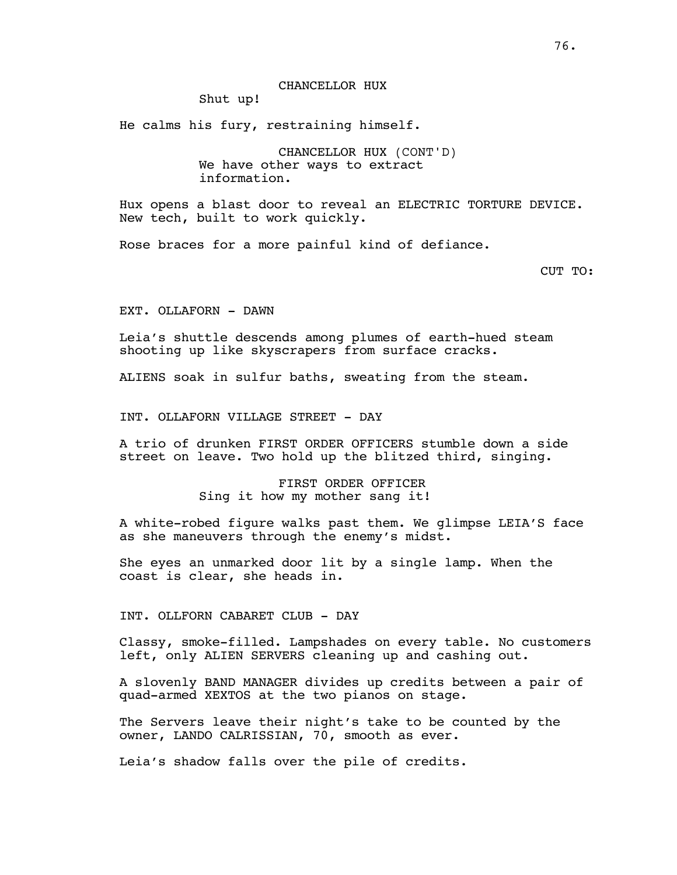#### CHANCELLOR HUX

Shut up!

He calms his fury, restraining himself.

CHANCELLOR HUX (CONT'D) We have other ways to extract information.

Hux opens a blast door to reveal an ELECTRIC TORTURE DEVICE. New tech, built to work quickly.

Rose braces for a more painful kind of defiance.

CUT TO:

EXT. OLLAFORN - DAWN

Leia's shuttle descends among plumes of earth-hued steam shooting up like skyscrapers from surface cracks.

ALIENS soak in sulfur baths, sweating from the steam.

INT. OLLAFORN VILLAGE STREET - DAY

A trio of drunken FIRST ORDER OFFICERS stumble down a side street on leave. Two hold up the blitzed third, singing.

> FIRST ORDER OFFICER Sing it how my mother sang it!

A white-robed figure walks past them. We glimpse LEIA'S face as she maneuvers through the enemy's midst.

She eyes an unmarked door lit by a single lamp. When the coast is clear, she heads in.

INT. OLLFORN CABARET CLUB - DAY

Classy, smoke-filled. Lampshades on every table. No customers left, only ALIEN SERVERS cleaning up and cashing out.

A slovenly BAND MANAGER divides up credits between a pair of quad-armed XEXTOS at the two pianos on stage.

The Servers leave their night's take to be counted by the owner, LANDO CALRISSIAN, 70, smooth as ever.

Leia's shadow falls over the pile of credits.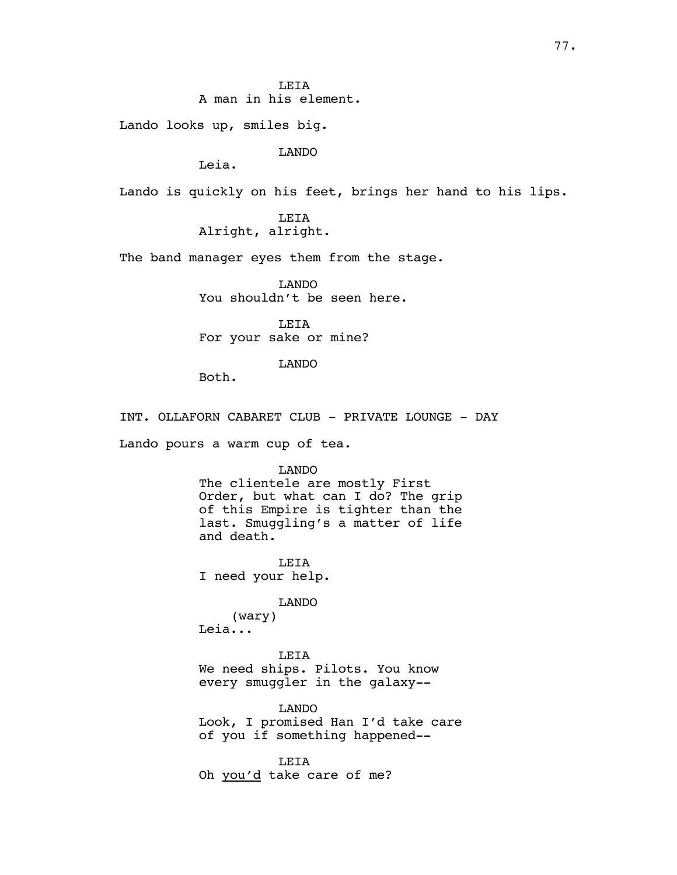**LETA** A man in his element.

Lando looks up, smiles big.

LANDO

Leia.

Lando is quickly on his feet, brings her hand to his lips.

LEIA Alright, alright.

The band manager eyes them from the stage.

LANDO You shouldn't be seen here.

LEIA For your sake or mine?

LANDO

Both.

INT. OLLAFORN CABARET CLUB - PRIVATE LOUNGE - DAY

Lando pours a warm cup of tea.

LANDO

The clientele are mostly First Order, but what can I do? The grip of this Empire is tighter than the last. Smuggling's a matter of life and death.

LEIA I need your help.

LANDO

(wary) Leia...

LEIA We need ships. Pilots. You know every smuggler in the galaxy--

LANDO Look, I promised Han I'd take care of you if something happened--

LEIA Oh you'd take care of me?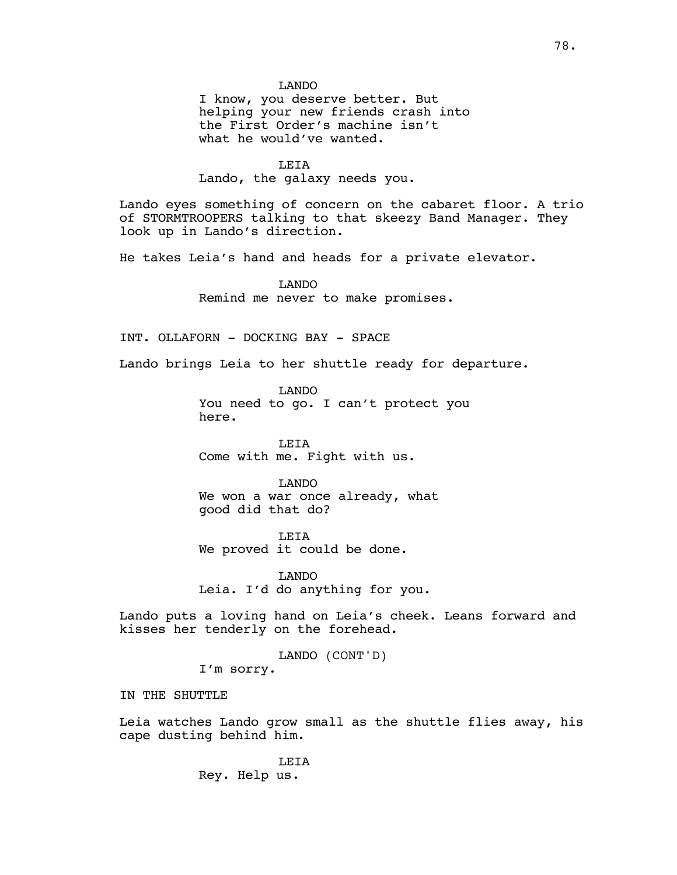LANDO

I know, you deserve better. But helping your new friends crash into the First Order's machine isn't what he would've wanted.

LEIA

Lando, the galaxy needs you.

Lando eyes something of concern on the cabaret floor. A trio of STORMTROOPERS talking to that skeezy Band Manager. They look up in Lando's direction.

He takes Leia's hand and heads for a private elevator.

LANDO Remind me never to make promises.

INT. OLLAFORN - DOCKING BAY - SPACE

Lando brings Leia to her shuttle ready for departure.

LANDO You need to go. I can't protect you here.

LEIA Come with me. Fight with us.

LANDO We won a war once already, what good did that do?

LEIA We proved it could be done.

LANDO Leia. I'd do anything for you.

Lando puts a loving hand on Leia's cheek. Leans forward and kisses her tenderly on the forehead.

LANDO (CONT'D)

I'm sorry.

IN THE SHUTTLE

Leia watches Lando grow small as the shuttle flies away, his cape dusting behind him.

> LEIA Rey. Help us.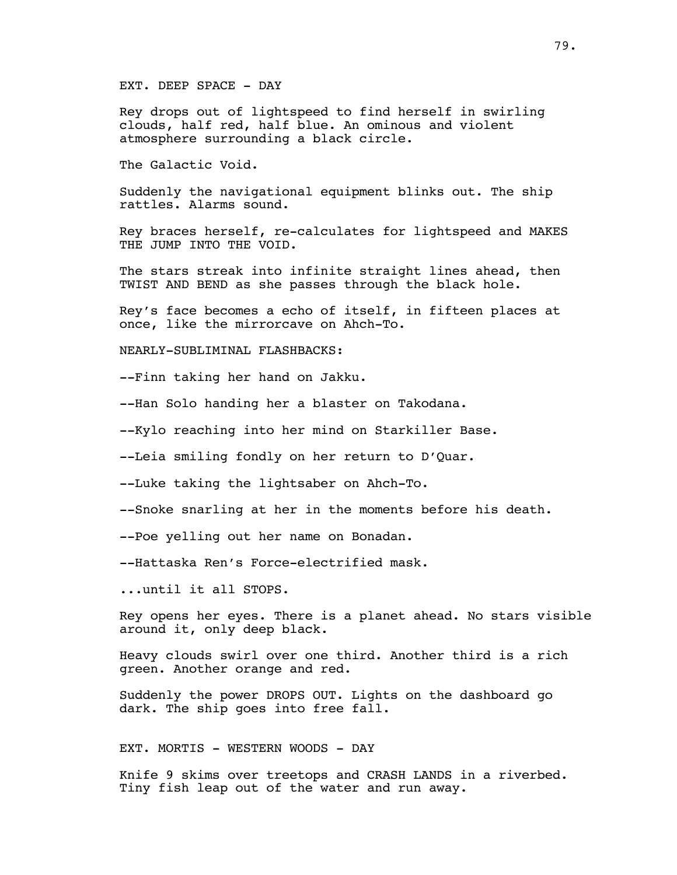EXT. DEEP SPACE - DAY

Rey drops out of lightspeed to find herself in swirling clouds, half red, half blue. An ominous and violent atmosphere surrounding a black circle.

The Galactic Void.

Suddenly the navigational equipment blinks out. The ship rattles. Alarms sound.

Rey braces herself, re-calculates for lightspeed and MAKES THE JUMP INTO THE VOID.

The stars streak into infinite straight lines ahead, then TWIST AND BEND as she passes through the black hole.

Rey's face becomes a echo of itself, in fifteen places at once, like the mirrorcave on Ahch-To.

NEARLY-SUBLIMINAL FLASHBACKS:

--Finn taking her hand on Jakku.

--Han Solo handing her a blaster on Takodana.

--Kylo reaching into her mind on Starkiller Base.

--Leia smiling fondly on her return to D'Quar.

--Luke taking the lightsaber on Ahch-To.

--Snoke snarling at her in the moments before his death.

--Poe yelling out her name on Bonadan.

--Hattaska Ren's Force-electrified mask.

...until it all STOPS.

Rey opens her eyes. There is a planet ahead. No stars visible around it, only deep black.

Heavy clouds swirl over one third. Another third is a rich green. Another orange and red.

Suddenly the power DROPS OUT. Lights on the dashboard go dark. The ship goes into free fall.

EXT. MORTIS - WESTERN WOODS - DAY

Knife 9 skims over treetops and CRASH LANDS in a riverbed. Tiny fish leap out of the water and run away.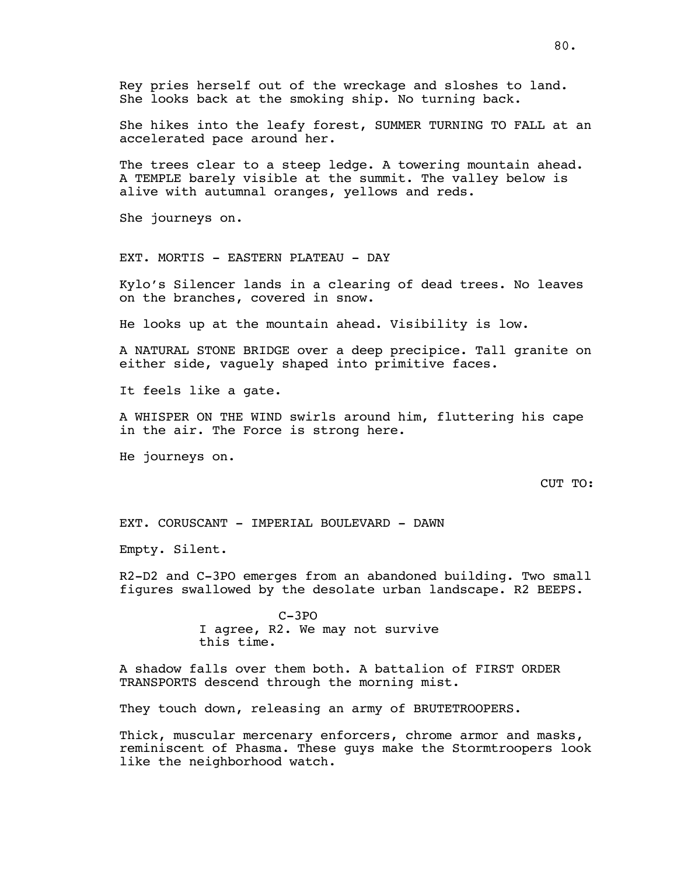Rey pries herself out of the wreckage and sloshes to land. She looks back at the smoking ship. No turning back.

She hikes into the leafy forest, SUMMER TURNING TO FALL at an accelerated pace around her.

The trees clear to a steep ledge. A towering mountain ahead. A TEMPLE barely visible at the summit. The valley below is alive with autumnal oranges, yellows and reds.

She journeys on.

EXT. MORTIS - EASTERN PLATEAU - DAY

Kylo's Silencer lands in a clearing of dead trees. No leaves on the branches, covered in snow.

He looks up at the mountain ahead. Visibility is low.

A NATURAL STONE BRIDGE over a deep precipice. Tall granite on either side, vaguely shaped into primitive faces.

It feels like a gate.

A WHISPER ON THE WIND swirls around him, fluttering his cape in the air. The Force is strong here.

He journeys on.

CUT TO:

EXT. CORUSCANT - IMPERIAL BOULEVARD - DAWN

Empty. Silent.

R2-D2 and C-3PO emerges from an abandoned building. Two small figures swallowed by the desolate urban landscape. R2 BEEPS.

> C-3PO I agree, R2. We may not survive this time.

A shadow falls over them both. A battalion of FIRST ORDER TRANSPORTS descend through the morning mist.

They touch down, releasing an army of BRUTETROOPERS.

Thick, muscular mercenary enforcers, chrome armor and masks, reminiscent of Phasma. These guys make the Stormtroopers look like the neighborhood watch.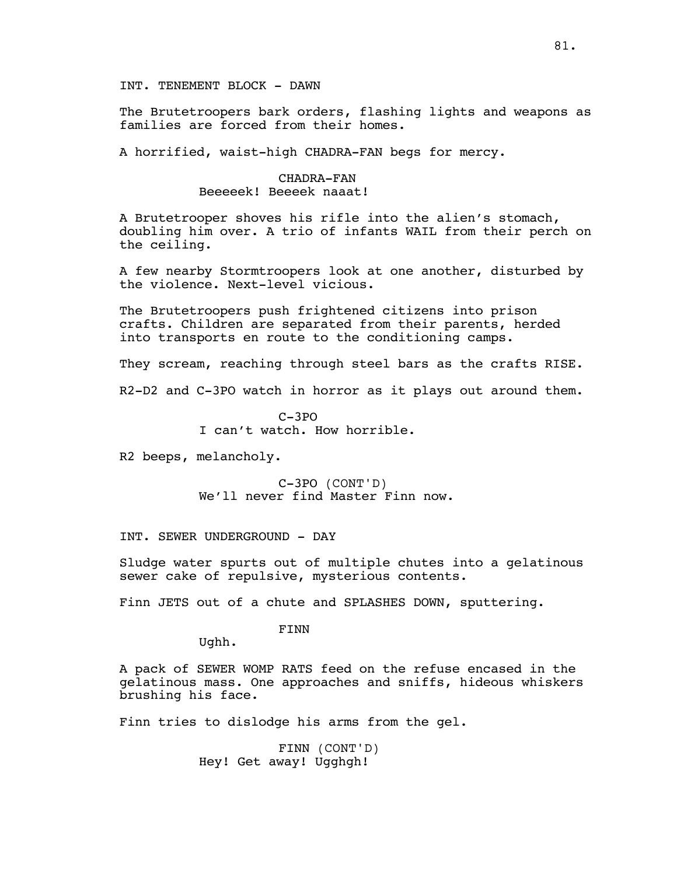INT. TENEMENT BLOCK - DAWN

The Brutetroopers bark orders, flashing lights and weapons as families are forced from their homes.

A horrified, waist-high CHADRA-FAN begs for mercy.

CHADRA-FAN Beeeeek! Beeeek naaat!

A Brutetrooper shoves his rifle into the alien's stomach, doubling him over. A trio of infants WAIL from their perch on the ceiling.

A few nearby Stormtroopers look at one another, disturbed by the violence. Next-level vicious.

The Brutetroopers push frightened citizens into prison crafts. Children are separated from their parents, herded into transports en route to the conditioning camps.

They scream, reaching through steel bars as the crafts RISE.

R2-D2 and C-3PO watch in horror as it plays out around them.

 $C-3PO$ I can't watch. How horrible.

R2 beeps, melancholy.

C-3PO (CONT'D) We'll never find Master Finn now.

INT. SEWER UNDERGROUND - DAY

Sludge water spurts out of multiple chutes into a gelatinous sewer cake of repulsive, mysterious contents.

Finn JETS out of a chute and SPLASHES DOWN, sputtering.

FINN

Ughh.

A pack of SEWER WOMP RATS feed on the refuse encased in the gelatinous mass. One approaches and sniffs, hideous whiskers brushing his face.

Finn tries to dislodge his arms from the gel.

FINN (CONT'D) Hey! Get away! Ugghgh!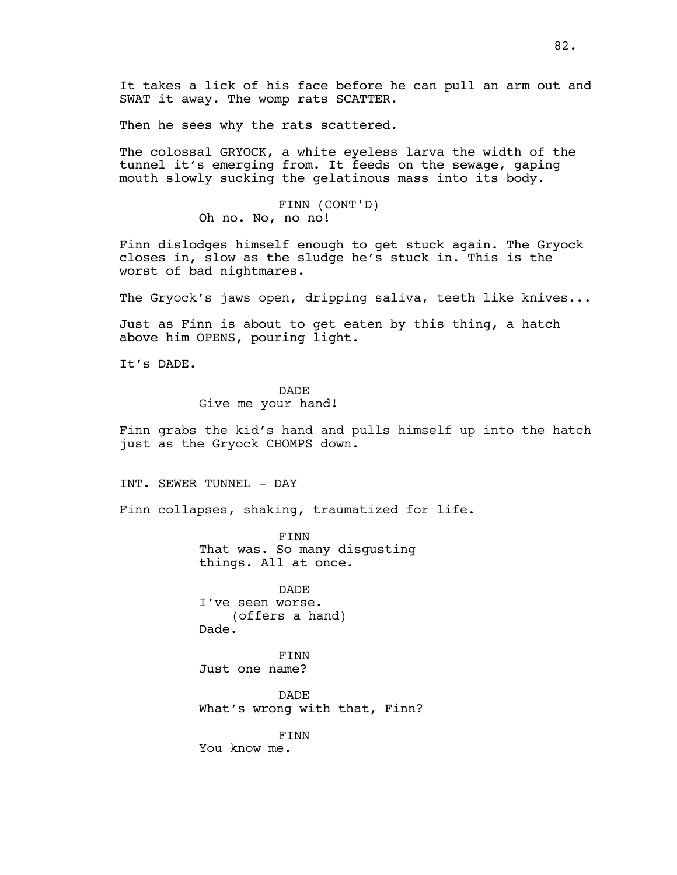It takes a lick of his face before he can pull an arm out and SWAT it away. The womp rats SCATTER.

Then he sees why the rats scattered.

The colossal GRYOCK, a white eyeless larva the width of the tunnel it's emerging from. It feeds on the sewage, gaping mouth slowly sucking the gelatinous mass into its body.

> FINN (CONT'D) Oh no. No, no no!

Finn dislodges himself enough to get stuck again. The Gryock closes in, slow as the sludge he's stuck in. This is the worst of bad nightmares.

The Gryock's jaws open, dripping saliva, teeth like knives...

Just as Finn is about to get eaten by this thing, a hatch above him OPENS, pouring light.

It's DADE.

DADE

Give me your hand!

Finn grabs the kid's hand and pulls himself up into the hatch just as the Gryock CHOMPS down.

INT. SEWER TUNNEL - DAY

Finn collapses, shaking, traumatized for life.

FINN That was. So many disgusting things. All at once.

DADE I've seen worse. (offers a hand) Dade.

FINN Just one name?

**DADE** What's wrong with that, Finn?

FINN You know me.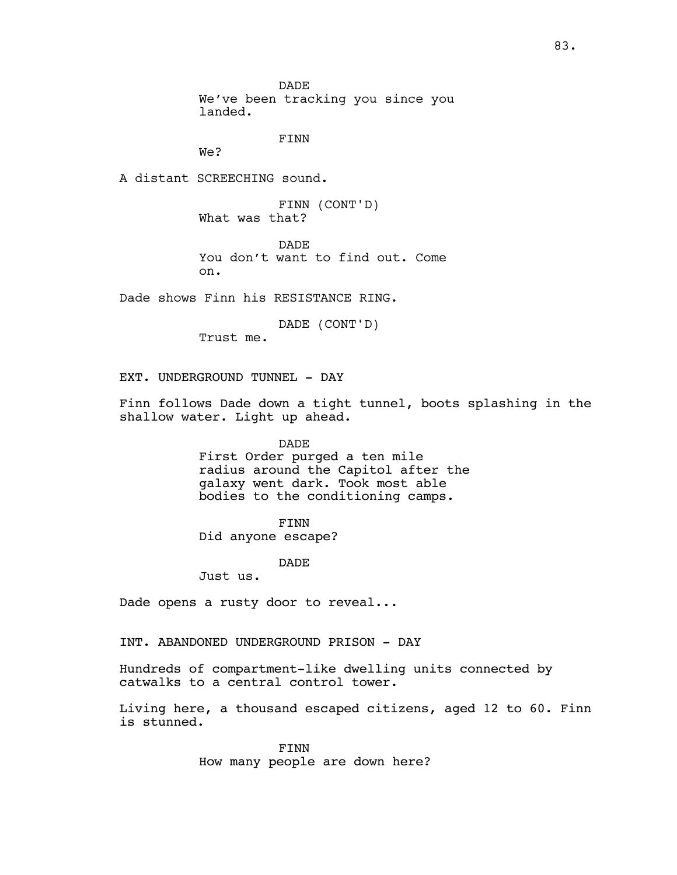DADE We've been tracking you since you landed.

FINN

We?

A distant SCREECHING sound.

FINN (CONT'D) What was that?

DADE You don't want to find out. Come on.

Dade shows Finn his RESISTANCE RING.

DADE (CONT'D)

Trust me.

EXT. UNDERGROUND TUNNEL - DAY

Finn follows Dade down a tight tunnel, boots splashing in the shallow water. Light up ahead.

> DADE First Order purged a ten mile radius around the Capitol after the galaxy went dark. Took most able bodies to the conditioning camps.

> > FINN

Did anyone escape?

DADE

Just us.

Dade opens a rusty door to reveal...

INT. ABANDONED UNDERGROUND PRISON - DAY

Hundreds of compartment-like dwelling units connected by catwalks to a central control tower.

Living here, a thousand escaped citizens, aged 12 to 60. Finn is stunned.

> FINN How many people are down here?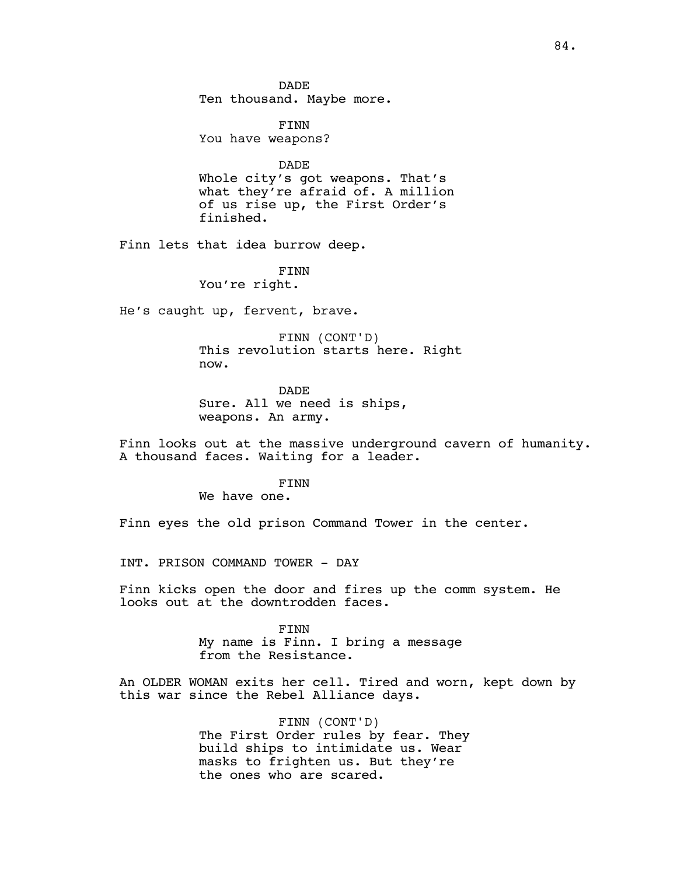**DADE** Ten thousand. Maybe more.

FINN You have weapons?

DADE Whole city's got weapons. That's what they're afraid of. A million of us rise up, the First Order's finished.

Finn lets that idea burrow deep.

FINN You're right.

He's caught up, fervent, brave.

FINN (CONT'D) This revolution starts here. Right now.

DADE Sure. All we need is ships, weapons. An army.

Finn looks out at the massive underground cavern of humanity. A thousand faces. Waiting for a leader.

FINN

We have one.

Finn eyes the old prison Command Tower in the center.

INT. PRISON COMMAND TOWER - DAY

Finn kicks open the door and fires up the comm system. He looks out at the downtrodden faces.

> FINN My name is Finn. I bring a message from the Resistance.

An OLDER WOMAN exits her cell. Tired and worn, kept down by this war since the Rebel Alliance days.

> FINN (CONT'D) The First Order rules by fear. They build ships to intimidate us. Wear masks to frighten us. But they're the ones who are scared.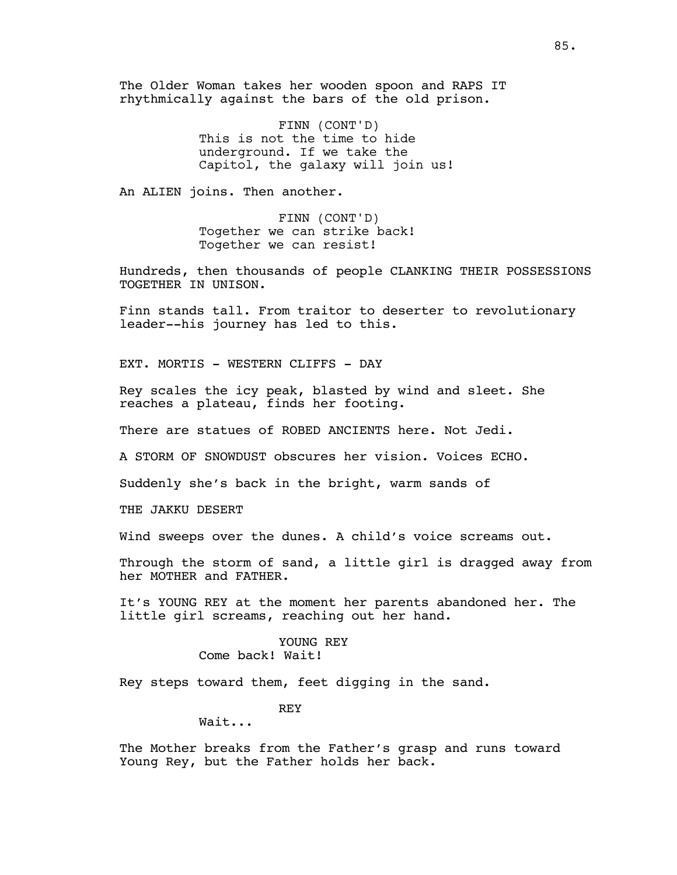The Older Woman takes her wooden spoon and RAPS IT rhythmically against the bars of the old prison.

> FINN (CONT'D) This is not the time to hide underground. If we take the Capitol, the galaxy will join us!

An ALIEN joins. Then another.

FINN (CONT'D) Together we can strike back! Together we can resist!

Hundreds, then thousands of people CLANKING THEIR POSSESSIONS TOGETHER IN UNISON.

Finn stands tall. From traitor to deserter to revolutionary leader--his journey has led to this.

EXT. MORTIS - WESTERN CLIFFS - DAY

Rey scales the icy peak, blasted by wind and sleet. She reaches a plateau, finds her footing.

There are statues of ROBED ANCIENTS here. Not Jedi.

A STORM OF SNOWDUST obscures her vision. Voices ECHO.

Suddenly she's back in the bright, warm sands of

THE JAKKU DESERT

Wind sweeps over the dunes. A child's voice screams out.

Through the storm of sand, a little girl is dragged away from her MOTHER and FATHER.

It's YOUNG REY at the moment her parents abandoned her. The little girl screams, reaching out her hand.

> YOUNG REY Come back! Wait!

Rey steps toward them, feet digging in the sand.

REY

Wait...

The Mother breaks from the Father's grasp and runs toward Young Rey, but the Father holds her back.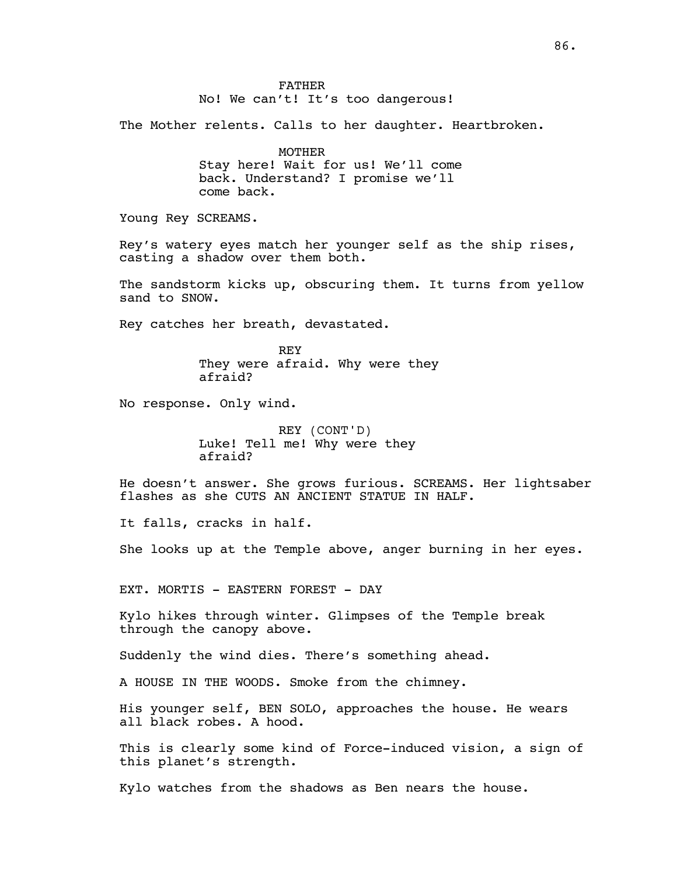The Mother relents. Calls to her daughter. Heartbroken.

MOTHER Stay here! Wait for us! We'll come back. Understand? I promise we'll come back.

Young Rey SCREAMS.

Rey's watery eyes match her younger self as the ship rises, casting a shadow over them both.

The sandstorm kicks up, obscuring them. It turns from yellow sand to SNOW.

Rey catches her breath, devastated.

REY They were afraid. Why were they afraid?

No response. Only wind.

REY (CONT'D) Luke! Tell me! Why were they afraid?

He doesn't answer. She grows furious. SCREAMS. Her lightsaber flashes as she CUTS AN ANCIENT STATUE IN HALF.

It falls, cracks in half.

She looks up at the Temple above, anger burning in her eyes.

EXT. MORTIS - EASTERN FOREST - DAY

Kylo hikes through winter. Glimpses of the Temple break through the canopy above.

Suddenly the wind dies. There's something ahead.

A HOUSE IN THE WOODS. Smoke from the chimney.

His younger self, BEN SOLO, approaches the house. He wears all black robes. A hood.

This is clearly some kind of Force-induced vision, a sign of this planet's strength.

Kylo watches from the shadows as Ben nears the house.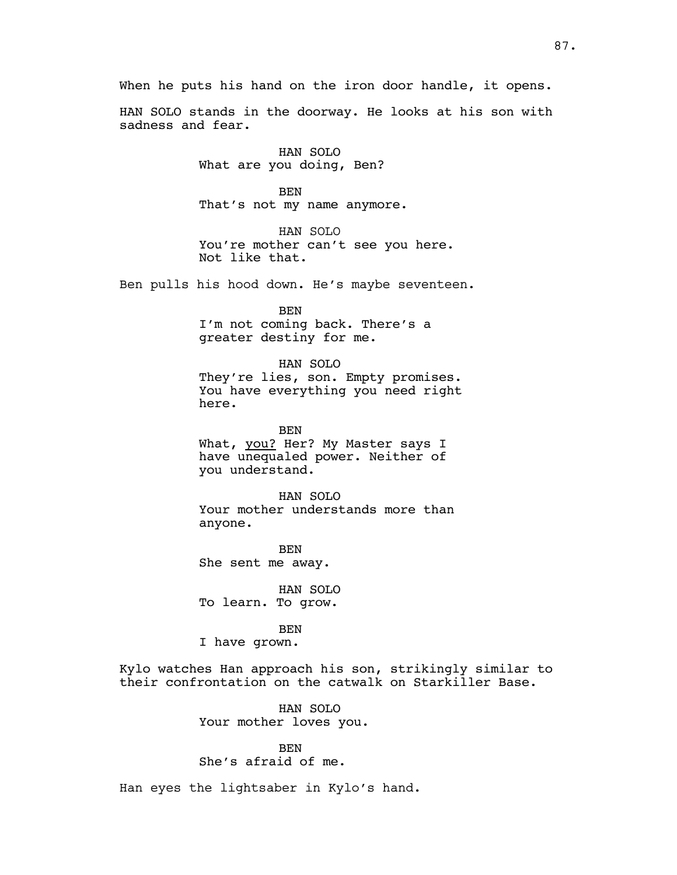HAN SOLO stands in the doorway. He looks at his son with sadness and fear.

> HAN SOLO What are you doing, Ben?

BEN That's not my name anymore.

HAN SOLO You're mother can't see you here. Not like that.

Ben pulls his hood down. He's maybe seventeen.

BEN I'm not coming back. There's a greater destiny for me.

# HAN SOLO

They're lies, son. Empty promises. You have everything you need right here.

BEN What, you? Her? My Master says I have unequaled power. Neither of you understand.

HAN SOLO Your mother understands more than anyone.

BEN She sent me away.

HAN SOLO To learn. To grow.

#### BEN

I have grown.

Kylo watches Han approach his son, strikingly similar to their confrontation on the catwalk on Starkiller Base.

> HAN SOLO Your mother loves you.

BEN She's afraid of me.

Han eyes the lightsaber in Kylo's hand.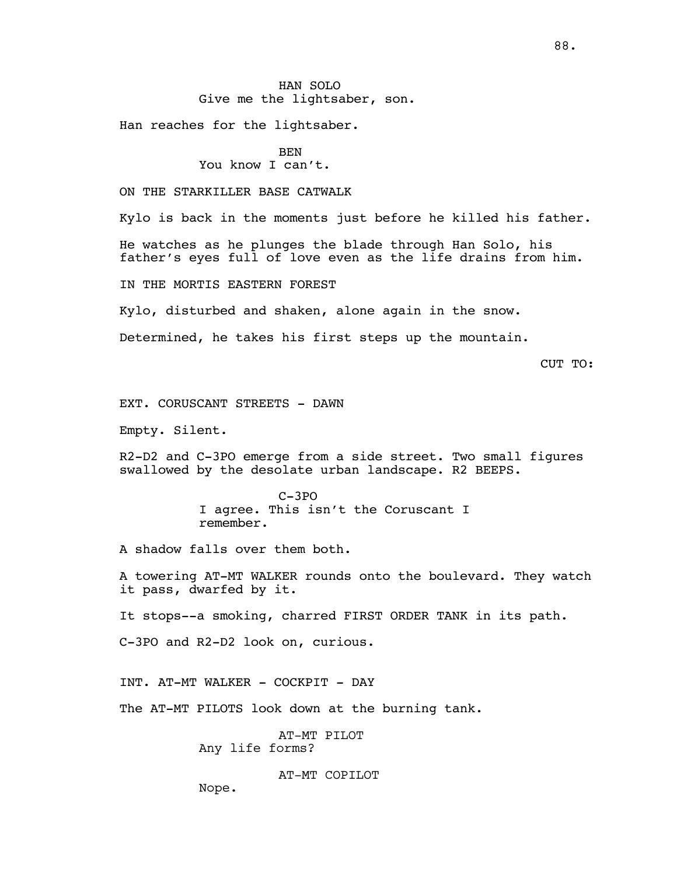Han reaches for the lightsaber.

BEN You know I can't.

ON THE STARKILLER BASE CATWALK

Kylo is back in the moments just before he killed his father.

He watches as he plunges the blade through Han Solo, his father's eyes full of love even as the life drains from him.

IN THE MORTIS EASTERN FOREST

Kylo, disturbed and shaken, alone again in the snow.

Determined, he takes his first steps up the mountain.

CUT TO:

EXT. CORUSCANT STREETS - DAWN

Empty. Silent.

R2-D2 and C-3PO emerge from a side street. Two small figures swallowed by the desolate urban landscape. R2 BEEPS.

> C-3PO I agree. This isn't the Coruscant I remember.

A shadow falls over them both.

A towering AT-MT WALKER rounds onto the boulevard. They watch it pass, dwarfed by it.

It stops--a smoking, charred FIRST ORDER TANK in its path.

C-3PO and R2-D2 look on, curious.

INT. AT-MT WALKER - COCKPIT - DAY

The AT-MT PILOTS look down at the burning tank.

AT-MT PILOT Any life forms?

AT-MT COPILOT

Nope.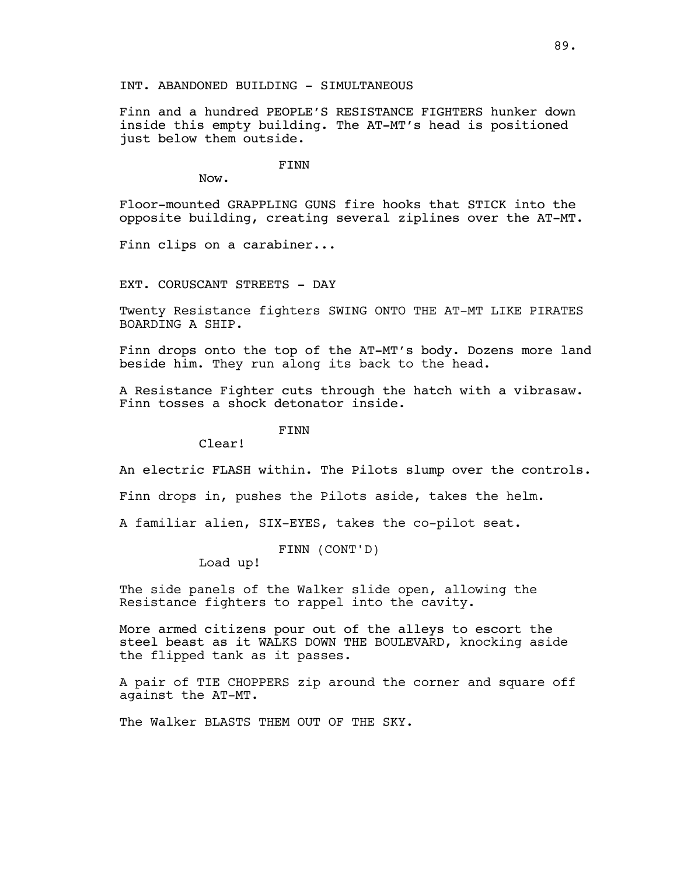# INT. ABANDONED BUILDING - SIMULTANEOUS

Finn and a hundred PEOPLE'S RESISTANCE FIGHTERS hunker down inside this empty building. The AT-MT's head is positioned just below them outside.

FINN

Now.

Floor-mounted GRAPPLING GUNS fire hooks that STICK into the opposite building, creating several ziplines over the AT-MT.

Finn clips on a carabiner...

EXT. CORUSCANT STREETS - DAY

Twenty Resistance fighters SWING ONTO THE AT-MT LIKE PIRATES BOARDING A SHIP.

Finn drops onto the top of the AT-MT's body. Dozens more land beside him. They run along its back to the head.

A Resistance Fighter cuts through the hatch with a vibrasaw. Finn tosses a shock detonator inside.

FINN

Clear!

An electric FLASH within. The Pilots slump over the controls.

Finn drops in, pushes the Pilots aside, takes the helm.

A familiar alien, SIX-EYES, takes the co-pilot seat.

FINN (CONT'D)

Load up!

The side panels of the Walker slide open, allowing the Resistance fighters to rappel into the cavity.

More armed citizens pour out of the alleys to escort the steel beast as it WALKS DOWN THE BOULEVARD, knocking aside the flipped tank as it passes.

A pair of TIE CHOPPERS zip around the corner and square off against the AT-MT.

The Walker BLASTS THEM OUT OF THE SKY.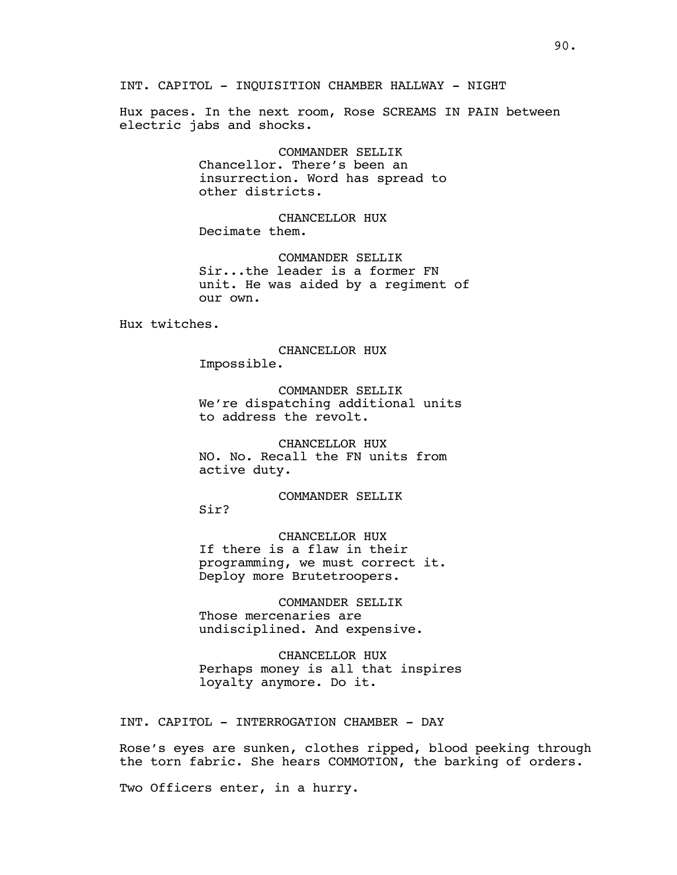INT. CAPITOL - INQUISITION CHAMBER HALLWAY - NIGHT

Hux paces. In the next room, Rose SCREAMS IN PAIN between electric jabs and shocks.

> COMMANDER SELLIK Chancellor. There's been an insurrection. Word has spread to other districts.

CHANCELLOR HUX Decimate them.

COMMANDER SELLIK Sir...the leader is a former FN unit. He was aided by a regiment of our own.

Hux twitches.

CHANCELLOR HUX Impossible.

COMMANDER SELLIK We're dispatching additional units to address the revolt.

CHANCELLOR HUX NO. No. Recall the FN units from active duty.

COMMANDER SELLIK

Sir?

CHANCELLOR HUX If there is a flaw in their programming, we must correct it. Deploy more Brutetroopers.

COMMANDER SELLIK Those mercenaries are undisciplined. And expensive.

CHANCELLOR HUX Perhaps money is all that inspires loyalty anymore. Do it.

INT. CAPITOL - INTERROGATION CHAMBER - DAY

Rose's eyes are sunken, clothes ripped, blood peeking through the torn fabric. She hears COMMOTION, the barking of orders.

Two Officers enter, in a hurry.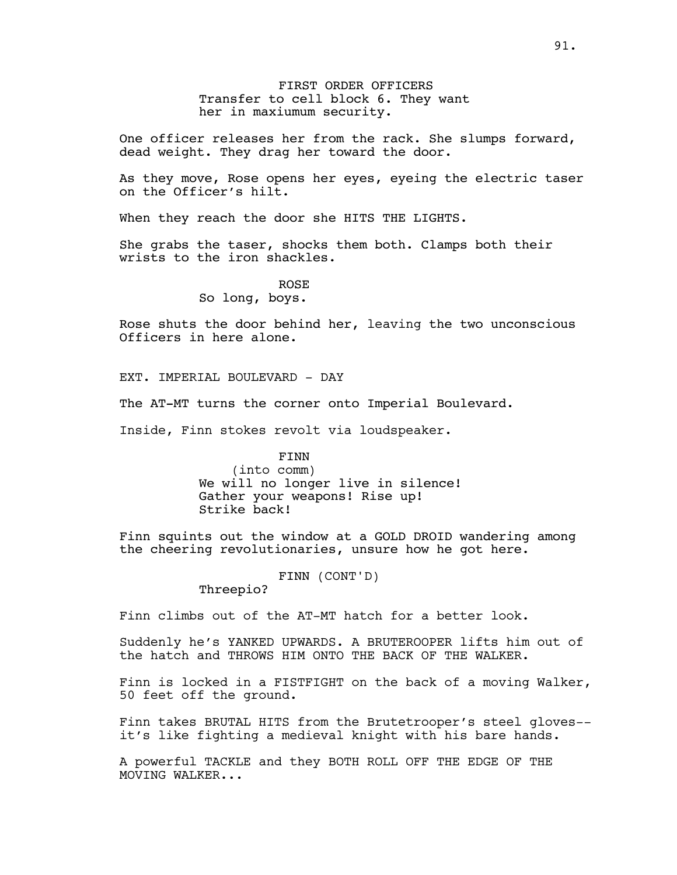FIRST ORDER OFFICERS Transfer to cell block 6. They want her in maxiumum security.

One officer releases her from the rack. She slumps forward, dead weight. They drag her toward the door.

As they move, Rose opens her eyes, eyeing the electric taser on the Officer's hilt.

When they reach the door she HITS THE LIGHTS.

She grabs the taser, shocks them both. Clamps both their wrists to the iron shackles.

> ROSE So long, boys.

Rose shuts the door behind her, leaving the two unconscious Officers in here alone.

EXT. IMPERIAL BOULEVARD - DAY

The AT-MT turns the corner onto Imperial Boulevard.

Inside, Finn stokes revolt via loudspeaker.

FINN (into comm) We will no longer live in silence! Gather your weapons! Rise up! Strike back!

Finn squints out the window at a GOLD DROID wandering among the cheering revolutionaries, unsure how he got here.

FINN (CONT'D)

Threepio?

Finn climbs out of the AT-MT hatch for a better look.

Suddenly he's YANKED UPWARDS. A BRUTEROOPER lifts him out of the hatch and THROWS HIM ONTO THE BACK OF THE WALKER.

Finn is locked in a FISTFIGHT on the back of a moving Walker, 50 feet off the ground.

Finn takes BRUTAL HITS from the Brutetrooper's steel gloves- it's like fighting a medieval knight with his bare hands.

A powerful TACKLE and they BOTH ROLL OFF THE EDGE OF THE MOVING WALKER...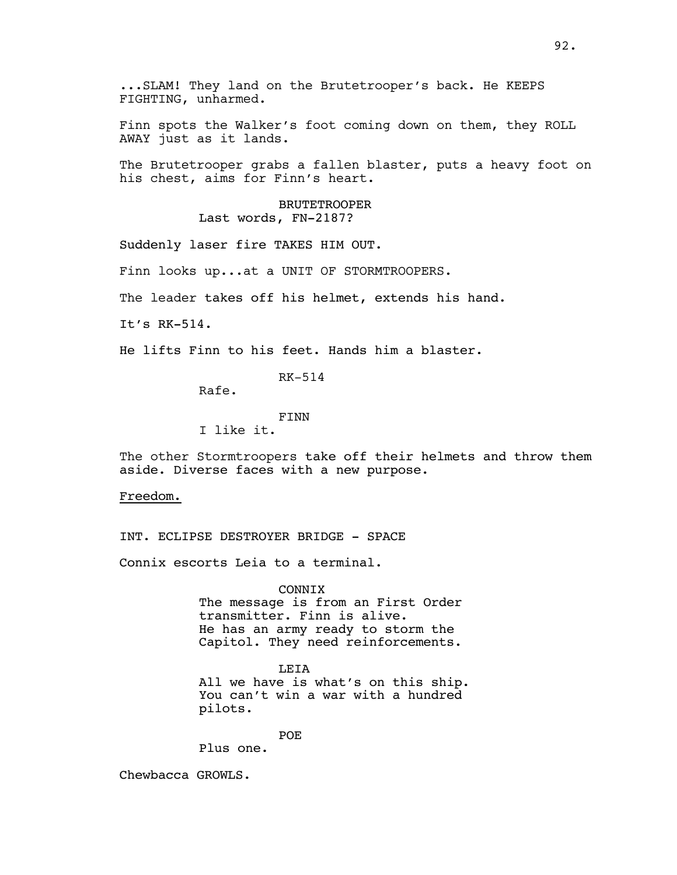...SLAM! They land on the Brutetrooper's back. He KEEPS FIGHTING, unharmed.

Finn spots the Walker's foot coming down on them, they ROLL AWAY just as it lands.

The Brutetrooper grabs a fallen blaster, puts a heavy foot on his chest, aims for Finn's heart.

#### BRUTETROOPER Last words, FN-2187?

Suddenly laser fire TAKES HIM OUT.

Finn looks up...at a UNIT OF STORMTROOPERS.

The leader takes off his helmet, extends his hand.

It's RK-514.

He lifts Finn to his feet. Hands him a blaster.

RK-514

Rafe.

FINN

I like it.

The other Stormtroopers take off their helmets and throw them aside. Diverse faces with a new purpose.

Freedom.

INT. ECLIPSE DESTROYER BRIDGE - SPACE

Connix escorts Leia to a terminal.

CONNIX The message is from an First Order transmitter. Finn is alive. He has an army ready to storm the Capitol. They need reinforcements.

LEIA All we have is what's on this ship. You can't win a war with a hundred pilots.

POE

Plus one.

Chewbacca GROWLS.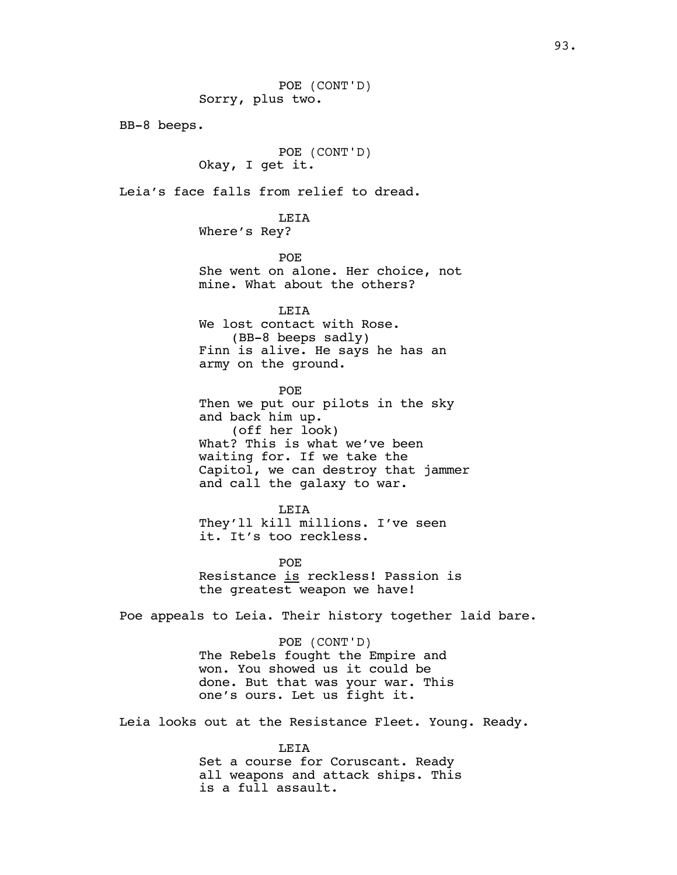POE (CONT'D) Sorry, plus two. BB-8 beeps. POE (CONT'D) Okay, I get it. Leia's face falls from relief to dread. LEIA Where's Rey? POE She went on alone. Her choice, not mine. What about the others? LEIA We lost contact with Rose. (BB-8 beeps sadly) Finn is alive. He says he has an army on the ground. POE Then we put our pilots in the sky and back him up. (off her look) What? This is what we've been waiting for. If we take the Capitol, we can destroy that jammer and call the galaxy to war. LEIA They'll kill millions. I've seen it. It's too reckless. POE Resistance is reckless! Passion is the greatest weapon we have! Poe appeals to Leia. Their history together laid bare. POE (CONT'D)

The Rebels fought the Empire and won. You showed us it could be done. But that was your war. This one's ours. Let us fight it.

Leia looks out at the Resistance Fleet. Young. Ready.

LEIA Set a course for Coruscant. Ready all weapons and attack ships. This is a full assault.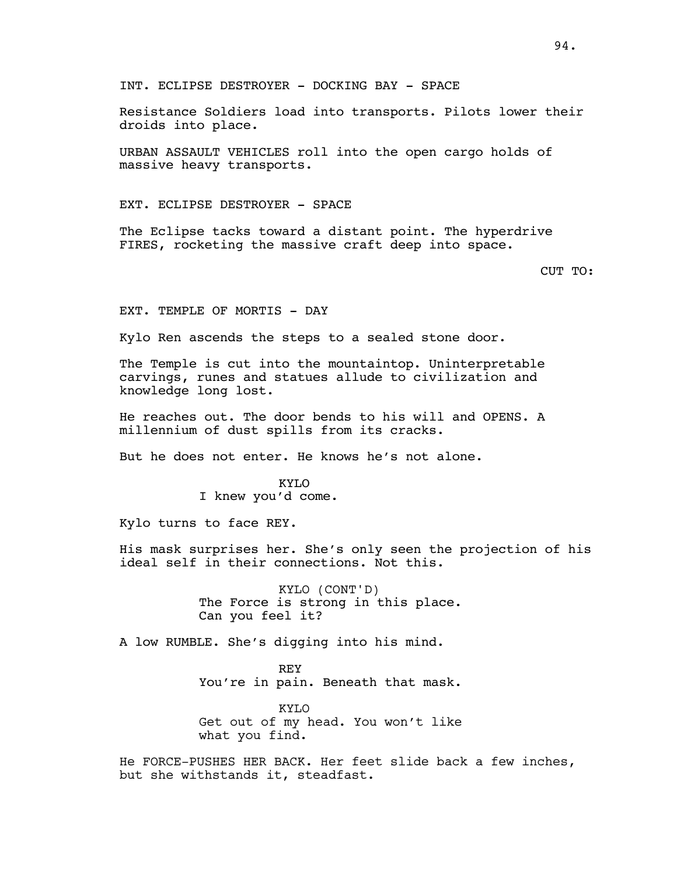Resistance Soldiers load into transports. Pilots lower their droids into place.

URBAN ASSAULT VEHICLES roll into the open cargo holds of massive heavy transports.

EXT. ECLIPSE DESTROYER - SPACE

The Eclipse tacks toward a distant point. The hyperdrive FIRES, rocketing the massive craft deep into space.

CUT TO:

EXT. TEMPLE OF MORTIS - DAY

Kylo Ren ascends the steps to a sealed stone door.

The Temple is cut into the mountaintop. Uninterpretable carvings, runes and statues allude to civilization and knowledge long lost.

He reaches out. The door bends to his will and OPENS. A millennium of dust spills from its cracks.

But he does not enter. He knows he's not alone.

KYLO I knew you'd come.

Kylo turns to face REY.

His mask surprises her. She's only seen the projection of his ideal self in their connections. Not this.

> KYLO (CONT'D) The Force is strong in this place. Can you feel it?

A low RUMBLE. She's digging into his mind.

REY You're in pain. Beneath that mask.

KYLO Get out of my head. You won't like what you find.

He FORCE-PUSHES HER BACK. Her feet slide back a few inches, but she withstands it, steadfast.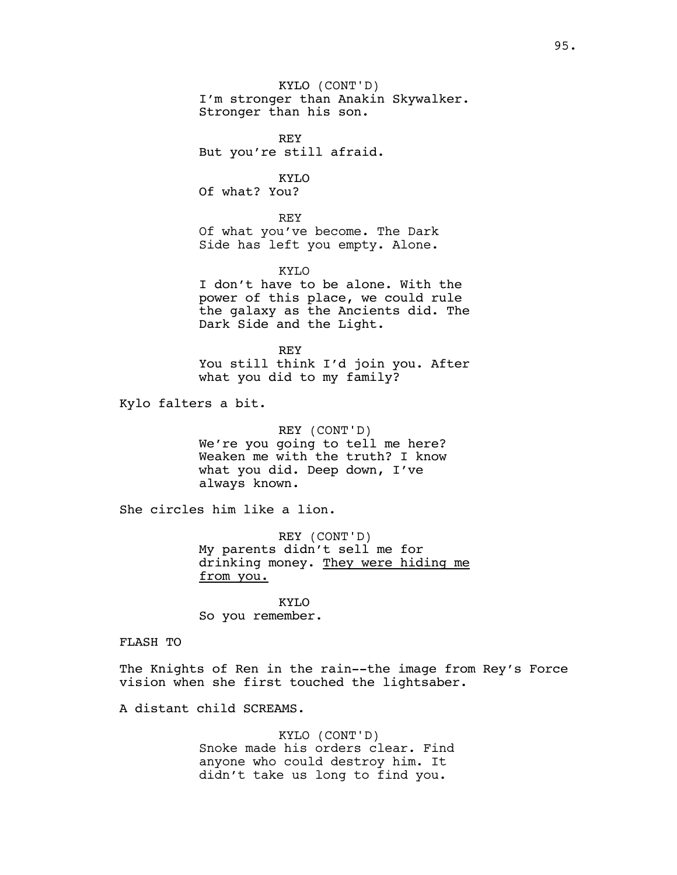KYLO (CONT'D) I'm stronger than Anakin Skywalker. Stronger than his son.

REY But you're still afraid.

KYLO Of what? You?

REY Of what you've become. The Dark Side has left you empty. Alone.

KYLO I don't have to be alone. With the power of this place, we could rule the galaxy as the Ancients did. The Dark Side and the Light.

REY You still think I'd join you. After what you did to my family?

Kylo falters a bit.

REY (CONT'D) We're you going to tell me here? Weaken me with the truth? I know what you did. Deep down, I've always known.

She circles him like a lion.

REY (CONT'D) My parents didn't sell me for drinking money. They were hiding me from you.

KYLO So you remember.

FLASH TO

The Knights of Ren in the rain--the image from Rey's Force vision when she first touched the lightsaber.

A distant child SCREAMS.

KYLO (CONT'D) Snoke made his orders clear. Find anyone who could destroy him. It didn't take us long to find you.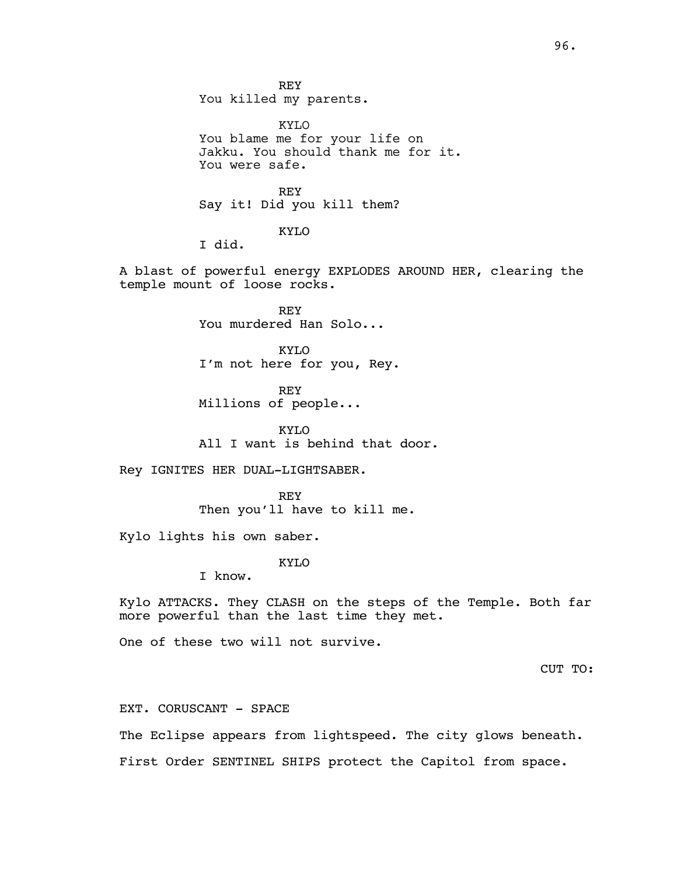REY You killed my parents.

KYLO You blame me for your life on Jakku. You should thank me for it. You were safe.

REY Say it! Did you kill them?

KYLO

I did.

A blast of powerful energy EXPLODES AROUND HER, clearing the temple mount of loose rocks.

> REY You murdered Han Solo...

KYLO I'm not here for you, Rey.

REY Millions of people...

KYLO All I want is behind that door.

Rey IGNITES HER DUAL-LIGHTSABER.

**REY** Then you'll have to kill me.

Kylo lights his own saber.

KYLO

I know.

Kylo ATTACKS. They CLASH on the steps of the Temple. Both far more powerful than the last time they met.

One of these two will not survive.

CUT TO:

EXT. CORUSCANT - SPACE

The Eclipse appears from lightspeed. The city glows beneath.

First Order SENTINEL SHIPS protect the Capitol from space.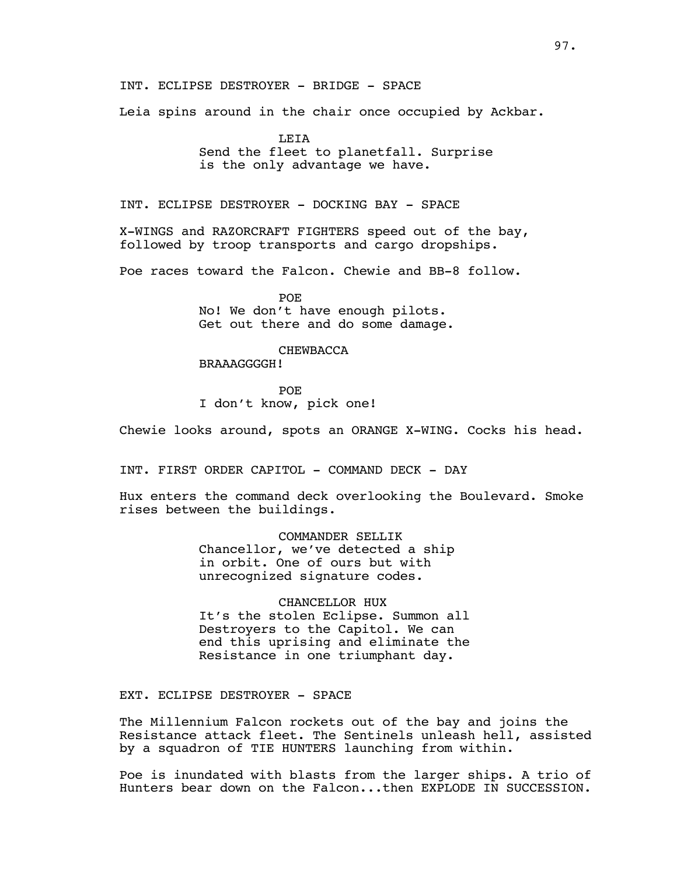INT. ECLIPSE DESTROYER - BRIDGE - SPACE

Leia spins around in the chair once occupied by Ackbar.

LEIA Send the fleet to planetfall. Surprise is the only advantage we have.

INT. ECLIPSE DESTROYER - DOCKING BAY - SPACE

X-WINGS and RAZORCRAFT FIGHTERS speed out of the bay, followed by troop transports and cargo dropships.

Poe races toward the Falcon. Chewie and BB-8 follow.

**POE** No! We don't have enough pilots. Get out there and do some damage.

## CHEWBACCA

BRAAAGGGGH!

POE I don't know, pick one!

Chewie looks around, spots an ORANGE X-WING. Cocks his head.

INT. FIRST ORDER CAPITOL - COMMAND DECK - DAY

Hux enters the command deck overlooking the Boulevard. Smoke rises between the buildings.

> COMMANDER SELLIK Chancellor, we've detected a ship in orbit. One of ours but with unrecognized signature codes.

CHANCELLOR HUX It's the stolen Eclipse. Summon all Destroyers to the Capitol. We can end this uprising and eliminate the Resistance in one triumphant day.

EXT. ECLIPSE DESTROYER - SPACE

The Millennium Falcon rockets out of the bay and joins the Resistance attack fleet. The Sentinels unleash hell, assisted by a squadron of TIE HUNTERS launching from within.

Poe is inundated with blasts from the larger ships. A trio of Hunters bear down on the Falcon...then EXPLODE IN SUCCESSION.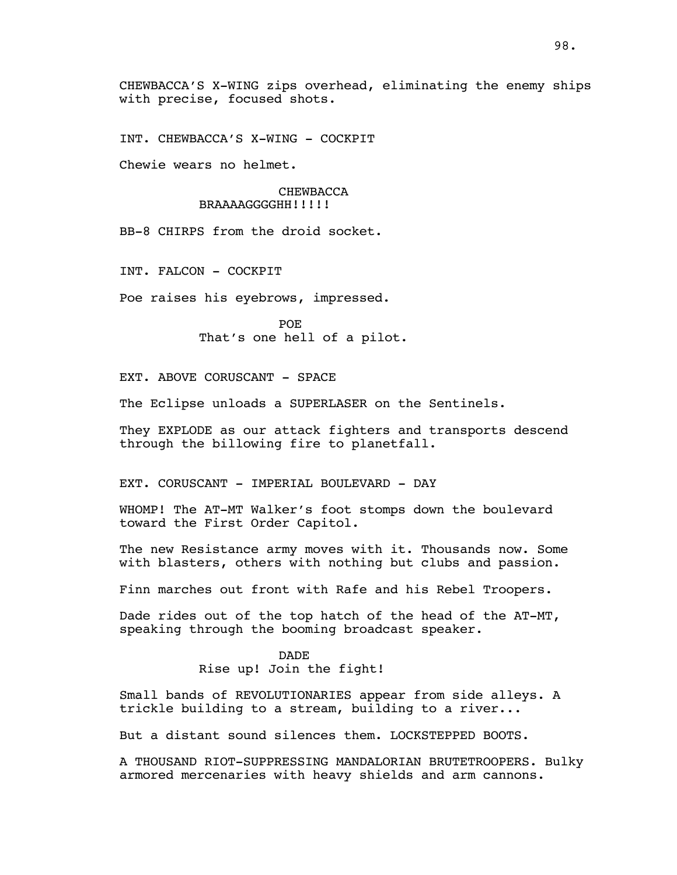CHEWBACCA'S X-WING zips overhead, eliminating the enemy ships with precise, focused shots.

INT. CHEWBACCA'S X-WING - COCKPIT

Chewie wears no helmet.

## CHEWBACCA BRAAAAGGGGHH!!!!!

BB-8 CHIRPS from the droid socket.

INT. FALCON - COCKPIT

Poe raises his eyebrows, impressed.

POE That's one hell of a pilot.

EXT. ABOVE CORUSCANT - SPACE

The Eclipse unloads a SUPERLASER on the Sentinels.

They EXPLODE as our attack fighters and transports descend through the billowing fire to planetfall.

EXT. CORUSCANT - IMPERIAL BOULEVARD - DAY

WHOMP! The AT-MT Walker's foot stomps down the boulevard toward the First Order Capitol.

The new Resistance army moves with it. Thousands now. Some with blasters, others with nothing but clubs and passion.

Finn marches out front with Rafe and his Rebel Troopers.

Dade rides out of the top hatch of the head of the AT-MT, speaking through the booming broadcast speaker.

> DADE Rise up! Join the fight!

Small bands of REVOLUTIONARIES appear from side alleys. A trickle building to a stream, building to a river...

But a distant sound silences them. LOCKSTEPPED BOOTS.

A THOUSAND RIOT-SUPPRESSING MANDALORIAN BRUTETROOPERS. Bulky armored mercenaries with heavy shields and arm cannons.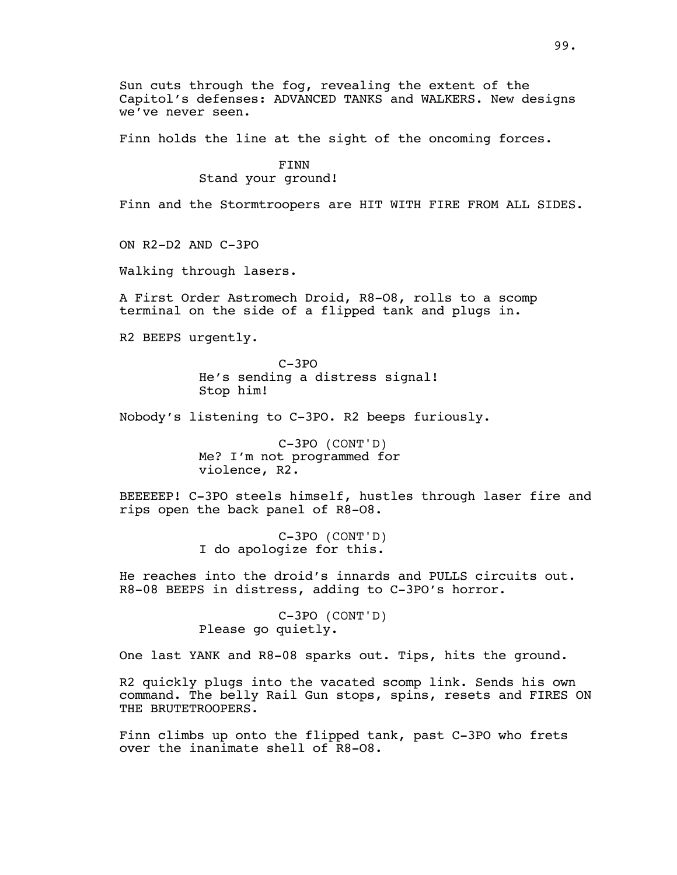Sun cuts through the fog, revealing the extent of the Capitol's defenses: ADVANCED TANKS and WALKERS. New designs we've never seen.

Finn holds the line at the sight of the oncoming forces.

FINN Stand your ground!

Finn and the Stormtroopers are HIT WITH FIRE FROM ALL SIDES.

ON R2-D2 AND C-3PO

Walking through lasers.

A First Order Astromech Droid, R8-O8, rolls to a scomp terminal on the side of a flipped tank and plugs in.

R2 BEEPS urgently.

C-3PO He's sending a distress signal! Stop him!

Nobody's listening to C-3PO. R2 beeps furiously.

C-3PO (CONT'D) Me? I'm not programmed for violence, R2.

BEEEEEP! C-3PO steels himself, hustles through laser fire and rips open the back panel of R8-O8.

> C-3PO (CONT'D) I do apologize for this.

He reaches into the droid's innards and PULLS circuits out. R8-08 BEEPS in distress, adding to C-3PO's horror.

> C-3PO (CONT'D) Please go quietly.

One last YANK and R8-08 sparks out. Tips, hits the ground.

R2 quickly plugs into the vacated scomp link. Sends his own command. The belly Rail Gun stops, spins, resets and FIRES ON THE BRUTETROOPERS.

Finn climbs up onto the flipped tank, past C-3PO who frets over the inanimate shell of R8-O8.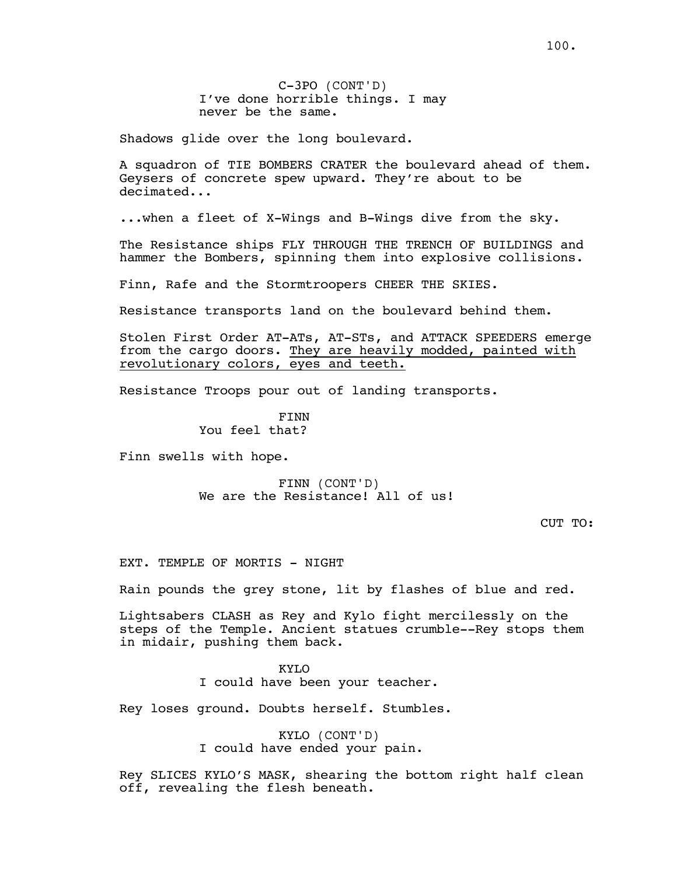Shadows glide over the long boulevard.

A squadron of TIE BOMBERS CRATER the boulevard ahead of them. Geysers of concrete spew upward. They're about to be decimated...

...when a fleet of X-Wings and B-Wings dive from the sky.

The Resistance ships FLY THROUGH THE TRENCH OF BUILDINGS and hammer the Bombers, spinning them into explosive collisions.

Finn, Rafe and the Stormtroopers CHEER THE SKIES.

Resistance transports land on the boulevard behind them.

Stolen First Order AT-ATs, AT-STs, and ATTACK SPEEDERS emerge from the cargo doors. They are heavily modded, painted with revolutionary colors, eyes and teeth.

Resistance Troops pour out of landing transports.

FINN You feel that?

Finn swells with hope.

FINN (CONT'D) We are the Resistance! All of us!

CUT TO:

EXT. TEMPLE OF MORTIS - NIGHT

Rain pounds the grey stone, lit by flashes of blue and red.

Lightsabers CLASH as Rey and Kylo fight mercilessly on the steps of the Temple. Ancient statues crumble--Rey stops them in midair, pushing them back.

KYLO

I could have been your teacher.

Rey loses ground. Doubts herself. Stumbles.

KYLO (CONT'D) I could have ended your pain.

Rey SLICES KYLO'S MASK, shearing the bottom right half clean off, revealing the flesh beneath.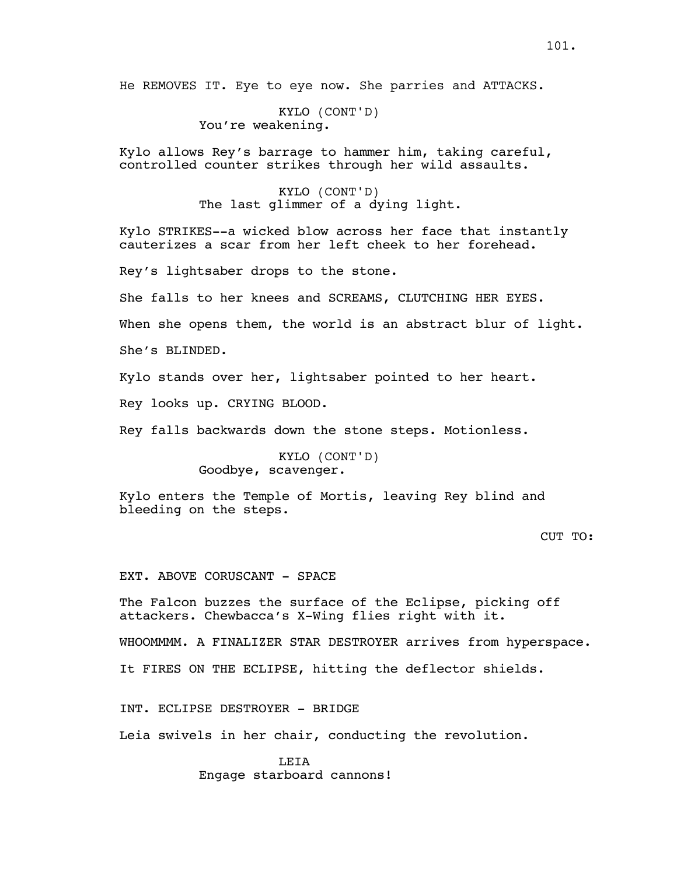He REMOVES IT. Eye to eye now. She parries and ATTACKS.

KYLO (CONT'D) You're weakening.

Kylo allows Rey's barrage to hammer him, taking careful, controlled counter strikes through her wild assaults.

> KYLO (CONT'D) The last glimmer of a dying light.

Kylo STRIKES--a wicked blow across her face that instantly cauterizes a scar from her left cheek to her forehead.

Rey's lightsaber drops to the stone.

She falls to her knees and SCREAMS, CLUTCHING HER EYES.

When she opens them, the world is an abstract blur of light.

She's BLINDED.

Kylo stands over her, lightsaber pointed to her heart.

Rey looks up. CRYING BLOOD.

Rey falls backwards down the stone steps. Motionless.

KYLO (CONT'D) Goodbye, scavenger.

Kylo enters the Temple of Mortis, leaving Rey blind and bleeding on the steps.

# CUT TO:

EXT. ABOVE CORUSCANT - SPACE

The Falcon buzzes the surface of the Eclipse, picking off attackers. Chewbacca's X-Wing flies right with it.

WHOOMMMM. A FINALIZER STAR DESTROYER arrives from hyperspace.

It FIRES ON THE ECLIPSE, hitting the deflector shields.

INT. ECLIPSE DESTROYER - BRIDGE

Leia swivels in her chair, conducting the revolution.

LEIA Engage starboard cannons!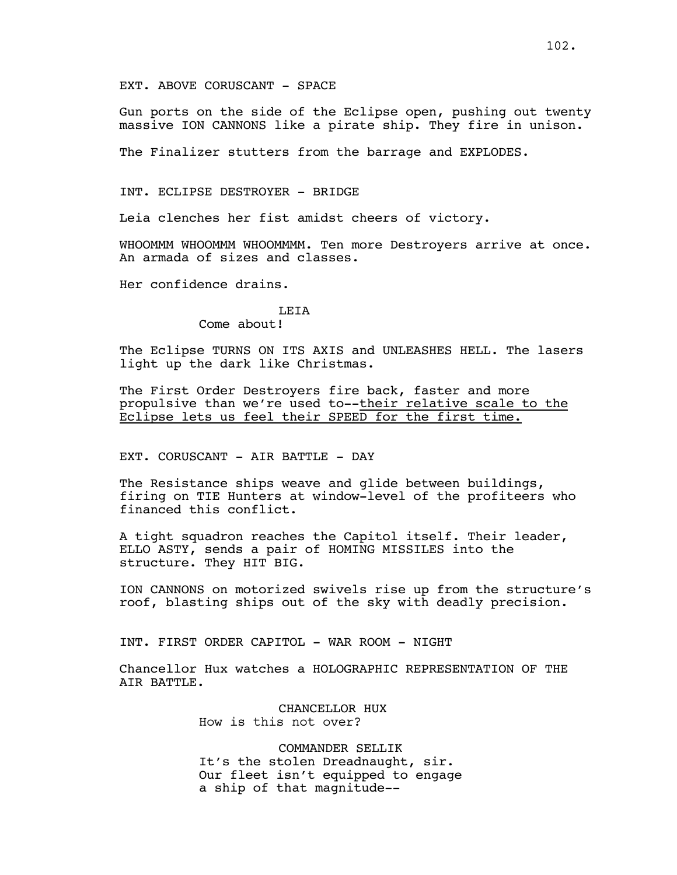Gun ports on the side of the Eclipse open, pushing out twenty massive ION CANNONS like a pirate ship. They fire in unison.

The Finalizer stutters from the barrage and EXPLODES.

INT. ECLIPSE DESTROYER - BRIDGE

Leia clenches her fist amidst cheers of victory.

WHOOMMM WHOOMMM WHOOMMMM. Ten more Destroyers arrive at once. An armada of sizes and classes.

Her confidence drains.

#### LEIA

Come about!

The Eclipse TURNS ON ITS AXIS and UNLEASHES HELL. The lasers light up the dark like Christmas.

The First Order Destroyers fire back, faster and more propulsive than we're used to--their relative scale to the Eclipse lets us feel their SPEED for the first time.

EXT. CORUSCANT - AIR BATTLE - DAY

The Resistance ships weave and glide between buildings, firing on TIE Hunters at window-level of the profiteers who financed this conflict.

A tight squadron reaches the Capitol itself. Their leader, ELLO ASTY, sends a pair of HOMING MISSILES into the structure. They HIT BIG.

ION CANNONS on motorized swivels rise up from the structure's roof, blasting ships out of the sky with deadly precision.

INT. FIRST ORDER CAPITOL - WAR ROOM - NIGHT

Chancellor Hux watches a HOLOGRAPHIC REPRESENTATION OF THE AIR BATTLE.

> CHANCELLOR HUX How is this not over?

COMMANDER SELLIK It's the stolen Dreadnaught, sir. Our fleet isn't equipped to engage a ship of that magnitude--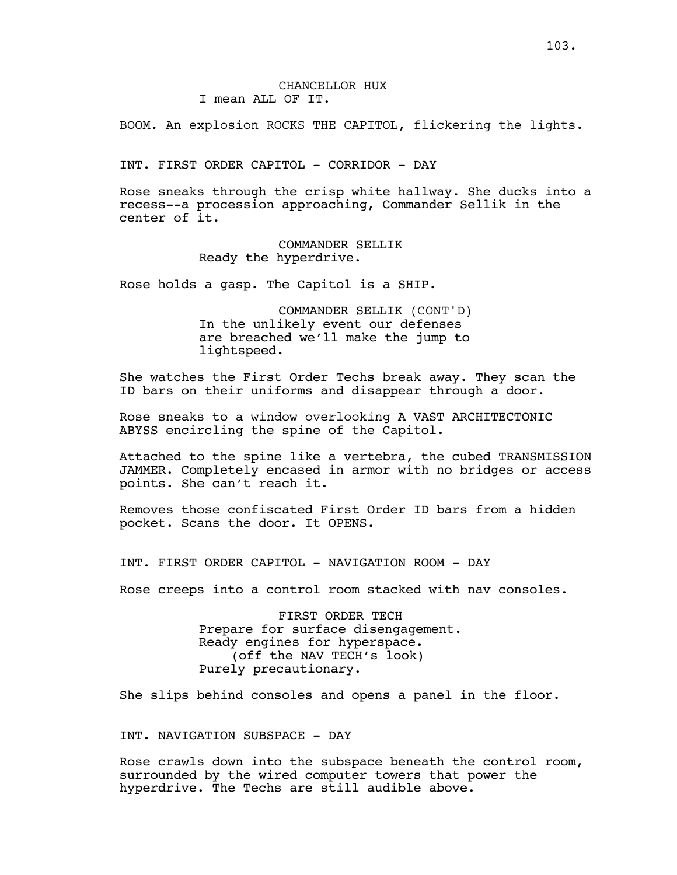BOOM. An explosion ROCKS THE CAPITOL, flickering the lights.

INT. FIRST ORDER CAPITOL - CORRIDOR - DAY

Rose sneaks through the crisp white hallway. She ducks into a recess--a procession approaching, Commander Sellik in the center of it.

> COMMANDER SELLIK Ready the hyperdrive.

Rose holds a gasp. The Capitol is a SHIP.

COMMANDER SELLIK (CONT'D) In the unlikely event our defenses are breached we'll make the jump to lightspeed.

She watches the First Order Techs break away. They scan the ID bars on their uniforms and disappear through a door.

Rose sneaks to a window overlooking A VAST ARCHITECTONIC ABYSS encircling the spine of the Capitol.

Attached to the spine like a vertebra, the cubed TRANSMISSION JAMMER. Completely encased in armor with no bridges or access points. She can't reach it.

Removes those confiscated First Order ID bars from a hidden pocket. Scans the door. It OPENS.

INT. FIRST ORDER CAPITOL - NAVIGATION ROOM - DAY

Rose creeps into a control room stacked with nav consoles.

FIRST ORDER TECH Prepare for surface disengagement. Ready engines for hyperspace. (off the NAV TECH's look) Purely precautionary.

She slips behind consoles and opens a panel in the floor.

INT. NAVIGATION SUBSPACE - DAY

Rose crawls down into the subspace beneath the control room, surrounded by the wired computer towers that power the hyperdrive. The Techs are still audible above.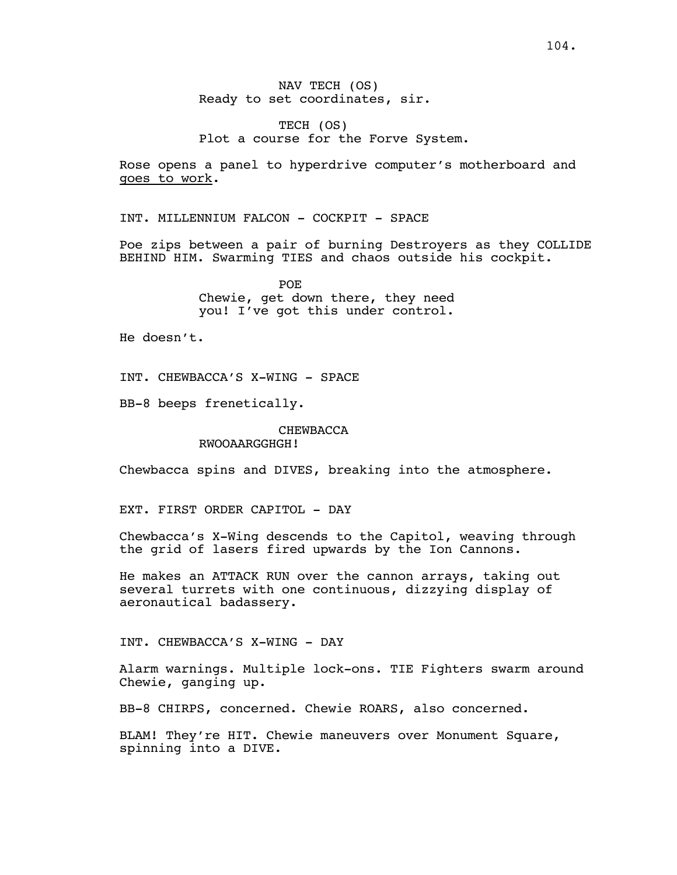TECH (OS) Plot a course for the Forve System.

Rose opens a panel to hyperdrive computer's motherboard and goes to work.

INT. MILLENNIUM FALCON - COCKPIT - SPACE

Poe zips between a pair of burning Destroyers as they COLLIDE BEHIND HIM. Swarming TIES and chaos outside his cockpit.

> POE Chewie, get down there, they need you! I've got this under control.

He doesn't.

INT. CHEWBACCA'S X-WING - SPACE

BB-8 beeps frenetically.

CHEWBACCA RWOOAARGGHGH!

Chewbacca spins and DIVES, breaking into the atmosphere.

EXT. FIRST ORDER CAPITOL - DAY

Chewbacca's X-Wing descends to the Capitol, weaving through the grid of lasers fired upwards by the Ion Cannons.

He makes an ATTACK RUN over the cannon arrays, taking out several turrets with one continuous, dizzying display of aeronautical badassery.

INT. CHEWBACCA'S X-WING - DAY

Alarm warnings. Multiple lock-ons. TIE Fighters swarm around Chewie, ganging up.

BB-8 CHIRPS, concerned. Chewie ROARS, also concerned.

BLAM! They're HIT. Chewie maneuvers over Monument Square, spinning into a DIVE.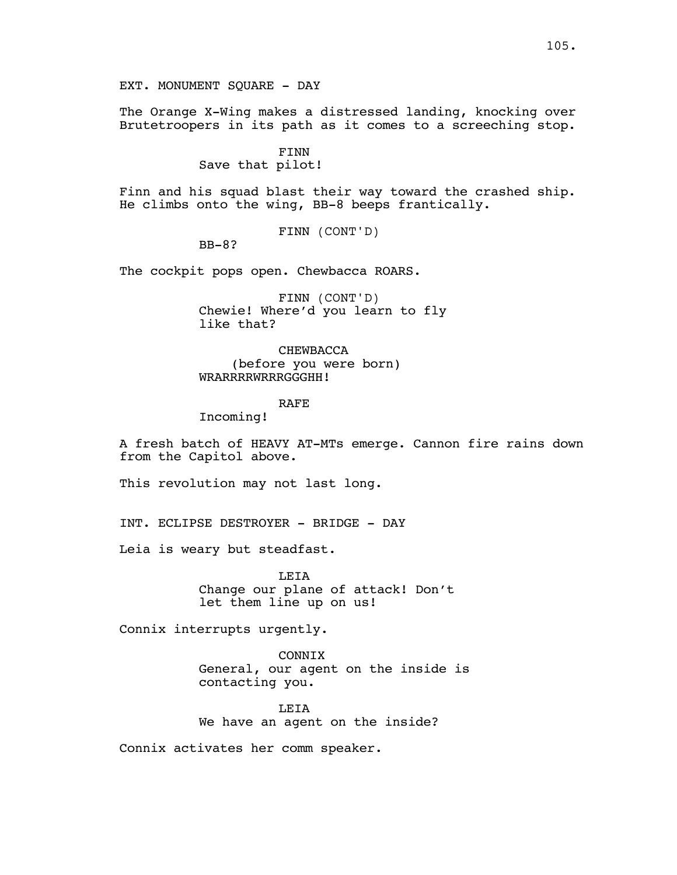EXT. MONUMENT SQUARE - DAY

The Orange X-Wing makes a distressed landing, knocking over Brutetroopers in its path as it comes to a screeching stop.

# FINN

Save that pilot!

Finn and his squad blast their way toward the crashed ship. He climbs onto the wing, BB-8 beeps frantically.

FINN (CONT'D)

BB-8?

The cockpit pops open. Chewbacca ROARS.

FINN (CONT'D) Chewie! Where'd you learn to fly like that?

CHEWBACCA (before you were born) WRARRRRWRRRGGGHH!

## RAFE

Incoming!

A fresh batch of HEAVY AT-MTs emerge. Cannon fire rains down from the Capitol above.

This revolution may not last long.

INT. ECLIPSE DESTROYER - BRIDGE - DAY

Leia is weary but steadfast.

LEIA Change our plane of attack! Don't let them line up on us!

Connix interrupts urgently.

CONNIX General, our agent on the inside is contacting you.

LEIA We have an agent on the inside?

Connix activates her comm speaker.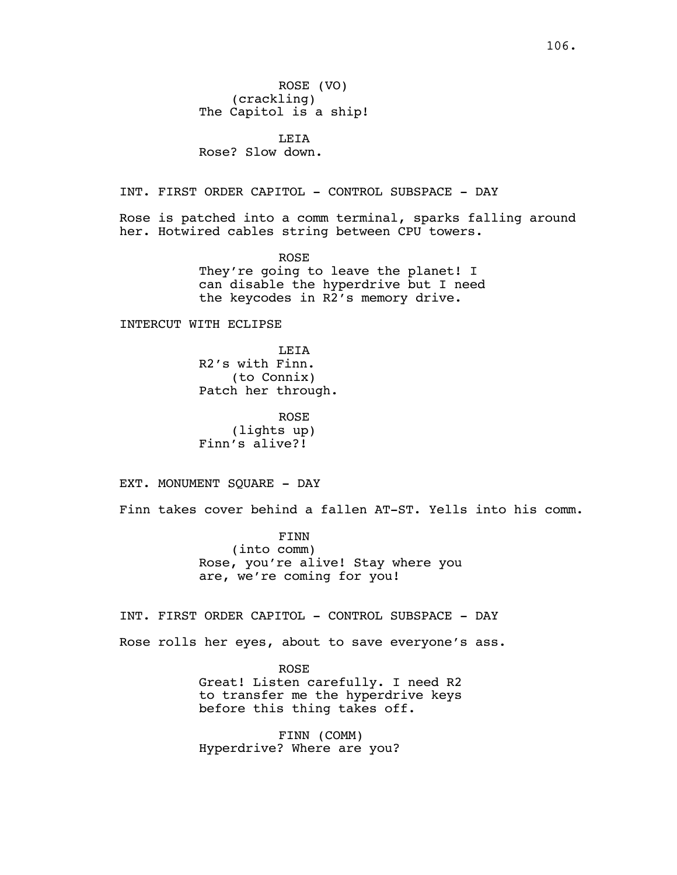LEIA Rose? Slow down.

INT. FIRST ORDER CAPITOL - CONTROL SUBSPACE - DAY

Rose is patched into a comm terminal, sparks falling around her. Hotwired cables string between CPU towers.

> ROSE They're going to leave the planet! I can disable the hyperdrive but I need the keycodes in R2's memory drive.

INTERCUT WITH ECLIPSE

LEIA R2's with Finn. (to Connix) Patch her through.

ROSE (lights up) Finn's alive?!

EXT. MONUMENT SQUARE - DAY

Finn takes cover behind a fallen AT-ST. Yells into his comm.

FINN (into comm) Rose, you're alive! Stay where you are, we're coming for you!

INT. FIRST ORDER CAPITOL - CONTROL SUBSPACE - DAY

Rose rolls her eyes, about to save everyone's ass.

ROSE Great! Listen carefully. I need R2 to transfer me the hyperdrive keys before this thing takes off.

FINN (COMM) Hyperdrive? Where are you?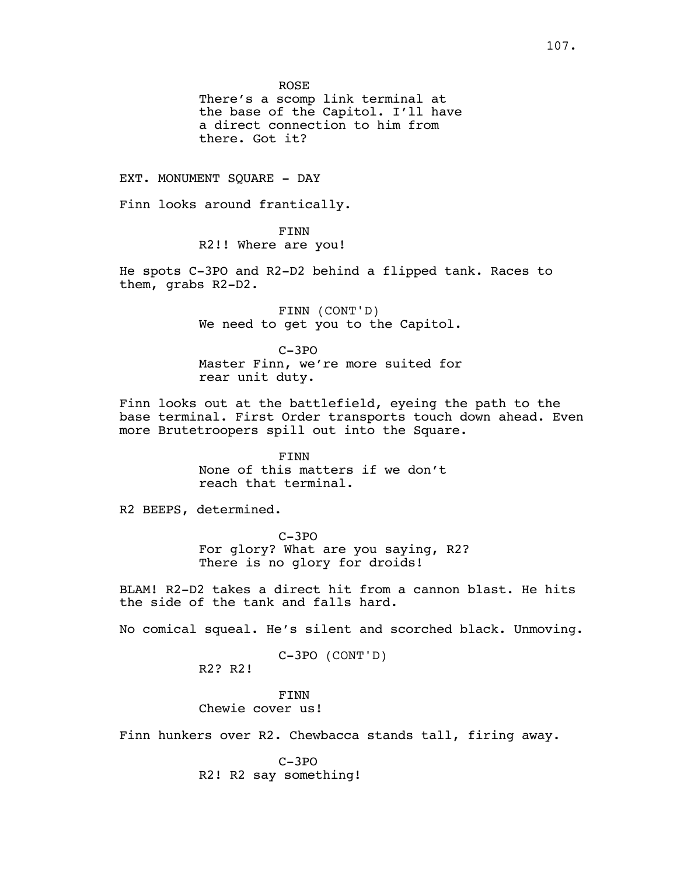ROSE

There's a scomp link terminal at the base of the Capitol. I'll have a direct connection to him from there. Got it?

EXT. MONUMENT SQUARE - DAY

Finn looks around frantically.

FINN R2!! Where are you!

He spots C-3PO and R2-D2 behind a flipped tank. Races to them, grabs R2-D2.

> FINN (CONT'D) We need to get you to the Capitol.

> C-3PO Master Finn, we're more suited for rear unit duty.

Finn looks out at the battlefield, eyeing the path to the base terminal. First Order transports touch down ahead. Even more Brutetroopers spill out into the Square.

> FINN None of this matters if we don't reach that terminal.

R2 BEEPS, determined.

C-3PO For glory? What are you saying, R2? There is no glory for droids!

BLAM! R2-D2 takes a direct hit from a cannon blast. He hits the side of the tank and falls hard.

No comical squeal. He's silent and scorched black. Unmoving.

C-3PO (CONT'D)

R2? R2!

FINN Chewie cover us!

Finn hunkers over R2. Chewbacca stands tall, firing away.

C-3PO R2! R2 say something!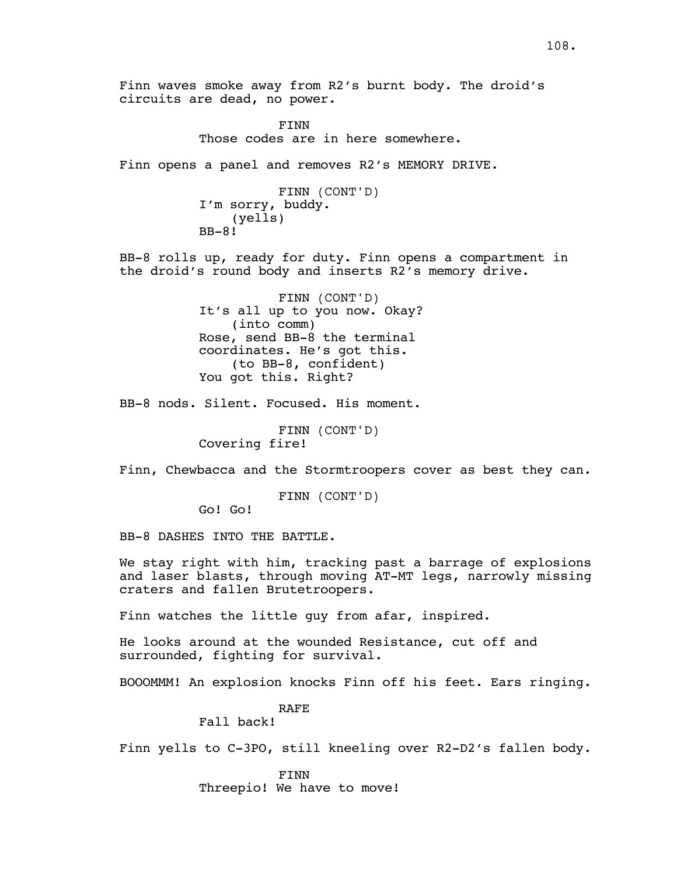Finn waves smoke away from R2's burnt body. The droid's circuits are dead, no power.

> FINN Those codes are in here somewhere.

Finn opens a panel and removes R2's MEMORY DRIVE.

FINN (CONT'D) I'm sorry, buddy. (yells) BB-8!

BB-8 rolls up, ready for duty. Finn opens a compartment in the droid's round body and inserts R2's memory drive.

> FINN (CONT'D) It's all up to you now. Okay? (into comm) Rose, send BB-8 the terminal coordinates. He's got this. (to BB-8, confident) You got this. Right?

BB-8 nods. Silent. Focused. His moment.

FINN (CONT'D) Covering fire!

Finn, Chewbacca and the Stormtroopers cover as best they can.

FINN (CONT'D)

Go! Go!

BB-8 DASHES INTO THE BATTLE.

We stay right with him, tracking past a barrage of explosions and laser blasts, through moving AT-MT legs, narrowly missing craters and fallen Brutetroopers.

Finn watches the little guy from afar, inspired.

He looks around at the wounded Resistance, cut off and surrounded, fighting for survival.

BOOOMMM! An explosion knocks Finn off his feet. Ears ringing.

RAFE

Fall back!

Finn yells to C-3PO, still kneeling over R2-D2's fallen body.

FINN Threepio! We have to move!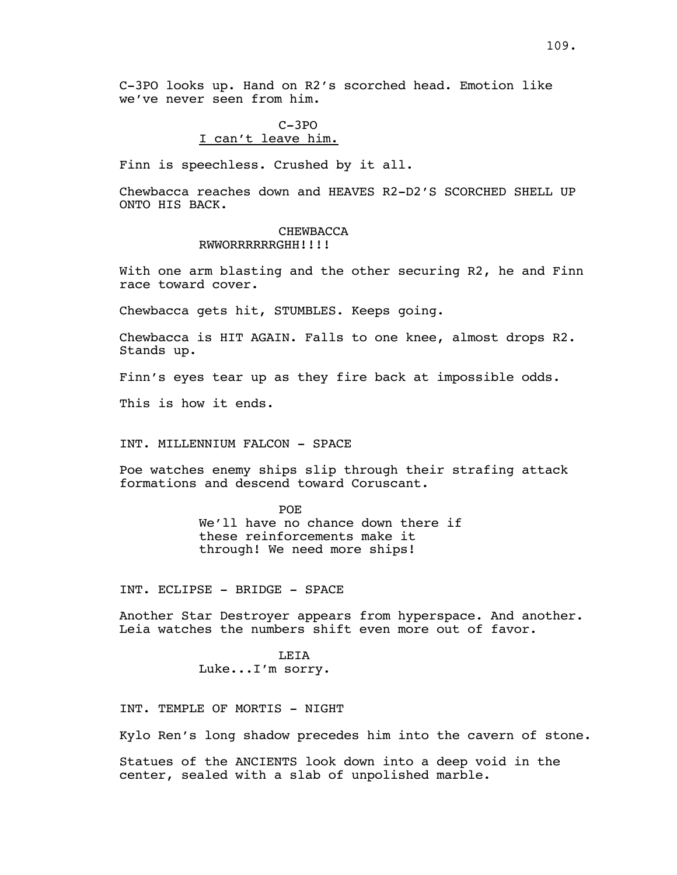C-3PO looks up. Hand on R2's scorched head. Emotion like we've never seen from him.

### C-3PO I can't leave him.

Finn is speechless. Crushed by it all.

Chewbacca reaches down and HEAVES R2-D2'S SCORCHED SHELL UP ONTO HIS BACK.

#### CHEWBACCA RWWORRRRRRGHH!!!!

With one arm blasting and the other securing R2, he and Finn race toward cover.

Chewbacca gets hit, STUMBLES. Keeps going.

Chewbacca is HIT AGAIN. Falls to one knee, almost drops R2. Stands up.

Finn's eyes tear up as they fire back at impossible odds.

This is how it ends.

INT. MILLENNIUM FALCON - SPACE

Poe watches enemy ships slip through their strafing attack formations and descend toward Coruscant.

> POE We'll have no chance down there if these reinforcements make it through! We need more ships!

INT. ECLIPSE - BRIDGE - SPACE

Another Star Destroyer appears from hyperspace. And another. Leia watches the numbers shift even more out of favor.

> LEIA Luke...I'm sorry.

INT. TEMPLE OF MORTIS - NIGHT

Kylo Ren's long shadow precedes him into the cavern of stone.

Statues of the ANCIENTS look down into a deep void in the center, sealed with a slab of unpolished marble.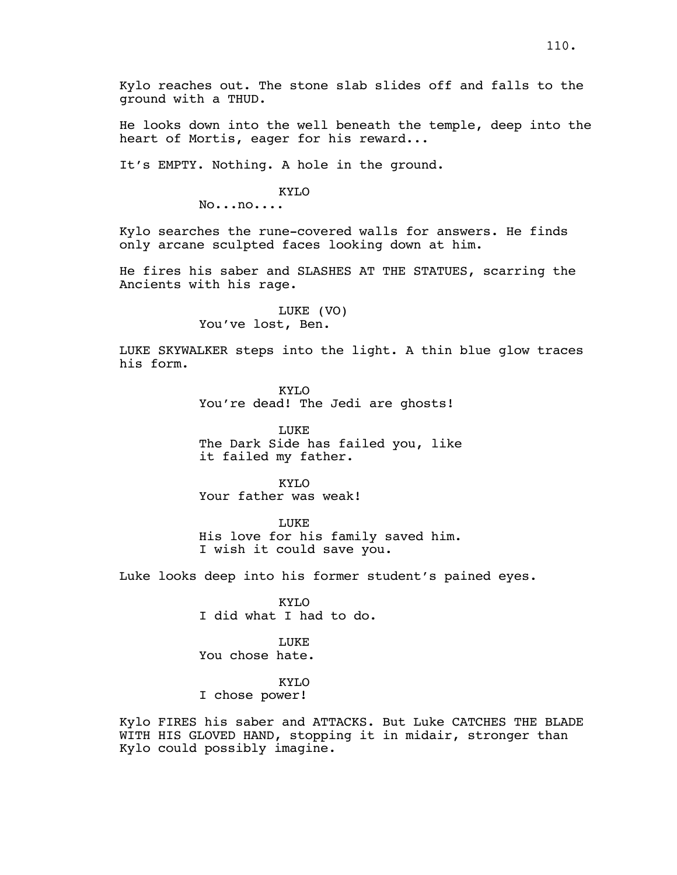Kylo reaches out. The stone slab slides off and falls to the ground with a THUD.

He looks down into the well beneath the temple, deep into the heart of Mortis, eager for his reward...

It's EMPTY. Nothing. A hole in the ground.

KYLO

No...no....

Kylo searches the rune-covered walls for answers. He finds only arcane sculpted faces looking down at him.

He fires his saber and SLASHES AT THE STATUES, scarring the Ancients with his rage.

> LUKE (VO) You've lost, Ben.

LUKE SKYWALKER steps into the light. A thin blue glow traces his form.

> KYLO You're dead! The Jedi are ghosts!

LUKE The Dark Side has failed you, like it failed my father.

KYLO Your father was weak!

LUKE His love for his family saved him. I wish it could save you.

Luke looks deep into his former student's pained eyes.

KYLO I did what I had to do.

**LUKE** You chose hate.

KYLO

I chose power!

Kylo FIRES his saber and ATTACKS. But Luke CATCHES THE BLADE WITH HIS GLOVED HAND, stopping it in midair, stronger than Kylo could possibly imagine.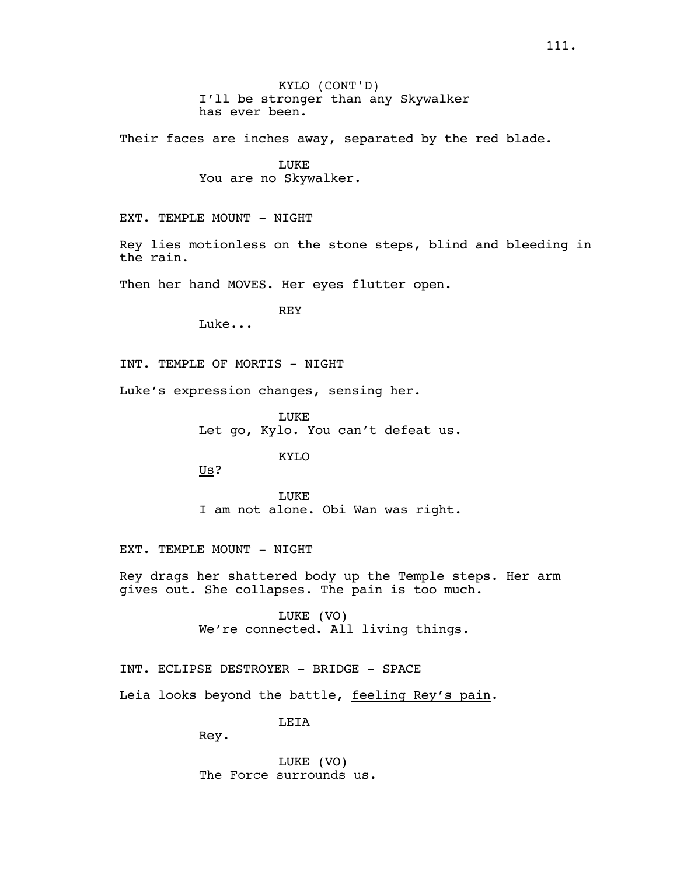Their faces are inches away, separated by the red blade.

LUKE You are no Skywalker.

EXT. TEMPLE MOUNT - NIGHT

Rey lies motionless on the stone steps, blind and bleeding in the rain.

Then her hand MOVES. Her eyes flutter open.

REY

Luke...

INT. TEMPLE OF MORTIS - NIGHT

Luke's expression changes, sensing her.

LUKE Let go, Kylo. You can't defeat us.

KYLO

Us?

LUKE I am not alone. Obi Wan was right.

EXT. TEMPLE MOUNT - NIGHT

Rey drags her shattered body up the Temple steps. Her arm gives out. She collapses. The pain is too much.

> LUKE (VO) We're connected. All living things.

INT. ECLIPSE DESTROYER - BRIDGE - SPACE

Leia looks beyond the battle, feeling Rey's pain.

**LETA** 

Rey.

LUKE (VO) The Force surrounds us.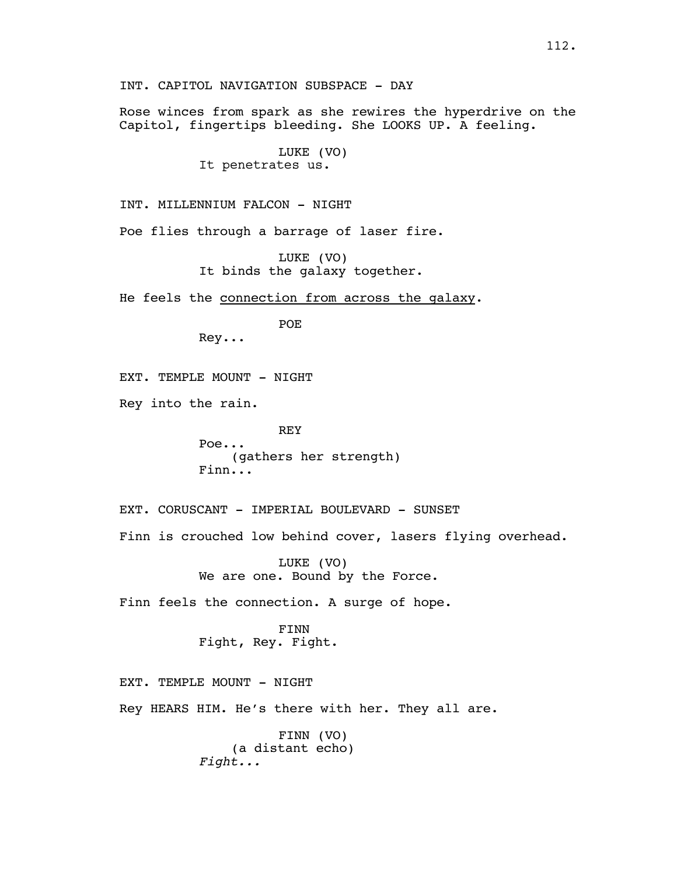Rose winces from spark as she rewires the hyperdrive on the Capitol, fingertips bleeding. She LOOKS UP. A feeling.

> LUKE (VO) It penetrates us.

INT. MILLENNIUM FALCON - NIGHT

Poe flies through a barrage of laser fire.

LUKE (VO) It binds the galaxy together.

He feels the connection from across the galaxy.

POE

Rey...

EXT. TEMPLE MOUNT - NIGHT

Rey into the rain.

REY Poe... (gathers her strength) Finn...

EXT. CORUSCANT - IMPERIAL BOULEVARD - SUNSET Finn is crouched low behind cover, lasers flying overhead.

> LUKE (VO) We are one. Bound by the Force.

Finn feels the connection. A surge of hope.

FINN Fight, Rey. Fight.

EXT. TEMPLE MOUNT - NIGHT Rey HEARS HIM. He's there with her. They all are.

> FINN (VO) (a distant echo) *Fight...*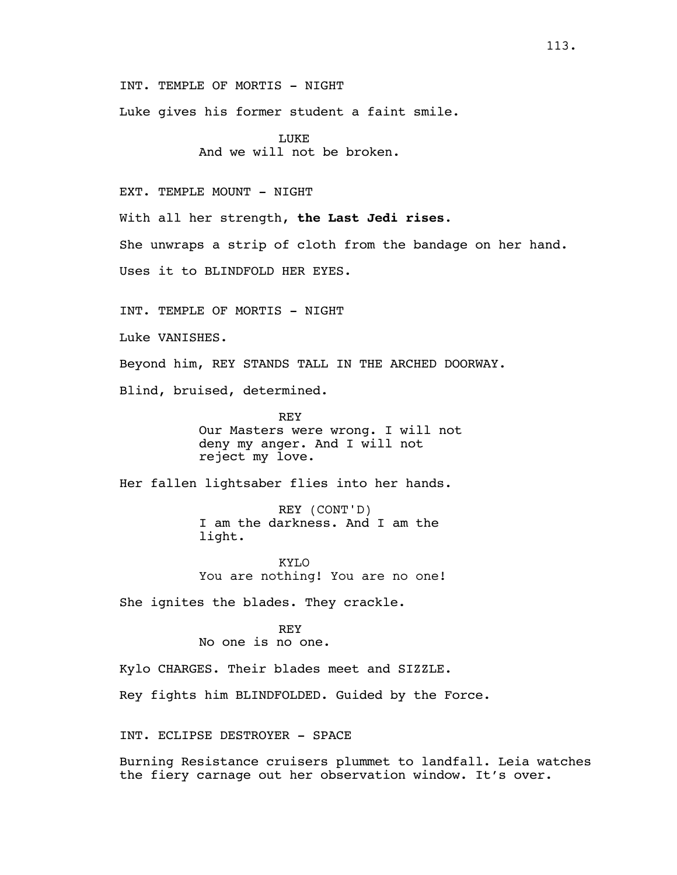INT. TEMPLE OF MORTIS - NIGHT

Luke gives his former student a faint smile.

LUKE And we will not be broken.

EXT. TEMPLE MOUNT - NIGHT

With all her strength, **the Last Jedi rises**.

She unwraps a strip of cloth from the bandage on her hand.

Uses it to BLINDFOLD HER EYES.

INT. TEMPLE OF MORTIS - NIGHT

Luke VANISHES.

Beyond him, REY STANDS TALL IN THE ARCHED DOORWAY.

Blind, bruised, determined.

REY Our Masters were wrong. I will not deny my anger. And I will not reject my love.

Her fallen lightsaber flies into her hands.

REY (CONT'D) I am the darkness. And I am the light.

KYLO You are nothing! You are no one!

She ignites the blades. They crackle.

REY No one is no one.

Kylo CHARGES. Their blades meet and SIZZLE.

Rey fights him BLINDFOLDED. Guided by the Force.

INT. ECLIPSE DESTROYER - SPACE

Burning Resistance cruisers plummet to landfall. Leia watches the fiery carnage out her observation window. It's over.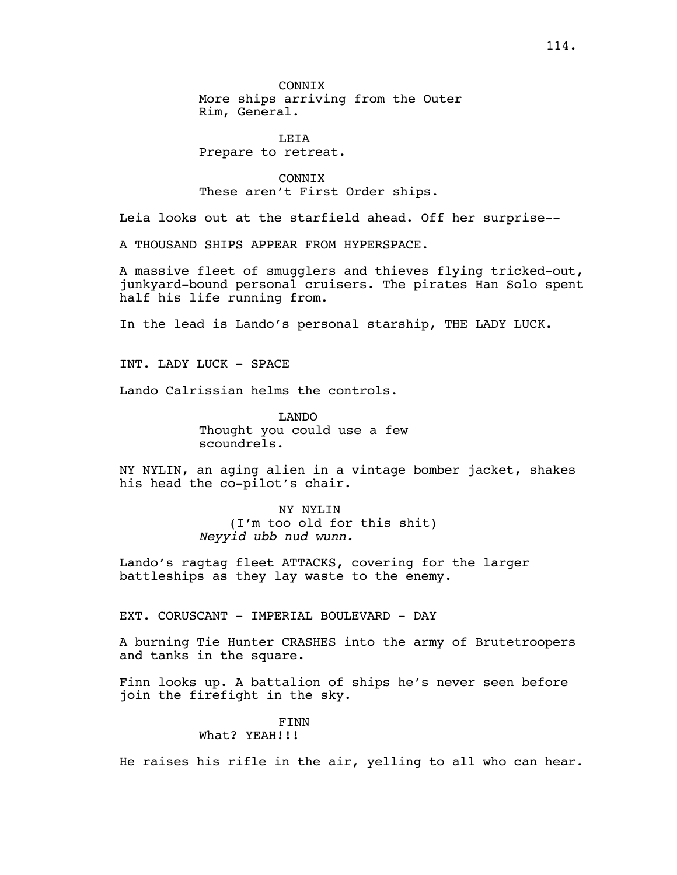**CONNTX** More ships arriving from the Outer Rim, General.

LEIA Prepare to retreat.

CONNIX These aren't First Order ships.

Leia looks out at the starfield ahead. Off her surprise--

A THOUSAND SHIPS APPEAR FROM HYPERSPACE.

A massive fleet of smugglers and thieves flying tricked-out, junkyard-bound personal cruisers. The pirates Han Solo spent half his life running from.

In the lead is Lando's personal starship, THE LADY LUCK.

INT. LADY LUCK - SPACE

Lando Calrissian helms the controls.

LANDO Thought you could use a few scoundrels.

NY NYLIN, an aging alien in a vintage bomber jacket, shakes his head the co-pilot's chair.

> NY NYLIN (I'm too old for this shit) *Neyyid ubb nud wunn.*

Lando's ragtag fleet ATTACKS, covering for the larger battleships as they lay waste to the enemy.

EXT. CORUSCANT - IMPERIAL BOULEVARD - DAY

A burning Tie Hunter CRASHES into the army of Brutetroopers and tanks in the square.

Finn looks up. A battalion of ships he's never seen before join the firefight in the sky.

> FINN What? YEAH!!!

He raises his rifle in the air, yelling to all who can hear.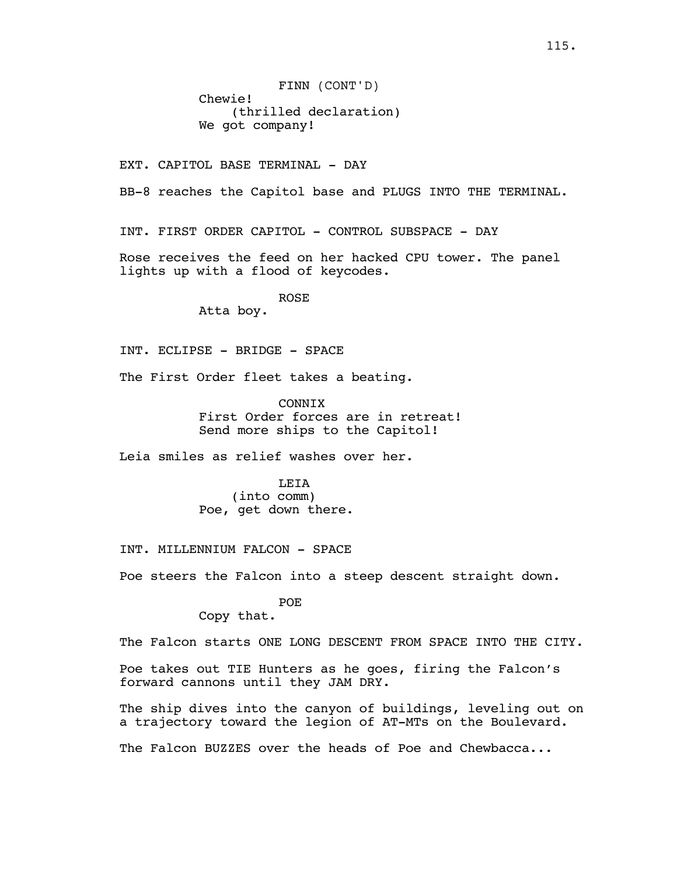FINN (CONT'D) Chewie! (thrilled declaration) We got company!

EXT. CAPITOL BASE TERMINAL - DAY

BB-8 reaches the Capitol base and PLUGS INTO THE TERMINAL.

INT. FIRST ORDER CAPITOL - CONTROL SUBSPACE - DAY

Rose receives the feed on her hacked CPU tower. The panel lights up with a flood of keycodes.

> ROSE Atta boy.

INT. ECLIPSE - BRIDGE - SPACE

The First Order fleet takes a beating.

**CONNTX** First Order forces are in retreat! Send more ships to the Capitol!

Leia smiles as relief washes over her.

LEIA (into comm) Poe, get down there.

INT. MILLENNIUM FALCON - SPACE

Poe steers the Falcon into a steep descent straight down.

POE

Copy that.

The Falcon starts ONE LONG DESCENT FROM SPACE INTO THE CITY.

Poe takes out TIE Hunters as he goes, firing the Falcon's forward cannons until they JAM DRY.

The ship dives into the canyon of buildings, leveling out on a trajectory toward the legion of AT-MTs on the Boulevard.

The Falcon BUZZES over the heads of Poe and Chewbacca...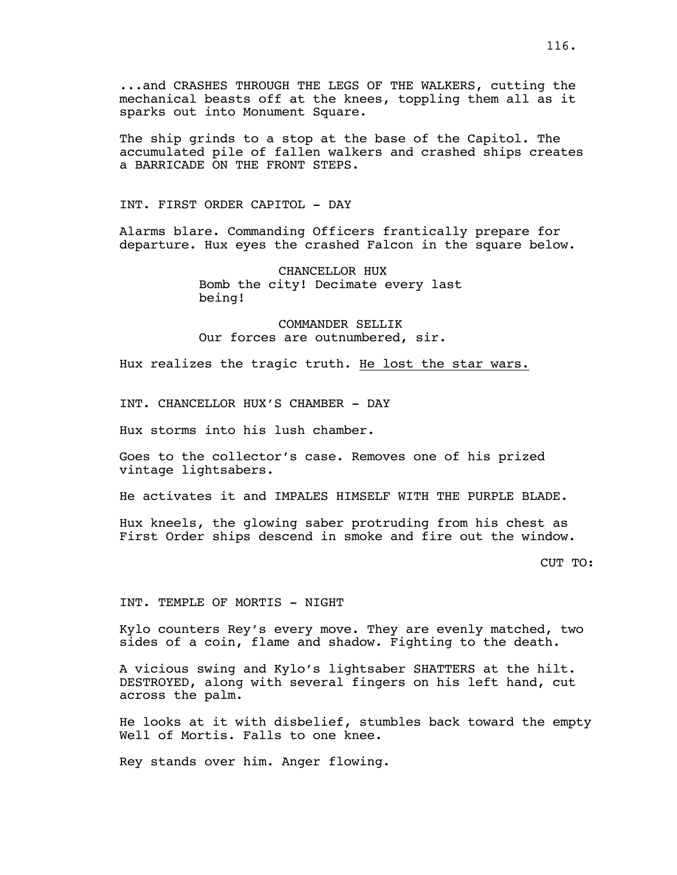...and CRASHES THROUGH THE LEGS OF THE WALKERS, cutting the mechanical beasts off at the knees, toppling them all as it sparks out into Monument Square.

The ship grinds to a stop at the base of the Capitol. The accumulated pile of fallen walkers and crashed ships creates a BARRICADE ON THE FRONT STEPS.

INT. FIRST ORDER CAPITOL - DAY

Alarms blare. Commanding Officers frantically prepare for departure. Hux eyes the crashed Falcon in the square below.

> CHANCELLOR HUX Bomb the city! Decimate every last being!

COMMANDER SELLIK Our forces are outnumbered, sir.

Hux realizes the tragic truth. He lost the star wars.

INT. CHANCELLOR HUX'S CHAMBER - DAY

Hux storms into his lush chamber.

Goes to the collector's case. Removes one of his prized vintage lightsabers.

He activates it and IMPALES HIMSELF WITH THE PURPLE BLADE.

Hux kneels, the glowing saber protruding from his chest as First Order ships descend in smoke and fire out the window.

CUT TO:

INT. TEMPLE OF MORTIS - NIGHT

Kylo counters Rey's every move. They are evenly matched, two sides of a coin, flame and shadow. Fighting to the death.

A vicious swing and Kylo's lightsaber SHATTERS at the hilt. DESTROYED, along with several fingers on his left hand, cut across the palm.

He looks at it with disbelief, stumbles back toward the empty Well of Mortis. Falls to one knee.

Rey stands over him. Anger flowing.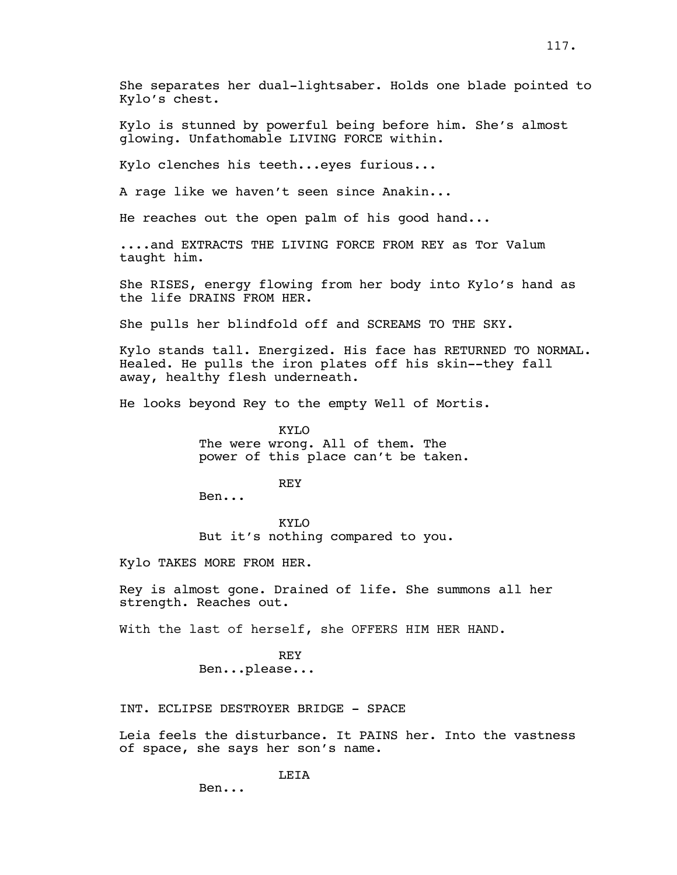She separates her dual-lightsaber. Holds one blade pointed to Kylo's chest.

Kylo is stunned by powerful being before him. She's almost glowing. Unfathomable LIVING FORCE within.

Kylo clenches his teeth...eyes furious...

A rage like we haven't seen since Anakin...

He reaches out the open palm of his good hand...

....and EXTRACTS THE LIVING FORCE FROM REY as Tor Valum taught him.

She RISES, energy flowing from her body into Kylo's hand as the life DRAINS FROM HER.

She pulls her blindfold off and SCREAMS TO THE SKY.

Kylo stands tall. Energized. His face has RETURNED TO NORMAL. Healed. He pulls the iron plates off his skin--they fall away, healthy flesh underneath.

He looks beyond Rey to the empty Well of Mortis.

KYLO The were wrong. All of them. The power of this place can't be taken.

**REY** 

Ben...

KYLO But it's nothing compared to you.

Kylo TAKES MORE FROM HER.

Rey is almost gone. Drained of life. She summons all her strength. Reaches out.

With the last of herself, she OFFERS HIM HER HAND.

REY Ben...please...

INT. ECLIPSE DESTROYER BRIDGE - SPACE

Leia feels the disturbance. It PAINS her. Into the vastness of space, she says her son's name.

LEIA

Ben...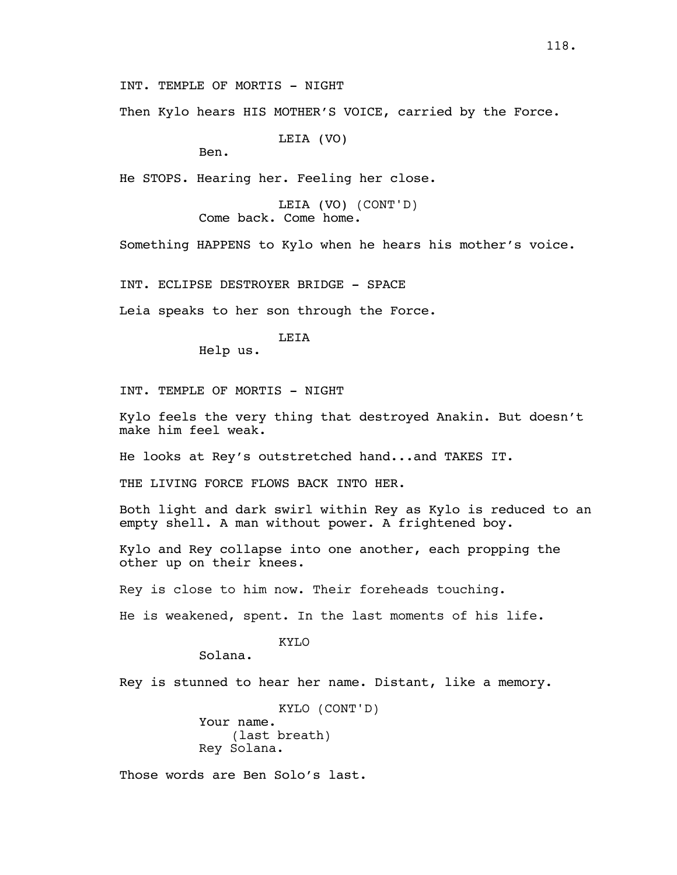INT. TEMPLE OF MORTIS - NIGHT

Then Kylo hears HIS MOTHER'S VOICE, carried by the Force.

LEIA (VO)

Ben.

He STOPS. Hearing her. Feeling her close.

LEIA (VO) (CONT'D) Come back. Come home.

Something HAPPENS to Kylo when he hears his mother's voice.

INT. ECLIPSE DESTROYER BRIDGE - SPACE

Leia speaks to her son through the Force.

LEIA

Help us.

INT. TEMPLE OF MORTIS - NIGHT

Kylo feels the very thing that destroyed Anakin. But doesn't make him feel weak.

He looks at Rey's outstretched hand...and TAKES IT.

THE LIVING FORCE FLOWS BACK INTO HER.

Both light and dark swirl within Rey as Kylo is reduced to an empty shell. A man without power. A frightened boy.

Kylo and Rey collapse into one another, each propping the other up on their knees.

Rey is close to him now. Their foreheads touching.

He is weakened, spent. In the last moments of his life.

KYLO

Solana.

Rey is stunned to hear her name. Distant, like a memory.

KYLO (CONT'D) Your name. (last breath) Rey Solana.

Those words are Ben Solo's last.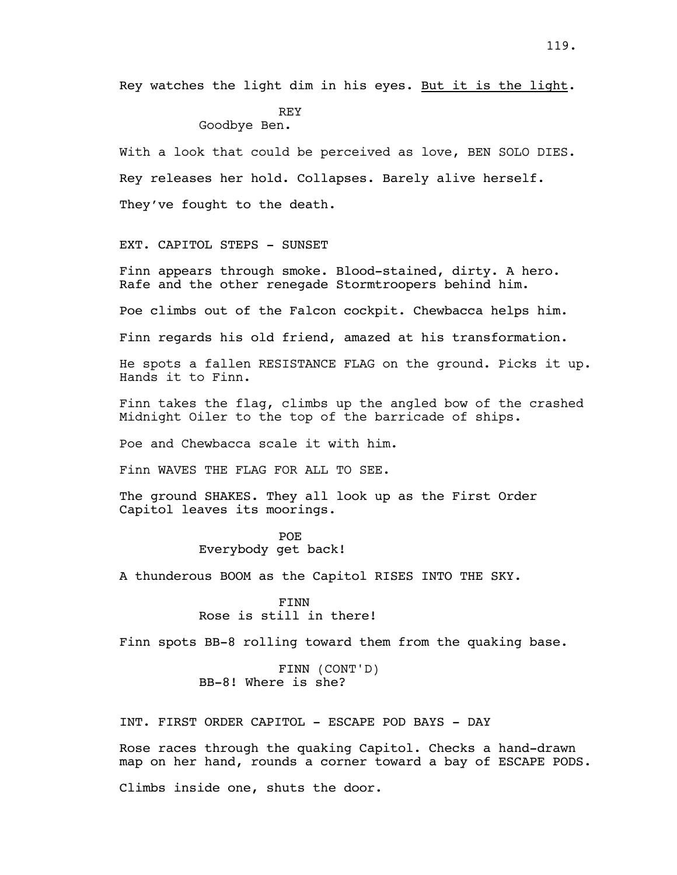Rey watches the light dim in his eyes. But it is the light.

# **REY**

Goodbye Ben.

With a look that could be perceived as love, BEN SOLO DIES. Rey releases her hold. Collapses. Barely alive herself. They've fought to the death.

EXT. CAPITOL STEPS - SUNSET

Finn appears through smoke. Blood-stained, dirty. A hero. Rafe and the other renegade Stormtroopers behind him.

Poe climbs out of the Falcon cockpit. Chewbacca helps him.

Finn regards his old friend, amazed at his transformation.

He spots a fallen RESISTANCE FLAG on the ground. Picks it up. Hands it to Finn.

Finn takes the flag, climbs up the angled bow of the crashed Midnight Oiler to the top of the barricade of ships.

Poe and Chewbacca scale it with him.

Finn WAVES THE FLAG FOR ALL TO SEE.

The ground SHAKES. They all look up as the First Order Capitol leaves its moorings.

> POE Everybody get back!

A thunderous BOOM as the Capitol RISES INTO THE SKY.

FINN Rose is still in there!

Finn spots BB-8 rolling toward them from the quaking base.

FINN (CONT'D) BB-8! Where is she?

INT. FIRST ORDER CAPITOL - ESCAPE POD BAYS - DAY

Rose races through the quaking Capitol. Checks a hand-drawn map on her hand, rounds a corner toward a bay of ESCAPE PODS.

Climbs inside one, shuts the door.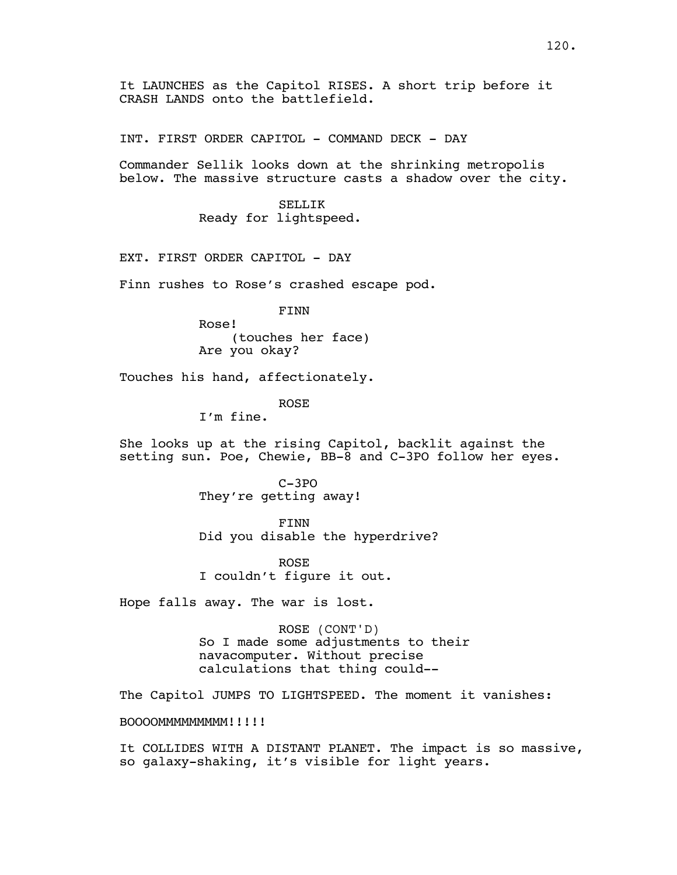It LAUNCHES as the Capitol RISES. A short trip before it CRASH LANDS onto the battlefield.

INT. FIRST ORDER CAPITOL - COMMAND DECK - DAY

Commander Sellik looks down at the shrinking metropolis below. The massive structure casts a shadow over the city.

> SELLIK Ready for lightspeed.

EXT. FIRST ORDER CAPITOL - DAY

Finn rushes to Rose's crashed escape pod.

FINN

Rose! (touches her face) Are you okay?

Touches his hand, affectionately.

#### ROSE

I'm fine.

She looks up at the rising Capitol, backlit against the setting sun. Poe, Chewie, BB-8 and C-3PO follow her eyes.

> C-3PO They're getting away!

FINN Did you disable the hyperdrive?

ROSE I couldn't figure it out.

Hope falls away. The war is lost.

ROSE (CONT'D) So I made some adjustments to their navacomputer. Without precise calculations that thing could--

The Capitol JUMPS TO LIGHTSPEED. The moment it vanishes:

BOOOOMMMMMMMMM!!!!!

It COLLIDES WITH A DISTANT PLANET. The impact is so massive, so galaxy-shaking, it's visible for light years.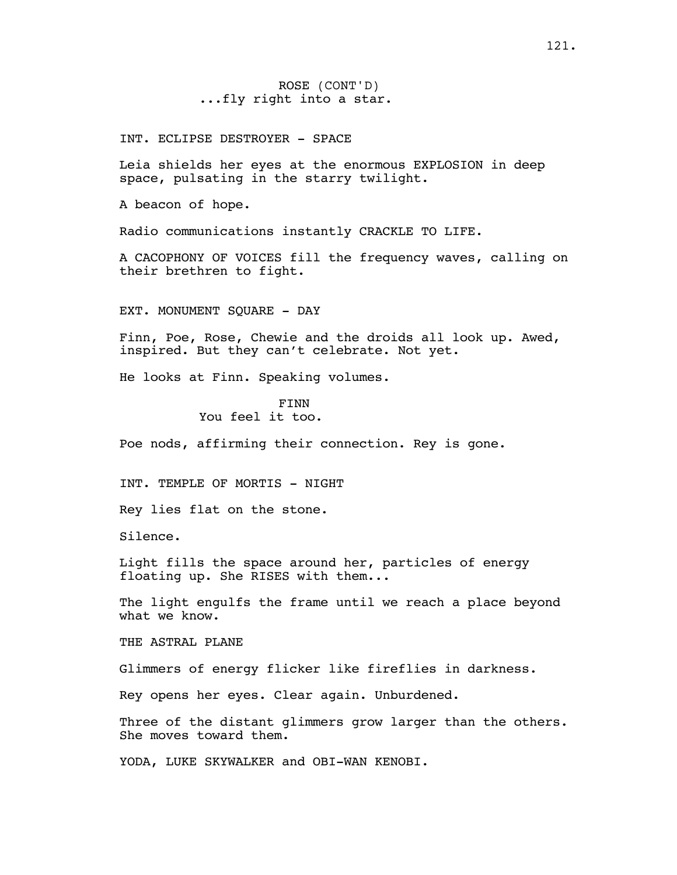ROSE (CONT'D) ...fly right into a star.

INT. ECLIPSE DESTROYER - SPACE

Leia shields her eyes at the enormous EXPLOSION in deep space, pulsating in the starry twilight.

A beacon of hope.

Radio communications instantly CRACKLE TO LIFE.

A CACOPHONY OF VOICES fill the frequency waves, calling on their brethren to fight.

EXT. MONUMENT SQUARE - DAY

Finn, Poe, Rose, Chewie and the droids all look up. Awed, inspired. But they can't celebrate. Not yet.

He looks at Finn. Speaking volumes.

FINN You feel it too.

Poe nods, affirming their connection. Rey is gone.

INT. TEMPLE OF MORTIS - NIGHT

Rey lies flat on the stone.

Silence.

Light fills the space around her, particles of energy floating up. She RISES with them...

The light engulfs the frame until we reach a place beyond what we know.

THE ASTRAL PLANE

Glimmers of energy flicker like fireflies in darkness.

Rey opens her eyes. Clear again. Unburdened.

Three of the distant glimmers grow larger than the others. She moves toward them.

YODA, LUKE SKYWALKER and OBI-WAN KENOBI.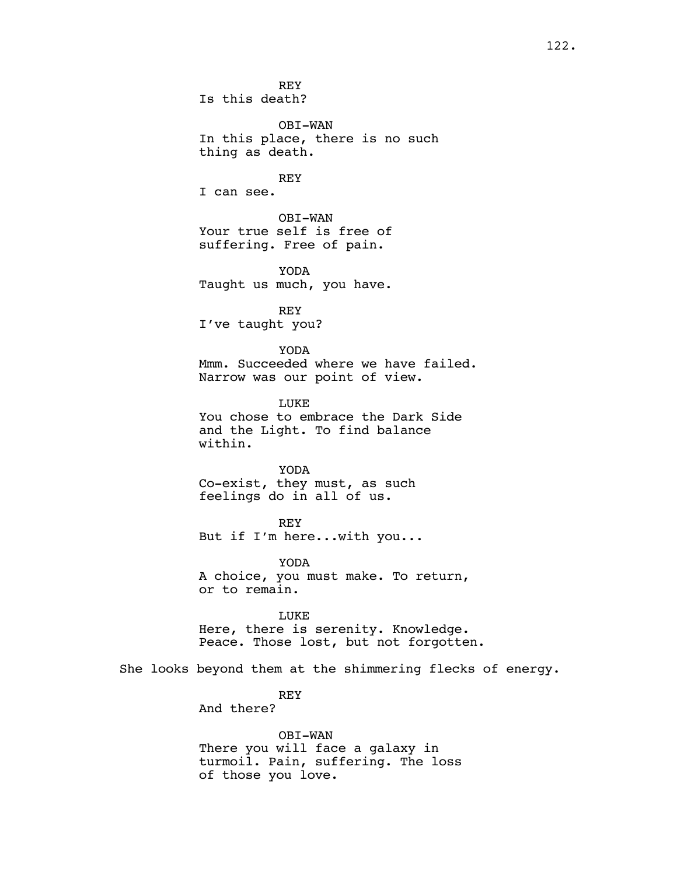REY Is this death?

OBI-WAN In this place, there is no such thing as death.

REY I can see.

OBI-WAN Your true self is free of suffering. Free of pain.

YODA Taught us much, you have.

REY I've taught you?

YODA Mmm. Succeeded where we have failed. Narrow was our point of view.

LUKE You chose to embrace the Dark Side and the Light. To find balance within.

YODA Co-exist, they must, as such feelings do in all of us.

REY But if I'm here...with you...

YODA A choice, you must make. To return, or to remain.

LUKE Here, there is serenity. Knowledge. Peace. Those lost, but not forgotten.

She looks beyond them at the shimmering flecks of energy.

REY And there?

OBI-WAN There you will face a galaxy in turmoil. Pain, suffering. The loss of those you love.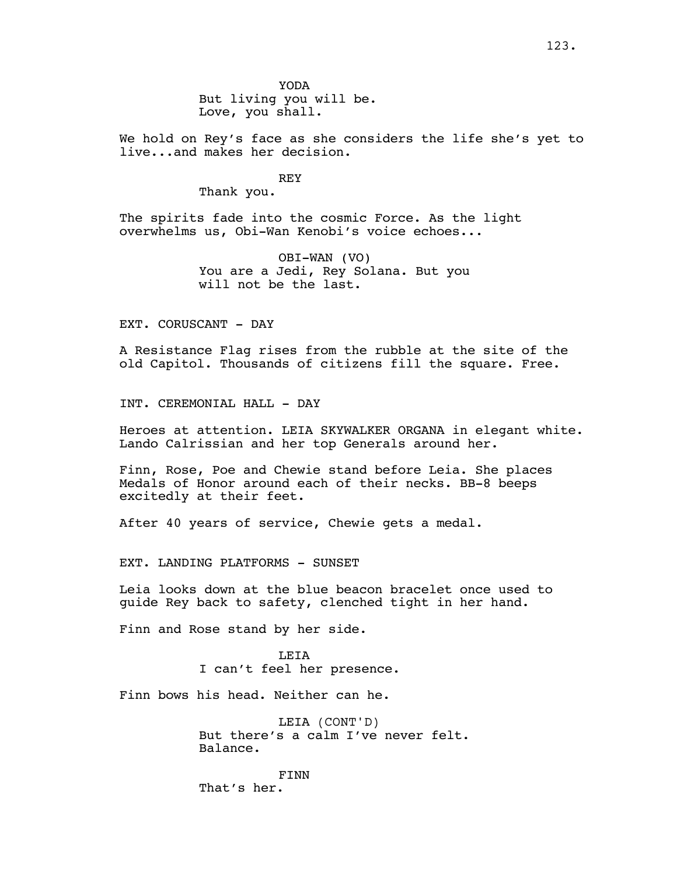YODA But living you will be. Love, you shall.

We hold on Rey's face as she considers the life she's yet to live...and makes her decision.

REY

Thank you.

The spirits fade into the cosmic Force. As the light overwhelms us, Obi-Wan Kenobi's voice echoes...

> OBI-WAN (VO) You are a Jedi, Rey Solana. But you will not be the last.

EXT. CORUSCANT - DAY

A Resistance Flag rises from the rubble at the site of the old Capitol. Thousands of citizens fill the square. Free.

INT. CEREMONIAL HALL - DAY

Heroes at attention. LEIA SKYWALKER ORGANA in elegant white. Lando Calrissian and her top Generals around her.

Finn, Rose, Poe and Chewie stand before Leia. She places Medals of Honor around each of their necks. BB-8 beeps excitedly at their feet.

After 40 years of service, Chewie gets a medal.

EXT. LANDING PLATFORMS - SUNSET

Leia looks down at the blue beacon bracelet once used to guide Rey back to safety, clenched tight in her hand.

Finn and Rose stand by her side.

LEIA I can't feel her presence.

Finn bows his head. Neither can he.

LEIA (CONT'D) But there's a calm I've never felt. Balance.

FINN That's her.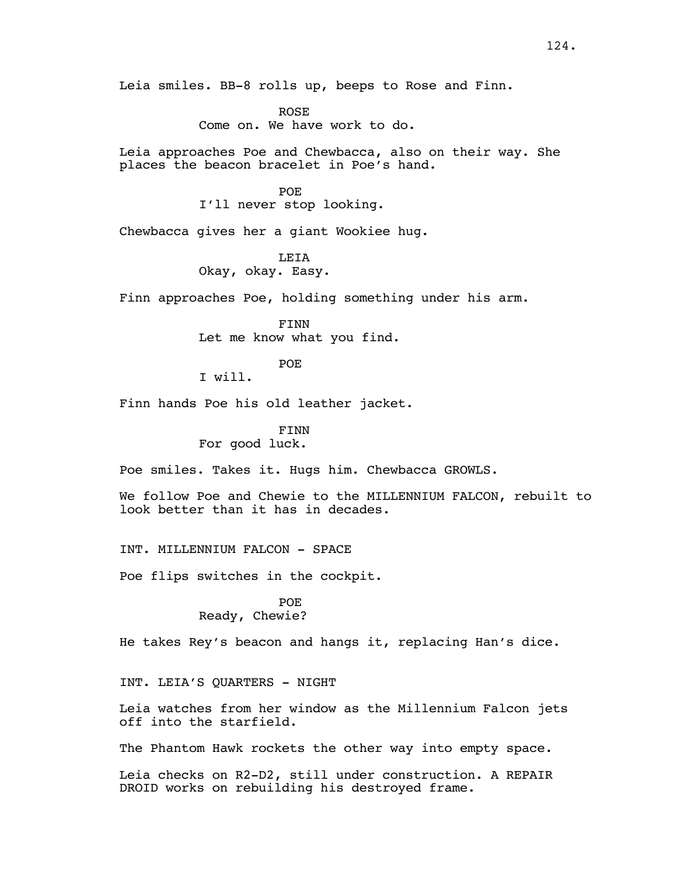Leia smiles. BB-8 rolls up, beeps to Rose and Finn.

ROSE Come on. We have work to do.

Leia approaches Poe and Chewbacca, also on their way. She places the beacon bracelet in Poe's hand.

#### POE

I'll never stop looking.

Chewbacca gives her a giant Wookiee hug.

**LETA** Okay, okay. Easy.

Finn approaches Poe, holding something under his arm.

FINN Let me know what you find.

#### POE

I will.

Finn hands Poe his old leather jacket.

## FINN

### For good luck.

Poe smiles. Takes it. Hugs him. Chewbacca GROWLS.

We follow Poe and Chewie to the MILLENNIUM FALCON, rebuilt to look better than it has in decades.

INT. MILLENNIUM FALCON - SPACE

Poe flips switches in the cockpit.

#### POE Ready, Chewie?

He takes Rey's beacon and hangs it, replacing Han's dice.

INT. LEIA'S QUARTERS - NIGHT

Leia watches from her window as the Millennium Falcon jets off into the starfield.

The Phantom Hawk rockets the other way into empty space.

Leia checks on R2-D2, still under construction. A REPAIR DROID works on rebuilding his destroyed frame.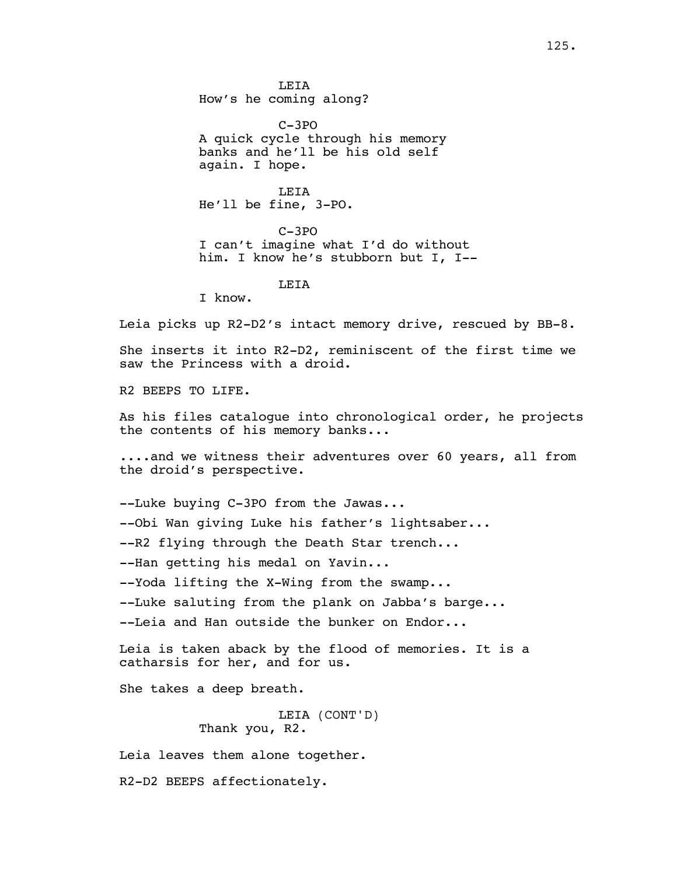**LETA** How's he coming along?

C-3PO A quick cycle through his memory banks and he'll be his old self again. I hope.

LEIA He'll be fine, 3-PO.

C-3PO I can't imagine what I'd do without him. I know he's stubborn but I, I--

**LETA** 

I know.

Leia picks up R2-D2's intact memory drive, rescued by BB-8.

She inserts it into R2-D2, reminiscent of the first time we saw the Princess with a droid.

R2 BEEPS TO LIFE.

As his files catalogue into chronological order, he projects the contents of his memory banks...

....and we witness their adventures over 60 years, all from the droid's perspective.

--Luke buying C-3PO from the Jawas...

--Obi Wan giving Luke his father's lightsaber...

--R2 flying through the Death Star trench...

--Han getting his medal on Yavin...

--Yoda lifting the X-Wing from the swamp...

--Luke saluting from the plank on Jabba's barge...

--Leia and Han outside the bunker on Endor...

Leia is taken aback by the flood of memories. It is a catharsis for her, and for us.

She takes a deep breath.

LEIA (CONT'D) Thank you, R2.

Leia leaves them alone together.

R2-D2 BEEPS affectionately.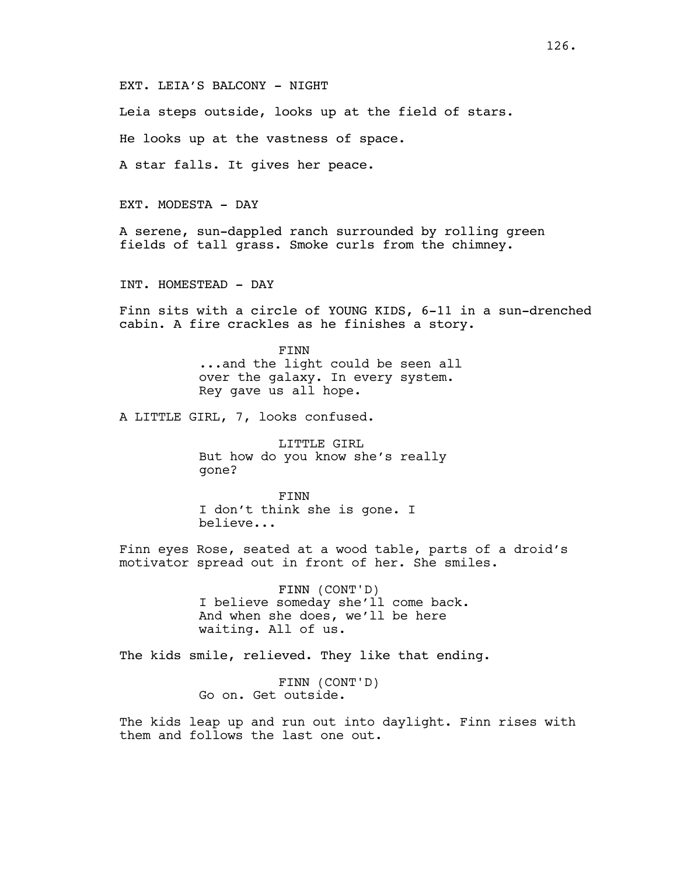EXT. LEIA'S BALCONY - NIGHT

Leia steps outside, looks up at the field of stars.

He looks up at the vastness of space.

A star falls. It gives her peace.

EXT. MODESTA - DAY

A serene, sun-dappled ranch surrounded by rolling green fields of tall grass. Smoke curls from the chimney.

INT. HOMESTEAD - DAY

Finn sits with a circle of YOUNG KIDS, 6-11 in a sun-drenched cabin. A fire crackles as he finishes a story.

> FINN ...and the light could be seen all over the galaxy. In every system. Rey gave us all hope.

A LITTLE GIRL, 7, looks confused.

LITTLE GIRL But how do you know she's really gone?

FINN I don't think she is gone. I believe...

Finn eyes Rose, seated at a wood table, parts of a droid's motivator spread out in front of her. She smiles.

> FINN (CONT'D) I believe someday she'll come back. And when she does, we'll be here waiting. All of us.

The kids smile, relieved. They like that ending.

FINN (CONT'D) Go on. Get outside.

The kids leap up and run out into daylight. Finn rises with them and follows the last one out.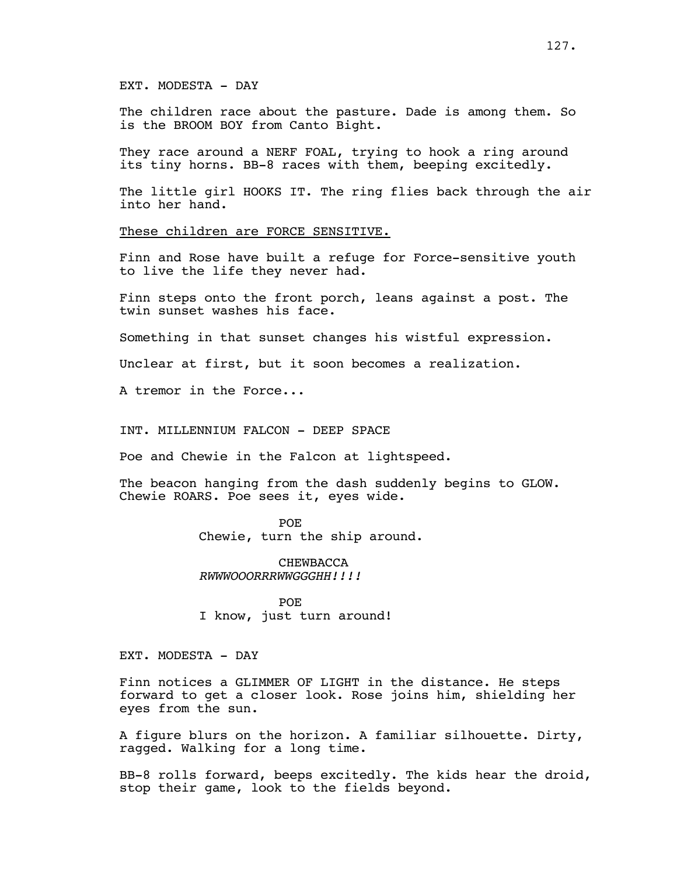The children race about the pasture. Dade is among them. So is the BROOM BOY from Canto Bight.

They race around a NERF FOAL, trying to hook a ring around its tiny horns. BB-8 races with them, beeping excitedly.

The little girl HOOKS IT. The ring flies back through the air into her hand.

These children are FORCE SENSITIVE.

Finn and Rose have built a refuge for Force-sensitive youth to live the life they never had.

Finn steps onto the front porch, leans against a post. The twin sunset washes his face.

Something in that sunset changes his wistful expression.

Unclear at first, but it soon becomes a realization.

A tremor in the Force...

INT. MILLENNIUM FALCON - DEEP SPACE

Poe and Chewie in the Falcon at lightspeed.

The beacon hanging from the dash suddenly begins to GLOW. Chewie ROARS. Poe sees it, eyes wide.

> POE Chewie, turn the ship around.

CHEWBACCA *RWWWOOORRRWWGGGHH!!!!*

POE I know, just turn around!

EXT. MODESTA - DAY

Finn notices a GLIMMER OF LIGHT in the distance. He steps forward to get a closer look. Rose joins him, shielding her eyes from the sun.

A figure blurs on the horizon. A familiar silhouette. Dirty, ragged. Walking for a long time.

BB-8 rolls forward, beeps excitedly. The kids hear the droid, stop their game, look to the fields beyond.